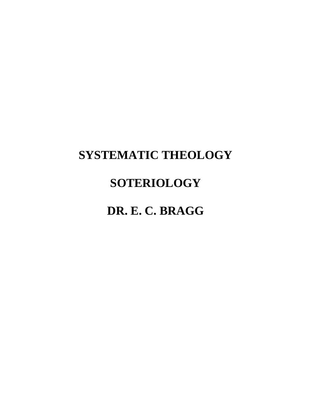# **SYSTEMATIC THEOLOGY**

# **SOTERIOLOGY**

# **DR. E. C. BRAGG**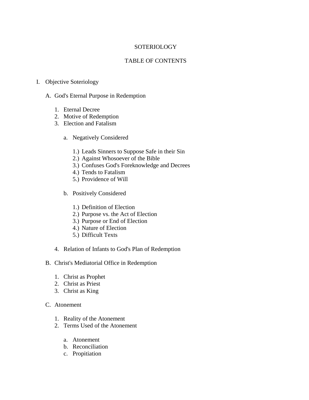## **SOTERIOLOGY**

## TABLE OF CONTENTS

## I. Objective Soteriology

- A. God's Eternal Purpose in Redemption
	- 1. Eternal Decree
	- 2. Motive of Redemption
	- 3. Election and Fatalism
		- a. Negatively Considered
			- 1.) Leads Sinners to Suppose Safe in their Sin
			- 2.) Against Whosoever of the Bible
			- 3.) Confuses God's Foreknowledge and Decrees
			- 4.) Tends to Fatalism
			- 5.) Providence of Will
		- b. Positively Considered
			- 1.) Definition of Election
			- 2.) Purpose vs. the Act of Election
			- 3.) Purpose or End of Election
			- 4.) Nature of Election
			- 5.) Difficult Texts
	- 4. Relation of Infants to God's Plan of Redemption
- B. Christ's Mediatorial Office in Redemption
	- 1. Christ as Prophet
	- 2. Christ as Priest
	- 3. Christ as King

## C. Atonement

- 1. Reality of the Atonement
- 2. Terms Used of the Atonement
	- a. Atonement
	- b. Reconciliation
	- c. Propitiation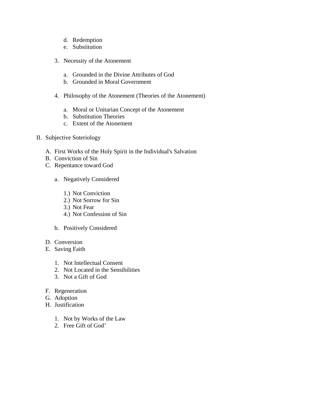- d. Redemption
- e. Substitution
- 3. Necessity of the Atonement
	- a. Grounded in the Divine Attributes of God
	- b. Grounded in Moral Government
- 4. Philosophy of the Atonement (Theories of the Atonement)
	- a. Moral or Unitarian Concept of the Atonement
	- b. Substitution Theories
	- c. Extent of the Atonement
- II. Subjective Soteriology
	- A. First Works of the Holy Spirit in the Individual's Salvation
	- B. Conviction of Sin
	- C. Repentance toward God
		- a. Negatively Considered
			- 1.) Not Conviction
			- 2.) Not Sorrow for Sin
			- 3.) Not Fear
			- 4.) Not Confession of Sin
		- b. Positively Considered
	- D. Conversion
	- E. Saving Faith
		- 1. Not Intellectual Consent
		- 2. Not Located in the Sensibilities
		- 3. Not a Gift of God
	- F. Regeneration
	- G. Adoption
	- H. Justification
		- 1. Not by Works of the Law
		- 2. Free Gift of God'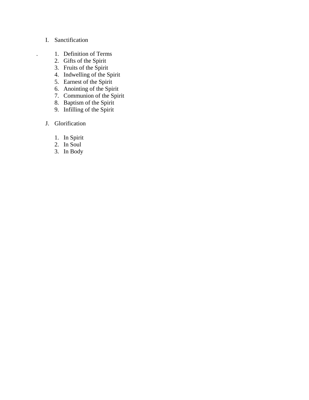## I. Sanctification

- . 1. Definition of Terms
	- 2. Gifts of the Spirit
	- 3. Fruits of the Spirit
	- 4. Indwelling of the Spirit
	- 5. Earnest of the Spirit
	- 6. Anointing of the Spirit
	- 7. Communion of the Spirit
	- 8. Baptism of the Spirit
	- 9. Infilling of the Spirit
	- J. Glorification
		- 1. In Spirit
		- 2. In Soul
		- 3. In Body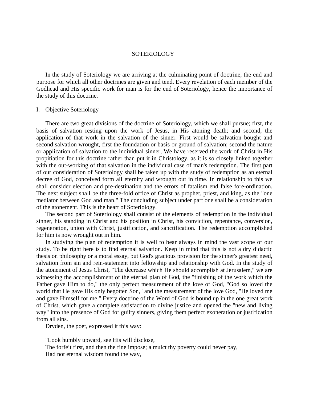## **SOTERIOLOGY**

 In the study of Soteriology we are arriving at the culminating point of doctrine, the end and purpose for which all other doctrines are given and tend. Every revelation of each member of the Godhead and His specific work for man is for the end of Soteriology, hence the importance of the study of this doctrine.

## I. Objective Soteriology

 There are two great divisions of the doctrine of Soteriology, which we shall pursue; first, the basis of salvation resting upon the work of Jesus, in His atoning death; and second, the application of that work in the salvation of the sinner. First would be salvation bought and second salvation wrought, first the foundation or basis or ground of salvation; second the nature or application of salvation to the individual sinner, We have reserved the work of Christ in His propitiation for this doctrine rather than put it in Christology, as it is so closely linked together with the out-working of that salvation in the individual case of man's redemption. The first part of our consideration of Soteriology shall be taken up with the study of redemption as an eternal decree of God, conceived form all eternity and wrought out in time. In relationship to this we shall consider election and pre-destination and the errors of fatalism end false fore-ordination. The next subject shall be the three-fold office of Christ as prophet, priest, and king, as the "one mediator between God and man." The concluding subject under part one shall be a consideration of the atonement. This is the heart of Soteriology.

 The second part of Soteriology shall consist of the elements of redemption in the individual sinner, his standing in Christ and his position in Christ, his conviction, repentance, conversion, regeneration, union with Christ, justification, and sanctification. The redemption accomplished for him is now wrought out in him.

 In studying the plan of redemption it is well to bear always in mind the vast scope of our study. To be right here is to find eternal salvation. Keep in mind that this is not a dry didactic thesis on philosophy or a moral essay, but God's gracious provision for the sinner's greatest need, salvation from sin and rein-statement into fellowship and relationship with God. In the study of the atonement of Jesus Christ, "The decrease which He should accomplish at Jerusalem," we are witnessing the accomplishment of the eternal plan of God, the "finishing of the work which the Father gave Him to do," the only perfect measurement of the love of God, "God so loved the world that He gave His only begotten Son," and the measurement of the love God, "He loved me and gave Himself for me." Every doctrine of the Word of God is bound up in the one great work of Christ, which gave a complete satisfaction to divine justice and opened the "new and living way" into the presence of God for guilty sinners, giving them perfect exoneration or justification from all sins.

Dryden, the poet, expressed it this way:

"Look humbly upward, see His will disclose, The forfeit first, and then the fine impose; a mulct thy poverty could never pay, Had not eternal wisdom found the way,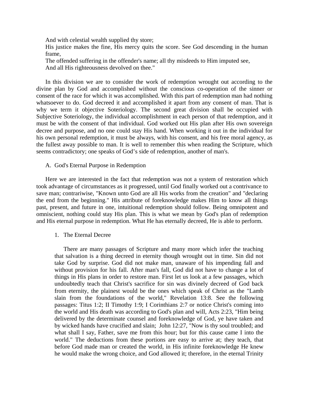And with celestial wealth supplied thy store;

His justice makes the fine, His mercy quits the score. See God descending in the human frame,

The offended suffering in the offender's name; all thy misdeeds to Him imputed see, And all His righteousness devolved on thee."

 In this division we are to consider the work of redemption wrought out according to the divine plan by God and accomplished without the conscious co-operation of the sinner or consent of the race for which it was accomplished. With this part of redemption man had nothing whatsoever to do. God decreed it and accomplished it apart from any consent of man. That is why we term it objective Soteriology. The second great division shall be occupied with Subjective Soteriology, the individual accomplishment in each person of that redemption, and it must be with the consent of that individual. God worked out His plan after His own sovereign decree and purpose, and no one could stay His hand. When working it out in the individual for his own personal redemption, it must be always, with his consent, and his free moral agency, as the fullest away possible to man. It is well to remember this when reading the Scripture, which seems contradictory; one speaks of God's side of redemption, another of man's.

#### A. God's Eternal Purpose in Redemption

 Here we are interested in the fact that redemption was not a system of restoration which took advantage of circumstances as it progressed, until God finally worked out a contrivance to save man; contrariwise, "Known unto God are all His works from the creation" and "declaring the end from the beginning." His attribute of foreknowledge makes Him to know all things past, present, and future in one, intuitional redemption should follow. Being omnipotent and omniscient, nothing could stay His plan. This is what we mean by God's plan of redemption and His eternal purpose in redemption. What He has eternally decreed, He is able to perform.

#### 1. The Eternal Decree

 There are many passages of Scripture and many more which infer the teaching that salvation is a thing decreed in eternity though wrought out in time. Sin did not take God by surprise. God did not make man, unaware of his impending fall and without provision for his fall. After man's fall, God did not have to change a lot of things in His plans in order to restore man. First let us look at a few passages, which undoubtedly teach that Christ's sacrifice for sin was divinely decreed of God back from eternity, the plainest would be the ones which speak of Christ as the "Lamb slain from the foundations of the world," Revelation 13:8. See the following passages: Titus 1:2; II Timothy 1:9; I Corinthians 2:7 or notice Christ's coming into the world and His death was according to God's plan and will, Acts 2:23, "Him being delivered by the determinate counsel and foreknowledge of God, ye have taken and by wicked hands have crucified and slain; John 12:27, "Now is thy soul troubled; and what shall I say, Father, save me from this hour; but for this cause came I into the world." The deductions from these portions are easy to arrive at; they teach, that before God made man or created the world, in His infinite foreknowledge He knew he would make the wrong choice, and God allowed it; therefore, in the eternal Trinity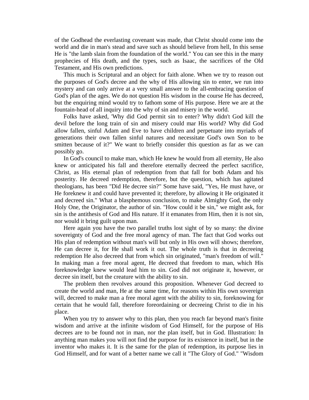of the Godhead the everlasting covenant was made, that Christ should come into the world and die in man's stead and save such as should believe from hell, In this sense He is "the lamb slain from the foundation of the world." You can see this in the many prophecies of His death, and the types, such as Isaac, the sacrifices of the Old Testament, and His own predictions.

 This much is Scriptural and an object for faith alone. When we try to reason out the purposes of God's decree and the why of His allowing sin to enter, we run into mystery and can only arrive at a very small answer to the all-embracing question of God's plan of the ages. We do not question His wisdom in the course He has decreed, but the enquiring mind would try to fathom some of His purpose. Here we are at the fountain-head of all inquiry into the why of sin and misery in the world.

 Folks have asked, 'Why did God permit sin to enter? Why didn't God kill the devil before the long train of sin and misery could mar His world? Why did God allow fallen, sinful Adam and Eve to have children and perpetuate into myriads of generations their own fallen sinful natures and necessitate God's own Son to be smitten because of it?" We want to briefly consider this question as far as we can possibly go.

 In God's council to make man, which He knew he would from all eternity, He also knew or anticipated his fall and therefore eternally decreed the perfect sacrifice, Christ, as His eternal plan of redemption from that fall for both Adam and his posterity. He decreed redemption, therefore, but the question, which has agitated theologians, has been "Did He decree sin?" Some have said, "Yes, He must have, or He foreknew it and could have prevented it; therefore, by allowing it He originated it and decreed sin." What a blasphemous conclusion, to make Almighty God, the only Holy One, the Originator, the author of sin. "How could it be sin," we might ask, for sin is the antithesis of God and His nature. If it emanates from Him, then it is not sin, nor would it bring guilt upon man.

 Here again you have the two parallel truths lost sight of by so many: the divine sovereignty of God and the free moral agency of man. The fact that God works out His plan of redemption without man's will but only in His own will shows; therefore, He can decree it, for He shall work it out. The whole truth is that in decreeing redemption He also decreed that from which sin originated, "man's freedom of will." In making man a free moral agent, He decreed that freedom to man, which His foreknowledge knew would lead him to sin. God did not originate it, however, or decree sin itself, but the creature with the ability to sin.

 The problem then revolves around this proposition. Whenever God decreed to create the world and man, He at the same time, for reasons within His own sovereign will, decreed to make man a free moral agent with the ability to sin, foreknowing for certain that he would fall, therefore foreordaining or decreeing Christ to die in his place.

 When you try to answer why to this plan, then you reach far beyond man's finite wisdom and arrive at the infinite wisdom of God Himself, for the purpose of His decrees are to be found not in man, nor the plan itself, but in God. Illustration: In anything man makes you will not find the purpose for its existence in itself, but in the inventor who makes it. It is the same for the plan of redemption, its purpose lies in God Himself, and for want of a better name we call it "The Glory of God." "Wisdom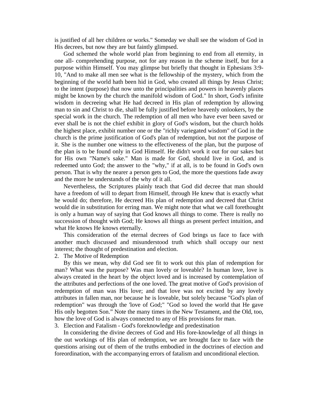is justified of all her children or works." Someday we shall see the wisdom of God in His decrees, but now they are but faintly glimpsed.

 God schemed the whole world plan from beginning to end from all eternity, in one all- comprehending purpose, not for any reason in the scheme itself, but for a purpose within Himself. You may glimpse but briefly that thought in Ephesians 3:9- 10, "And to make all men see what is the fellowship of the mystery, which from the beginning of the world hath been hid in God, who created all things by Jesus Christ; to the intent (purpose) that now unto the principalities and powers in heavenly places might be known by the church the manifold wisdom of God." In short, God's infinite wisdom in decreeing what He had decreed in His plan of redemption by allowing man to sin and Christ to die, shall be fully justified before heavenly onlookers, by the special work in the church. The redemption of all men who have ever been saved or ever shall be is not the chief exhibit in glory of God's wisdom, but the church holds the highest place, exhibit number one or the "richly variegated wisdom" of God in the church is the prime justification of God's plan of redemption, but not the purpose of it. She is the number one witness to the effectiveness of the plan, but the purpose of the plan is to be found only in God Himself. He didn't work it out for our sakes but for His own "Name's sake." Man is made for God, should live in God, and is redeemed unto God; the answer to the "why," if at all, is to be found in God's own person. That is why the nearer a person gets to God, the more the questions fade away and the more he understands of the why of it all.

 Nevertheless, the Scriptures plainly teach that God did decree that man should have a freedom of will to depart from Himself, through He knew that is exactly what he would do; therefore, He decreed His plan of redemption and decreed that Christ would die in substitution for erring man. We might note that what we call forethought is only a human way of saying that God knows all things to come. There is really no succession of thought with God; He knows all things as present perfect intuition, and what He knows He knows eternally.

 This consideration of the eternal decrees of God brings us face to face with another much discussed and misunderstood truth which shall occupy our next interest; the thought of predestination and election.

2. The Motive of Redemption

 By this we mean, why did God see fit to work out this plan of redemption for man? What was the purpose? Was man lovely or loveable? In human love, love is always created in the heart by the object loved and is increased by contemplation of the attributes and perfections of the one loved. The great motive of God's provision of redemption of man was His love; and that love was not excited by any lovely attributes in fallen man, nor because he is loveable, but solely because "God's plan of redemption" was through the 'love of God;" "God so loved the world that He gave His only begotten Son." Note the many times in the New Testament, and the Old, too, how the love of God is always connected to any of His provisions for man.

3. Election and Fatalism - God's foreknowledge and predestination

 In considering the divine decrees of God and His fore-knowledge of all things in the out workings of His plan of redemption, we are brought face to face with the questions arising out of them of the truths embodied in the doctrines of election and foreordination, with the accompanying errors of fatalism and unconditional election.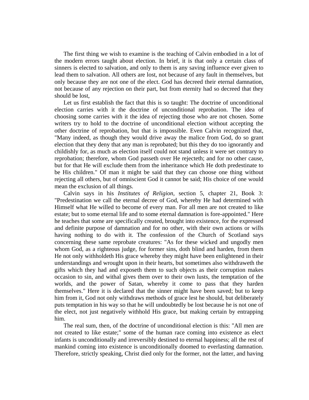The first thing we wish to examine is the teaching of Calvin embodied in a lot of the modern errors taught about election. In brief, it is that only a certain class of sinners is elected to salvation, and only to them is any saving influence ever given to lead them to salvation. All others are lost, not because of any fault in themselves, but only because they are not one of the elect. God has decreed their eternal damnation, not because of any rejection on their part, but from eternity had so decreed that they should be lost,

 Let us first establish the fact that this is so taught: The doctrine of unconditional election carries with it the doctrine of unconditional reprobation. The idea of choosing some carries with it the idea of rejecting those who are not chosen. Some writers try to hold to the doctrine of unconditional election without accepting the other doctrine of reprobation, but that is impossible. Even Calvin recognized that, "Many indeed, as though they would drive away the malice from God, do so grant election that they deny that any man is reprobated; but this they do too ignorantly and childishly for, as much as election itself could not stand unless it were set contrary to reprobation; therefore, whom God passeth over He rejecteth; and for no other cause, but for that He will exclude them from the inheritance which He doth predestinate to be His children." Of man it might be said that they can choose one thing without rejecting all others, but of omniscient God it cannot be said; His choice of one would mean the exclusion of all things.

 Calvin says in his *Institutes of Religion*, section 5, chapter 21, Book 3: "Predestination we call the eternal decree of God, whereby He had determined with Himself what He willed to become of every man. For all men are not created to like estate; but to some eternal life and to some eternal damnation is fore-appointed." Here he teaches that some are specifically created, brought into existence, for the expressed and definite purpose of damnation and for no other, with their own actions or wills having nothing to do with it. The confession of the Church of Scotland says concerning these same reprobate creatures: "As for these wicked and ungodly men whom God, as a righteous judge, for former sins, doth blind and harden, from them He not only withholdeth His grace whereby they might have been enlightened in their understandings and wrought upon in their hearts, but sometimes also withdraweth the gifts which they had and exposeth them to such objects as their corruption makes occasion to sin, and withal gives them over to their own lusts, the temptation of the worlds, and the power of Satan, whereby it come to pass that they harden themselves." Here it is declared that the sinner might have been saved; but to keep him from it, God not only withdraws methods of grace lest he should, but deliberately puts temptation in his way so that he will undoubtedly be lost because he is not one of the elect, not just negatively withhold His grace, but making certain by entrapping him.

 The real sum, then, of the doctrine of unconditional election is this: "All men are not created to like estate;" some of the human race coming into existence as elect infants is unconditionally and irreversibly destined to eternal happiness; all the rest of mankind coming into existence is unconditionally doomed to everlasting damnation. Therefore, strictly speaking, Christ died only for the former, not the latter, and having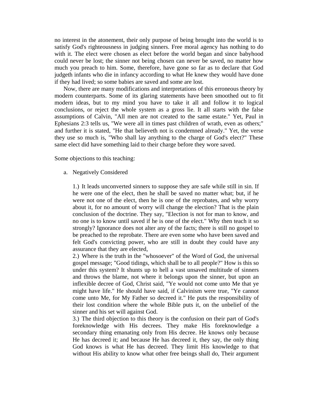no interest in the atonement, their only purpose of being brought into the world is to satisfy God's righteousness in judging sinners. Free moral agency has nothing to do with it. The elect were chosen as elect before the world began and since babyhood could never be lost; the sinner not being chosen can never be saved, no matter how much you preach to him. Some, therefore, have gone so far as to declare that God judgeth infants who die in infancy according to what He knew they would have done if they had lived; so some babies are saved and some are lost.

 Now, there are many modifications and interpretations of this erroneous theory by modern counterparts. Some of its glaring statements have been smoothed out to fit modern ideas, but to my mind you have to take it all and follow it to logical conclusions, or reject the whole system as a gross lie. It all starts with the false assumptions of Calvin, "All men are not created to the same estate." Yet, Paul in Ephesians 2:3 tells us, "We were all in times past children of wrath, even as others;" and further it is stated, "He that believeth not is condemned already." Yet, the verse they use so much is, "Who shall lay anything to the charge of God's elect?" These same elect did have something laid to their charge before they wore saved.

Some objections to this teaching:

a. Negatively Considered

1.) It leads unconverted sinners to suppose they are safe while still in sin. If he were one of the elect, then he shall be saved no matter what; but, if he were not one of the elect, then he is one of the reprobates, and why worry about it, for no amount of worry will change the election? That is the plain conclusion of the doctrine. They say, "Election is not for man to know, and no one is to know until saved if he is one of the elect." Why then teach it so strongly? Ignorance does not alter any of the facts; there is still no gospel to be preached to the reprobate. There are even some who have been saved and felt God's convicting power, who are still in doubt they could have any assurance that they are elected,

2.) Where is the truth in the "whosoever" of the Word of God, the universal gospel message; "Good tidings, which shall be to all people?" How is this so under this system? It shunts up to hell a vast unsaved multitude of sinners and throws the blame, not where it belongs upon the sinner, but upon an inflexible decree of God, Christ said, "Ye would not come unto Me that ye might have life." He should have said, if Calvinism were true, "Ye cannot come unto Me, for My Father so decreed it." He puts the responsibility of their lost condition where the whole Bible puts it, on the unbelief of the sinner and his set will against God.

3.) The third objection to this theory is the confusion on their part of God's foreknowledge with His decrees. They make His foreknowledge a secondary thing emanating only from His decree. He knows only because He has decreed it; and because He has decreed it, they say, the only thing God knows is what He has decreed. They limit His knowledge to that without His ability to know what other free beings shall do, Their argument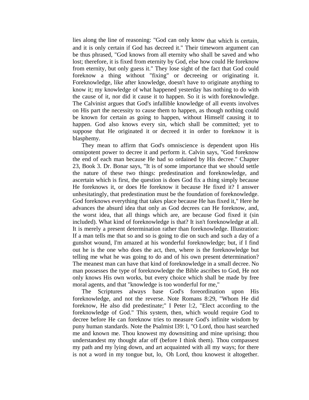lies along the line of reasoning: "God can only know that which is certain, and it is only certain if God has decreed it." Their timeworn argument can be thus phrased, "God knows from all eternity who shall be saved and who lost; therefore, it is fixed from eternity by God, else how could He foreknow from eternity, but only guess it." They lose sight of the fact that God could foreknow a thing without "fixing" or decreeing or originating it. Foreknowledge, like after knowledge, doesn't have to originate anything to know it; my knowledge of what happened yesterday has nothing to do with the cause of it, nor did it cause it to happen. So it is with foreknowledge. The Calvinist argues that God's infallible knowledge of all events involves on His part the necessity to cause them to happen, as though nothing could be known for certain as going to happen, without Himself causing it to happen. God also knows every sin, which shall be committed; yet to suppose that He originated it or decreed it in order to foreknow it is blasphemy.

 They mean to affirm that God's omniscience is dependent upon His omnipotent power to decree it and perform it. Calvin says, "God foreknow the end of each man because He had so ordained by His decree." Chapter 23, Book 3. Dr. Bonar says, "It is of some importance that we should settle the nature of these two things: predestination and foreknowledge, and ascertain which is first, the question is does God fix a thing simply because He foreknows it, or does He foreknow it because He fixed it? I answer unhesitatingly, that predestination must be the foundation of foreknowledge. God foreknows everything that takes place because He has fixed it," Here he advances the absurd idea that only as God decrees can He foreknow, and, the worst idea, that all things which are, are because God fixed it (sin included). What kind of foreknowledge is that? It isn't foreknowledge at all. It is merely a present determination rather than foreknowledge. Illustration: If a man tells me that so and so is going to die on such and such a day of a gunshot wound, I'm amazed at his wonderful foreknowledge; but, if I find out he is the one who does the act, then, where is the foreknowledge but telling me what he was going to do and of his own present determination? The meanest man can have that kind of foreknowledge in a small decree. No man possesses the type of foreknowledge the Bible ascribes to God, He not only knows His own works, but every choice which shall be made by free moral agents, and that "knowledge is too wonderful for me,"

 The Scriptures always base God's foreordination upon His foreknowledge, and not the reverse. Note Romans 8:29, "Whom He did foreknow, He also did predestinate;" I Peter l:2, "Elect according to the foreknowledge of God." This system, then, which would require God to decree before He can foreknow tries to measure God's infinite wisdom by puny human standards. Note the Psalmist l39: l, "O Lord, thou hast searched me and known me. Thou knowest my downsitting and mine uprising; thou understandest my thought afar off (before I think them). Thou compassest my path and my lying down, and art acquainted with all my ways; for there is not a word in my tongue but, lo, Oh Lord, thou knowest it altogether.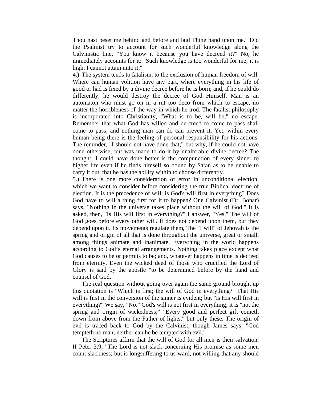Thou hast beset me behind and before and laid Thine hand upon me." Did the Psalmist try to account for such wonderful knowledge along the Calvinistic line, "You know it because you have decreed it?" No, he immediately accounts for it: "Such knowledge is too wonderful for me; it is high, I cannot attain unto it,"

4.) The system tends to fatalism, to the exclusion of human freedom of will. Where can human volition have any part, where everything in his life of good or had is fixed by a divine decree before he is born; and, if he could do differently, he would destroy the decree of God Himself. Man is an automaton who must go on in a rut too deco from which to escape, no matter the horribleness of the way in which he trod. The fatalist philosophy is incorporated into Christianity, "What is to be, will be," no escape. Remember that what God has willed and de-creed to come to pass shall come to pass, and nothing man can do can prevent it, Yet, within every human being there is the feeling of personal responsibility for his actions. The reminder, "I should not have done that;" but why, if he could not have done otherwise, but was made to do it by unalterable divine decree? The thought, I could have done better is the compunction of every sinner to higher life even if he finds himself so bound by Satan as to be unable to carry it out, that he has the ability within to choose differently.

5.) There is one more consideration of error in unconditional election, which we want to consider before considering the true Biblical doctrine of election. It is the precedence of will; is God's will first in everything? Does God have to will a thing first for it to happen? One Calvinist (Dr. Bonar) says, "Nothing in the universe takes place without the will of God." It is asked, then, "Is His will first in everything?" I answer, "Yes." The will of God goes before every other will. It does not depend upon them, but they depend upon it. Its movements regulate them, The "I will" of Jehovah is the spring and origin of all that is done throughout the universe, great or small, among things animate and inanimate, Everything in the world happens according to God's eternal arrangements. Nothing takes place except what God causes to be or permits to be; and, whatever happens in time is decreed from eternity. Even the wicked deed of those who crucified the Lord of Glory is said by the apostle "to be determined before by the hand and counsel of God."

 The real question without going over again the same ground brought up this quotation is "Which is first; the will of God in everything?" That His will is first in the conversion of the sinner is evident; but "is His will first in everything?" We say, "No." God's will is not first in everything; it is "not the spring and origin of wickedness;" "Every good and perfect gift cometh down from above from the Father of lights," but only these. The origin of evil is traced back to God by the Calvinist, though James says, "God tempteth no man; neither can he be tempted with evil."

 The Scriptures affirm that the will of God for all men is their salvation, II Peter 3:9, "The Lord is not slack concerning His promise as some men count slackness; but is longsuffering to us-ward, not willing that any should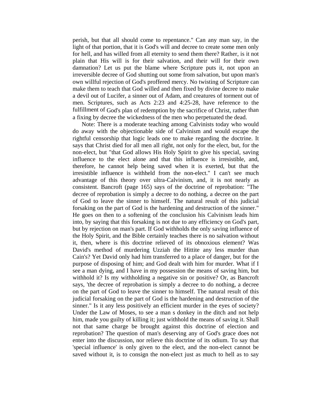perish, but that all should come to repentance." Can any man say, in the light of that portion, that it is God's will and decree to create some men only for hell, and has willed from all eternity to send them there? Rather, is it not plain that His will is for their salvation, and their will for their own damnation? Let us put the blame where Scripture puts it, not upon an irreversible decree of God shutting out some from salvation, but upon man's own willful rejection of God's proffered mercy. No twisting of Scripture can make them to teach that God willed and then fixed by divine decree to make a devil out of Lucifer, a sinner out of Adam, and creatures of torment out of men. Scriptures, such as Acts 2:23 and 4:25-28, have reference to the fulfillment of God's plan of redemption by the sacrifice of Christ, rather than a fixing by decree the wickedness of the men who perpetuated the dead.

Note: There is a moderate teaching among Calvinists today who would do away with the objectionable side of Calvinism and would escape the rightful censorship that logic leads one to make regarding the doctrine. It says that Christ died for all men all right, not only for the elect, but, for the non-elect, but "that God allows His Holy Spirit to give his special, saving influence to the elect alone and that this influence is irresistible, and, therefore, he cannot help being saved when it is exerted, but that the irresistible influence is withheld from the non-elect." I can't see much advantage of this theory over ultra-Calvinism, and, it is not nearly as consistent. Bancroft (page 165) says of the doctrine of reprobation: "The decree of reprobation is simply a decree to do nothing, a decree on the part of God to leave the sinner to himself. The natural result of this judicial forsaking on the part of God is the hardening and destruction of the sinner." He goes on then to a softening of the conclusion his Calvinism leads him into, by saying that this forsaking is not due to any efficiency on God's part, but by rejection on man's part. If God withholds the only saving influence of the Holy Spirit, and the Bible certainly teaches there is no salvation without it, then, where is this doctrine relieved of its obnoxious element? Was David's method of murdering Uzziah the Hittite any less murder than Cain's? Yet David only had him transferred to a place of danger, but for the purpose of disposing of him; and God dealt with him for murder. What if I see a man dying, and I have in my possession the means of saving him, but withhold it? Is my withholding a negative sin or positive? Or, as Bancroft says, 'the decree of reprobation is simply a decree to do nothing, a decree on the part of God to leave the sinner to himself. The natural result of this judicial forsaking on the part of God is the hardening and destruction of the sinner." Is it any less positively an efficient murder in the eyes of society? Under the Law of Moses, to see a man s donkey in the ditch and not help him, made you guilty of killing it; just withhold the means of saving it. Shall not that same charge be brought against this doctrine of election and reprobation? The question of man's deserving any of God's grace does not enter into the discussion, nor relieve this doctrine of its odium. To say that 'special influence' is only given to the elect, and the non-elect cannot be saved without it, is to consign the non-elect just as much to hell as to say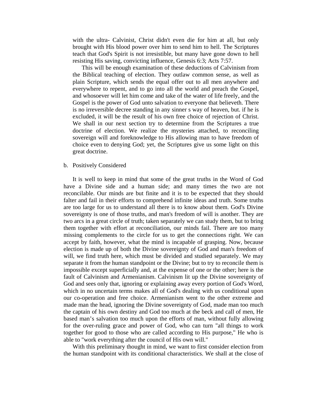with the ultra- Calvinist, Christ didn't even die for him at all, but only brought with His blood power over him to send him to hell. The Scriptures teach that God's Spirit is not irresistible, but many have gone down to hell resisting His saving, convicting influence, Genesis 6:3; Acts 7:57.

 This will be enough examination of these deductions of Calvinism from the Biblical teaching of election. They outlaw common sense, as well as plain Scripture, which sends the equal offer out to all men anywhere and everywhere to repent, and to go into all the world and preach the Gospel, and whosoever will let him come and take of the water of life freely, and the Gospel is the power of God unto salvation to everyone that believeth. There is no irreversible decree standing in any sinner s way of heaven, but. if he is excluded, it will be the result of his own free choice of rejection of Christ. We shall in our next section try to determine from the Scriptures a true doctrine of election. We realize the mysteries attached, to reconciling sovereign will and foreknowledge to His allowing man to have freedom of choice even to denying God; yet, the Scriptures give us some light on this great doctrine.

#### b. Positively Considered

 It is well to keep in mind that some of the great truths in the Word of God have a Divine side and a human side; and many times the two are not reconcilable. Our minds are but finite and it is to be expected that they should falter and fail in their efforts to comprehend infinite ideas and truth. Some truths are too large for us to understand all there is to know about them. God's Divine sovereignty is one of those truths, and man's freedom of will is another. They are two arcs in a great circle of truth; taken separately we can study them, but to bring them together with effort at reconciliation, our minds fail. There are too many missing complements to the circle for us to get the connections right. We can accept by faith, however, what the mind is incapable of grasping. Now, because election is made up of both the Divine sovereignty of God and man's freedom of will, we find truth here, which must be divided and studied separately. We may separate it from the human standpoint or the Divine; but to try to reconcile them is impossible except superficially and, at the expense of one or the other; here is the fault of Calvinism and Armenianism. Calvinism lit up the Divine sovereignty of God and sees only that, ignoring or explaining away every portion of God's Word, which in no uncertain terms makes all of God's dealing with us conditional upon our co-operation and free choice. Armenianism went to the other extreme and made man the head, ignoring the Divine sovereignty of God, made man too much the captain of his own destiny and God too much at the beck and call of men, He based man's salvation too much upon the efforts of man, without fully allowing for the over-ruling grace and power of God, who can turn "all things to work together for good to those who are called according to His purpose," He who is able to "work everything after the council of His own will."

 With this preliminary thought in mind, we want to first consider election from the human standpoint with its conditional characteristics. We shall at the close of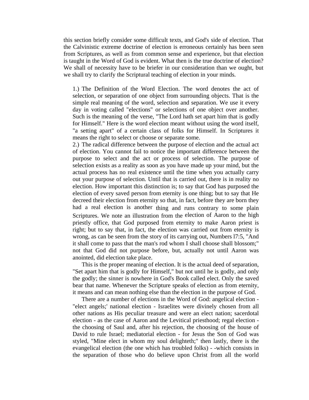this section briefly consider some difficult texts, and God's side of election. That the Calvinistic extreme doctrine of election is erroneous certainly has been seen from Scriptures, as well as from common sense and experience, but that election is taught in the Word of God is evident. What then is the true doctrine of election? We shall of necessity have to be briefer in our consideration than we ought, but we shall try to clarify the Scriptural teaching of election in your minds.

1.) The Definition of the Word Election. The word denotes the act of selection, or separation of one object from surrounding objects. That is the simple real meaning of the word, selection and separation. We use it every day in voting called "elections" or selections of one object over another. Such is the meaning of the verse, "The Lord hath set apart him that is godly for Himself." Here is the word election meant without using the word itself, "a setting apart" of a certain class of folks for Himself. In Scriptures it means the right to select or choose or separate some.

2.) The radical difference between the purpose of election and the actual act of election. You cannot fail to notice the important difference between the purpose to select and the act or process of selection. The purpose of selection exists as a reality as soon as you have made up your mind, but the actual process has no real existence until the time when you actually carry out your purpose of selection. Until that is carried out, there is in reality no election. How important this distinction is; to say that God has purposed the election of every saved person from eternity is one thing; but to say that He decreed their election from eternity so that, in fact, before they are born they had a real election is another thing and runs contrary to some plain Scriptures. We note an illustration from the election of Aaron to the high priestly office, that God purposed from eternity to make Aaron priest is right; but to say that, in fact, the election was carried out from eternity is wrong, as can be seen from the story of its carrying out, Numbers l7:5, "And it shall come to pass that the man's rod whom I shall choose shall blossom;" not that God did not purpose before, but, actually not until Aaron was anointed, did election take place.

 This is the proper meaning of election. It is the actual deed of separation, "Set apart him that is godly for Himself," but not until he is godly, and only the godly; the sinner is nowhere in God's Book called elect. Only the saved bear that name. Whenever the Scripture speaks of election as from eternity, it means and can mean nothing else than the election in the purpose of God.

 There are a number of elections in the Word of God: angelical election - "elect angels;' national election - Israelites were divinely chosen from all other nations as His peculiar treasure and were an elect nation; sacerdotal election - as the case of Aaron and the Levitical priesthood; regal election the choosing of Saul and, after his rejection, the choosing of the house of David to rule Israel; mediatorial election - for Jesus the Son of God was styled, "Mine elect in whom my soul delighteth;" then lastly, there is the evangelical election (the one which has troubled folks) - -which consists in the separation of those who do believe upon Christ from all the world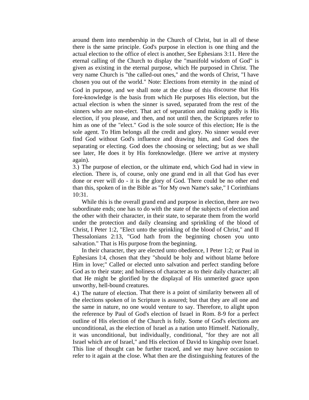around them into membership in the Church of Christ, but in all of these there is the same principle. God's purpose in election is one thing and the actual election to the office of elect is another, See Ephesians 3:11. Here the eternal calling of the Church to display the "manifold wisdom of God" is given as existing in the eternal purpose, which He purposed in Christ. The very name Church is "the called-out ones," and the words of Christ, "I have chosen you out of the world." Note: Elections from eternity in the mind of God in purpose, and we shall note at the close of this discourse that His fore-knowledge is the basis from which He purposes His election, but the actual election is when the sinner is saved, separated from the rest of the sinners who are non-elect. That act of separation and making godly is His election, if you please, and then, and not until then, the Scriptures refer to him as one of the "elect." God is the sole source of this election; He is the sole agent. To Him belongs all the credit and glory. No sinner would ever find God without God's influence and drawing him, and God does the separating or electing. God does the choosing or selecting; but as we shall see later, He does it by His foreknowledge. (Here we arrive at mystery again).

3.) The purpose of election, or the ultimate end, which God had in view in election. There is, of course, only one grand end in all that God has ever done or ever will do - it is the glory of God. There could be no other end than this, spoken of in the Bible as "for My own Name's sake," I Corinthians 10:31.

 While this is the overall grand end and purpose in election, there are two subordinate ends; one has to do with the state of the subjects of election and the other with their character, in their state, to separate them from the world under the protection and daily cleansing and sprinkling of the blood of Christ, I Peter 1:2, "Elect unto the sprinkling of the blood of Christ," and II Thessalonians 2:13, "God hath from the beginning chosen you unto salvation." That is His purpose from the beginning.

 In their character, they are elected unto obedience, I Peter 1:2; or Paul in Ephesians l:4, chosen that they "should be holy and without blame before Him in love;" Called or elected unto salvation and perfect standing before God as to their state; and holiness of character as to their daily character; all that He might be glorified by the displayal of His unmerited grace upon unworthy, hell-bound creatures.

4.) The nature of election. That there is a point of similarity between all of the elections spoken of in Scripture is assured; but that they are all one and the same in nature, no one would venture to say. Therefore, to alight upon the reference by Paul of God's election of Israel in Rom. 8-9 for a perfect outline of His election of the Church is folly. Some of God's elections are unconditional, as the election of Israel as a nation unto Himself. Nationally, it was unconditional, but individually, conditional, "for they are not all Israel which are of Israel," and His election of David to kingship over Israel. This line of thought can be further traced, and we may have occasion to refer to it again at the close. What then are the distinguishing features of the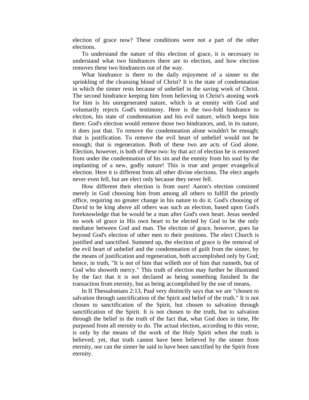election of grace now? These conditions were not a part of the other elections.

 To understand the nature of this election of grace, it is necessary to understand what two hindrances there are to election, and how election removes these two hindrances out of the way.

 What hindrance is there to the daily enjoyment of a sinner to the sprinkling of the cleansing blood of Christ? It is the state of condemnation in which the sinner rests because of unbelief in the saving work of Christ. The second hindrance keeping him from believing in Christ's atoning work for him is his unregenerated nature, which is at enmity with God and voluntarily rejects God's testimony. Here is the two-fold hindrance to election, his state of condemnation and his evil nature, which keeps him there. God's election would remove those two hindrances, and, in its nature, it does just that. To remove the condemnation alone wouldn't be enough; that is justification. To remove the evil heart of unbelief would not be enough; that is regeneration. Both of these two are acts of God alone. Election, however, is both of these two: by that act of election he is removed from under the condemnation of his sin and the enmity from his soul by the implanting of a new, godly nature! This is true and proper evangelical election. Here it is different from all other divine elections. The elect angels never even fell, but are elect only because they never fell.

 How different their election is from ours! Aaron's election consisted merely in God choosing him from among all others to fulfill the priestly office, requiring no greater change in his nature to do it. God's choosing of David to be king above all others was such an election, based upon God's foreknowledge that he would be a man after God's own heart. Jesus needed no work of grace in His own heart to be elected by God to be the only mediator between God and man. The election of grace, however, goes far beyond God's election of other men to their positions. The elect Church is justified and sanctified. Summed up, the election of grace is the removal of the evil heart of unbelief and the condemnation of guilt from the sinner, by the means of justification and regeneration, both accomplished only by God; hence, in truth, "It is not of him that willeth nor of him that runneth, but of God who showeth mercy." This truth of election may further be illustrated by the fact that it is not declared as being something finished In the transaction from eternity, but as being accomplished by the use of means,

 In II Thessalonians 2:13, Paul very distinctly says that we are "chosen to salvation through sanctification of the Spirit and belief of the truth." It is not chosen to sanctification of the Spirit, but chosen to salvation through sanctification of the Spirit. It is not chosen to the truth, but to salvation through the belief in the truth of the fact that, what God does in time, He purposed from all eternity to do. The actual election, according to this verse, is only by the means of the work of the Holy Spirit when the truth is believed; yet, that truth cannot have been believed by the sinner from eternity, nor can the sinner be said to have been sanctified by the Spirit from eternity.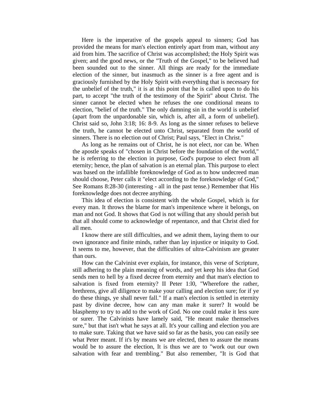Here is the imperative of the gospels appeal to sinners; God has provided the means for man's election entirely apart from man, without any aid from him. The sacrifice of Christ was accomplished; the Holy Spirit was given; and the good news, or the "Truth of the Gospel," to be believed had been sounded out to the sinner. All things are ready for the immediate election of the sinner, but inasmuch as the sinner is a free agent and is graciously furnished by the Holy Spirit with everything that is necessary for the unbelief of the truth," it is at this point that he is called upon to do his part, to accept "the truth of the testimony of the Spirit" about Christ. The sinner cannot be elected when he refuses the one conditional means to election, "belief of the truth." The only damning sin in the world is unbelief (apart from the unpardonable sin, which is, after all, a form of unbelief). Christ said so, John 3:18; 16: 8-9. As long as the sinner refuses to believe the truth, he cannot be elected unto Christ, separated from the world of sinners. There is no election out of Christ; Paul says, "Elect in Christ."

 As long as he remains out of Christ, he is not elect, nor can be. When the apostle speaks of "chosen in Christ before the foundation of the world," he is referring to the election in purpose, God's purpose to elect from all eternity; hence, the plan of salvation is an eternal plan. This purpose to elect was based on the infallible foreknowledge of God as to how undecreed man should choose, Peter calls it "elect according to the foreknowledge of God," See Romans 8:28-30 (interesting - all in the past tense.) Remember that His foreknowledge does not decree anything.

 This idea of election is consistent with the whole Gospel, which is for every man. It throws the blame for man's impenitence where it belongs, on man and not God. It shows that God is not willing that any should perish but that all should come to acknowledge of repentance, and that Christ died for all men.

 I know there are still difficulties, and we admit them, laying them to our own ignorance and finite minds, rather than lay injustice or iniquity to God. It seems to me, however, that the difficulties of ultra-Calvinism are greater than ours.

 How can the Calvinist ever explain, for instance, this verse of Scripture, still adhering to the plain meaning of words, and yet keep his idea that God sends men to hell by a fixed decree from eternity and that man's election to salvation is fixed from eternity? II Peter 1:l0, "Wherefore the rather, brethrens, give all diligence to make your calling and election sure; for if ye do these things, ye shall never fall." If a man's election is settled in eternity past by divine decree, how can any man make it surer? It would be blasphemy to try to add to the work of God. No one could make it less sure or surer. The Calvinists have lamely said, "He meant make themselves sure," but that isn't what he says at all. It's your calling and election you are to make sure. Taking that we have said so far as the basis, you can easily see what Peter meant. If it's by means we are elected, then to assure the means would be to assure the election, It is thus we are to "work out our own salvation with fear and trembling." But also remember, "It is God that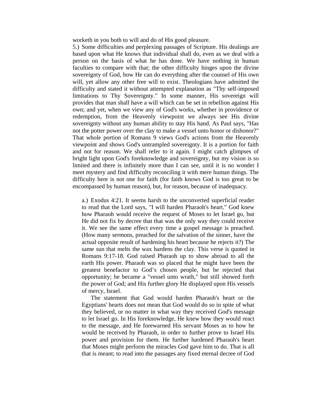worketh in you both to will and do of His good pleasure.

5.) Some difficulties and perplexing passages of Scripture. His dealings are based upon what He knows that individual shall do, even as we deal with a person on the basis of what he has done. We have nothing in human faculties to compare with that; the other difficulty hinges upon the divine sovereignty of God, how He can do everything after the counsel of His own will, yet allow any other free will to exist. Theologians have admitted the difficulty and stated it without attempted explanation as "Thy self-imposed limitations to Thy Sovereignty." In some manner, His sovereign will provides that man shall have a will which can be set in rebellion against His own; and yet, when we view any of God's works, whether in providence or redemption, from the Heavenly viewpoint we always see His divine sovereignty without any human ability to stay His hand. As Paul says, "Has not the potter power over the clay to make a vessel unto honor or dishonor?" That whole portion of Romans 9 views God's actions from the Heavenly viewpoint and shows God's untrampled sovereignty. It is a portion for faith and not for reason. We shall refer to it again. I might catch glimpses of bright light upon God's foreknowledge and sovereignty, but my vision is so limited and there is infinitely more than I can see, until it is no wonder I meet mystery and find difficulty reconciling it with mere human things. The difficulty here is not one for faith (for faith knows God is too great to be encompassed by human reason), but, for reason, because of inadequacy.

a.) Exodus 4:21. It seems harsh to the unconverted superficial reader to read that the Lord says, "I will harden Pharaoh's heart." God knew how Pharaoh would receive the request of Moses to let Israel go, but He did not fix by decree that that was the only way they could receive it. We see the same effect every time a gospel message is preached. (How many sermons, preached for the salvation of the sinner, have the actual opposite result of hardening his heart because he rejects it?) The same sun that melts the wax hardens the clay. This verse is quoted in Romans 9:17-18. God raised Pharaoh up to show abroad to all the earth His power. Pharaoh was so placed that he might have been the greatest benefactor to God's chosen people, but he rejected that opportunity; he became a "vessel unto wrath," but still showed forth the power of God; and His further glory He displayed upon His vessels of mercy, Israel.

 The statement that God would harden Pharaoh's heart or the Egyptians' hearts does not mean that God would do so in spite of what they believed, or no matter in what way they received God's message to let Israel go. In His foreknowledge, He knew how they would react to the message, and He forewarned His servant Moses as to how he would be received by Pharaoh, in order to further prove to Israel His power and provision for them. He further hardened Pharaoh's heart that Moses might perform the miracles God gave him to do. That is all that is meant; to read into the passages any fixed eternal decree of God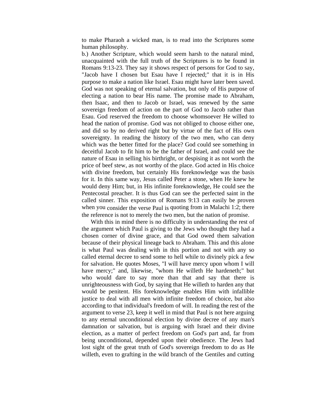to make Pharaoh a wicked man, is to read into the Scriptures some human philosophy.

b.) Another Scripture, which would seem harsh to the natural mind, unacquainted with the full truth of the Scriptures is to be found in Romans 9:13-23. They say it shows respect of persons for God to say, "Jacob have I chosen but Esau have I rejected;" that it is in His purpose to make a nation like Israel. Esau might have later been saved. God was not speaking of eternal salvation, but only of His purpose of electing a nation to bear His name. The promise made to Abraham, then Isaac, and then to Jacob or Israel, was renewed by the same sovereign freedom of action on the part of God to Jacob rather than Esau. God reserved the freedom to choose whomsoever He willed to head the nation of promise. God was not obliged to choose either one, and did so by no derived right but by virtue of the fact of His own sovereignty. In reading the history of the two men, who can deny which was the better fitted for the place? God could see something in deceitful Jacob to fit him to be the father of Israel, and could see the nature of Esau in selling his birthright, or despising it as not worth the price of beef stew, as not worthy of the place. God acted in His choice with divine freedom, but certainly His foreknowledge was the basis for it. In this same way, Jesus called Peter a stone, when He knew he would deny Him; but, in His infinite foreknowledge, He could see the Pentecostal preacher. It is thus God can see the perfected saint in the called sinner. This exposition of Romans 9:13 can easily be proven when you consider the verse Paul is quoting from in Malachi 1:2; there the reference is not to merely the two men, but the nation of promise.

 With this in mind there is no difficulty in understanding the rest of the argument which Paul is giving to the Jews who thought they had a chosen corner of divine grace, and that God owed them salvation because of their physical lineage back to Abraham. This and this alone is what Paul was dealing with in this portion and not with any so called eternal decree to send some to hell while to divinely pick a few for salvation. He quotes Moses, "I will have mercy upon whom I will have mercy;" and, likewise, "whom He willeth He hardeneth;" but who would dare to say more than that and say that there is unrighteousness with God, by saying that He willeth to harden any that would be penitent. His foreknowledge enables Him with infallible justice to deal with all men with infinite freedom of choice, but also according to that individual's freedom of will. In reading the rest of the argument to verse 23, keep it well in mind that Paul is not here arguing to any eternal unconditional election by divine decree of any man's damnation or salvation, but is arguing with Israel and their divine election, as a matter of perfect freedom on God's part and, far from being unconditional, depended upon their obedience. The Jews had lost sight of the great truth of God's sovereign freedom to do as He willeth, even to grafting in the wild branch of the Gentiles and cutting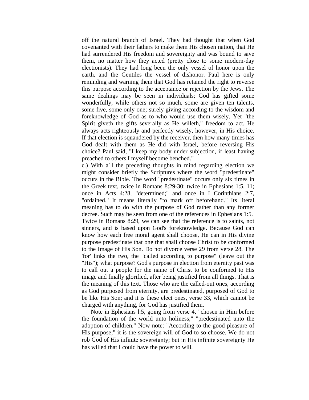off the natural branch of Israel. They had thought that when God covenanted with their fathers to make them His chosen nation, that He had surrendered His freedom and sovereignty and was bound to save them, no matter how they acted (pretty close to some modern-day electionists). They had long been the only vessel of honor upon the earth, and the Gentiles the vessel of dishonor. Paul here is only reminding and warning them that God has retained the right to reverse this purpose according to the acceptance or rejection by the Jews. The same dealings may be seen in individuals; God has gifted some wonderfully, while others not so much, some are given ten talents, some five, some only one; surely giving according to the wisdom and foreknowledge of God as to who would use them wisely. Yet "the Spirit giveth the gifts severally as He willeth," freedom to act. He always acts righteously and perfectly wisely, however, in His choice. If that election is squandered by the receiver, then how many times has God dealt with them as He did with Israel, before reversing His choice? Paul said, "I keep my body under subjection, if least having preached to others I myself become benched."

c.) With a1l the preceding thoughts in mind regarding election we might consider briefly the Scriptures where the word "predestinate" occurs in the Bible. The word "predestinate" occurs only six times in the Greek text, twice in Romans 8:29-30; twice in Ephesians 1:5, 11; once in Acts 4:28, "determined;" and once in I Corinthians 2:7, "ordained." It means literally "to mark off beforehand." Its literal meaning has to do with the purpose of God rather than any former decree. Such may be seen from one of the references in Ephesians 1:5. Twice in Romans 8:29, we can see that the reference is to saints, not sinners, and is based upon God's foreknowledge. Because God can know how each free moral agent shall choose, He can in His divine purpose predestinate that one that shall choose Christ to be conformed to the Image of His Son. Do not divorce verse 29 from verse 28. The 'for' links the two, the "called according to purpose" (leave out the "His"); what purpose? God's purpose in election from eternity past was to call out a people for the name of Christ to be conformed to His image and finally glorified, after being justified from all things. That is the meaning of this text. Those who are the called-out ones, according as God purposed from eternity, are predestinated, purposed of God to be like His Son; and it is these elect ones, verse 33, which cannot be charged with anything, for God has justified them.

 Note in Ephesians l:5, going from verse 4, "chosen in Him before the foundation of the world unto holiness;" "predestinated unto the adoption of children." Now note: "According to the good pleasure of His purpose;" it is the sovereign will of God to so choose. We do not rob God of His infinite sovereignty; but in His infinite sovereignty He has willed that I could have the power to will.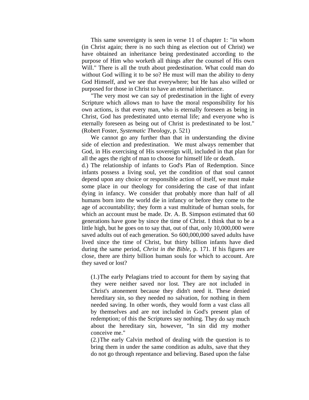This same sovereignty is seen in verse 11 of chapter 1: "in whom (in Christ again; there is no such thing as election out of Christ) we have obtained an inheritance being predestinated according to the purpose of Him who worketh all things after the counsel of His own Will." There is all the truth about predestination. What could man do without God willing it to be so? He must will man the ability to deny God Himself, and we see that everywhere; but He has also willed or purposed for those in Christ to have an eternal inheritance.

 "The very most we can say of predestination in the light of every Scripture which allows man to have the moral responsibility for his own actions, is that every man, who is eternally foreseen as being in Christ, God has predestinated unto eternal life; and everyone who is eternally foreseen as being out of Christ is predestinated to be lost." (Robert Foster, *Systematic Theology*, p. 521)

 We cannot go any further than that in understanding the divine side of election and predestination. We must always remember that God, in His exercising of His sovereign will, included in that plan for all the ages the right of man to choose for himself life or death.

d.) The relationship of infants to God's Plan of Redemption. Since infants possess a living soul, yet the condition of that soul cannot depend upon any choice or responsible action of itself, we must make some place in our theology for considering the case of that infant dying in infancy. We consider that probably more than half of all humans born into the world die in infancy or before they come to the age of accountability; they form a vast multitude of human souls, for which an account must be made. Dr. A. B. Simpson estimated that 60 generations have gone by since the time of Christ. I think that to be a little high, but he goes on to say that, out of that, only 10,000,000 were saved adults out of each generation. So 600,000,000 saved adults have lived since the time of Christ, but thirty billion infants have died during the same period, *Christ in the Bible*, p. 171. If his figures are close, there are thirty billion human souls for which to account. Are they saved or lost?

(1.) The early Pelagians tried to account for them by saying that they were neither saved nor lost. They are not included in Christ's atonement because they didn't need it. These denied hereditary sin, so they needed no salvation, for nothing in them needed saving. In other words, they would form a vast class all by themselves and are not included in God's present plan of redemption; of this the Scriptures say nothing. They do say much about the hereditary sin, however, "In sin did my mother conceive me."

(2.) The early Calvin method of dealing with the question is to bring them in under the same condition as adults, save that they do not go through repentance and believing. Based upon the false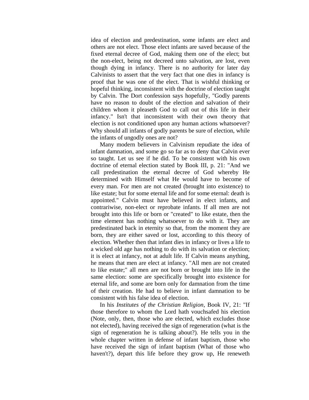idea of election and predestination, some infants are elect and others are not elect. Those elect infants are saved because of the fixed eternal decree of God, making them one of the elect; but the non-elect, being not decreed unto salvation, are lost, even though dying in infancy. There is no authority for later day Calvinists to assert that the very fact that one dies in infancy is proof that he was one of the elect. That is wishful thinking or hopeful thinking, inconsistent with the doctrine of election taught by Calvin. The Dort confession says hopefully, "Godly parents have no reason to doubt of the election and salvation of their children whom it pleaseth God to call out of this life in their infancy." Isn't that inconsistent with their own theory that election is not conditioned upon any human actions whatsoever? Why should all infants of godly parents be sure of election, while the infants of ungodly ones are not?

 Many modern believers in Calvinism repudiate the idea of infant damnation, and some go so far as to deny that Calvin ever so taught. Let us see if he did. To be consistent with his own doctrine of eternal election stated by Book III, p. 21: "And we call predestination the eternal decree of God whereby He determined with Himself what He would have to become of every man. For men are not created (brought into existence) to like estate; but for some eternal life and for some eternal: death is appointed." Calvin must have believed in elect infants, and contrariwise, non-elect or reprobate infants. If all men are not brought into this life or born or "created" to like estate, then the time element has nothing whatsoever to do with it. They are predestinated back in eternity so that, from the moment they are born, they are either saved or lost, according to this theory of election. Whether then that infant dies in infancy or lives a life to a wicked old age has nothing to do with its salvation or election; it is elect at infancy, not at adult life. If Calvin means anything, he means that men are elect at infancy. "All men are not created to like estate;" all men are not born or brought into life in the same election: some are specifically brought into existence for eternal life, and some are born only for damnation from the time of their creation. He had to believe in infant damnation to be consistent with his false idea of election.

 In his *Institutes of the Christian Religion*, Book IV, 21: "If those therefore to whom the Lord hath vouchsafed his election (Note, only, then, those who are elected, which excludes those not elected), having received the sign of regeneration (what is the sign of regeneration he is talking about?). He tells you in the whole chapter written in defense of infant baptism, those who have received the sign of infant baptism (What of those who haven't?), depart this life before they grow up, He reneweth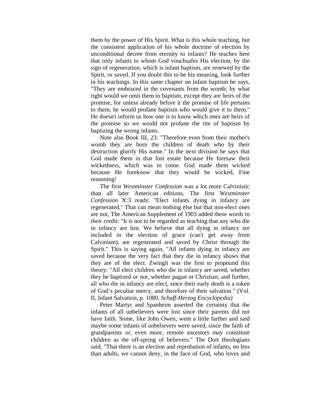them by the power of His Spirit. What is this whole teaching, but the consistent application of his whole doctrine of election by unconditional decree from eternity to infants? He teaches here that only infants to whom God vouchsafes His election, by the sign of regeneration, which is infant baptism, are renewed by the Spirit, or saved. If you doubt this to be his meaning, look further in his teachings. In this same chapter on infant baptism he says, "They are embraced in the covenants from the womb; by what right would we omit them to baptism, except they are heirs of the promise, for unless already before it the promise of life pertains to them, he would profane baptism who would give it to them," He doesn't inform us how one is to know which ones are heirs of the promise so we would not profane the rite of baptism by baptizing the wrong infants.

 Note also Book III, 23: "Therefore even from their mother's womb they are born the children of death who by their destruction glorify His name." In the next division he says that God made them in that lost estate because He foresaw their wickedness, which was to come. God made them wicked because He foreknow that they would be wicked, Fine reasoning!

 The first *Westminster Confession* was a lot more Calvinistic than all later American editions. The first *Westminster Confession* X:3 reads: "Elect infants dying in infancy are regenerated," That can mean nothing else but that non-elect ones are not, The American Supplement of 1903 added these words to their credit: "It is not to be regarded as teaching that any who die in infancy are lost. We believe that all dying in infancy are included in the election of grace (can't get away from Calvinism), are regenerated and saved by Christ through the Spirit." This is saying again, "All infants dying in infancy are saved because the very fact that they die in infancy shows that they are of the elect. Zwingli was the first to propound this theory: "All elect children who die in infancy are saved, whether they be baptized or not, whether pagan or Christian; and further, all who die in infancy are elect, since their early death is a token of God's peculiar mercy, and therefore of their salvation." (Vol. II, Infant Salvation, p. 1080, *Schaff-Herzog Encyclopedia)* 

Peter Martyr and Spanheim asserted the certainty that the infants of all unbelievers were lost since their parents did not have faith. Some, like John Owen, went a little farther and said maybe some infants of unbelievers were saved, since the faith of grandparents or, even more, remote ancestors may constitute children as the off-spring of believers." The Dort theologians said, "That there is an election and reprobation of infants, no less than adults, we cannot deny, in the face of God, who loves and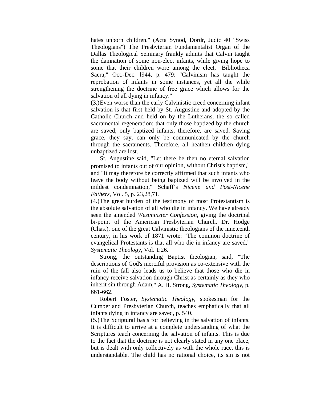hates unborn children." (Acta Synod, Dordr, Judic 40 "Swiss Theologians") The Presbyterian Fundamentalist Organ of the Dallas Theological Seminary frankly admits that Calvin taught the damnation of some non-elect infants, while giving hope to some that their children wore among the elect, "Bibliotheca Sacra," Oct.-Dec. l944, p. 479: "Calvinism has taught the reprobation of infants in some instances, yet all the while strengthening the doctrine of free grace which allows for the salvation of all dying in infancy."

(3.) Even worse than the early Calvinistic creed concerning infant salvation is that first held by St. Augustine and adopted by the Catholic Church and held on by the Lutherans, the so called sacramental regeneration: that only those baptized by the church are saved; only baptized infants, therefore, are saved. Saving grace, they say, can only be communicated by the church through the sacraments. Therefore, all heathen children dying unbaptized are lost.

 St. Augustine said, "Let there be then no eternal salvation promised to infants out of our opinion, without Christ's baptism," and "It may therefore be correctly affirmed that such infants who leave the body without being baptized will be involved in the mildest condemnation," Schaff's *Nicene and Post-Nicene Fathers*, Vol. 5, p. 23,28,71.

(4.) The great burden of the testimony of most Protestantism is the absolute salvation of all who die in infancy. We have already seen the amended *Westminster Confession*, giving the doctrinal bi-point of the American Presbyterian Church. Dr. Hodge (Chas.), one of the great Calvinistic theologians of the nineteenth century, in his work of 1871 wrote: "The common doctrine of evangelical Protestants is that all who die in infancy are saved," *Systematic Theology*, Vol. 1:26.

 Strong, the outstanding Baptist theologian, said, "The descriptions of God's merciful provision as co-extensive with the ruin of the fall also leads us to believe that those who die in infancy receive salvation through Christ as certainly as they who inherit sin through Adam," A. H. Strong, *Systematic Theology*, p. 661-662.

 Robert Foster, *Systematic Theology*, spokesman for the Cumberland Presbyterian Church, teaches emphatically that all infants dying in infancy are saved, p. 540.

(5.) The Scriptural basis for believing in the salvation of infants. It is difficult to arrive at a complete understanding of what the Scriptures teach concerning the salvation of infants. This is due to the fact that the doctrine is not clearly stated in any one place, but is dealt with only collectively as with the whole race, this is understandable. The child has no rational choice, its sin is not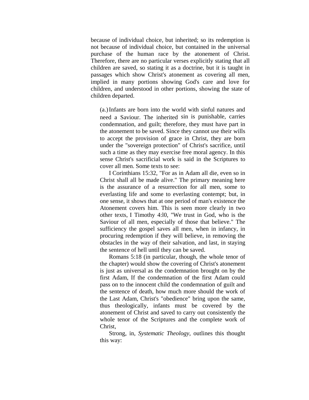because of individual choice, but inherited; so its redemption is not because of individual choice, but contained in the universal purchase of the human race by the atonement of Christ. Therefore, there are no particular verses explicitly stating that all children are saved, so stating it as a doctrine, but it is taught in passages which show Christ's atonement as covering all men, implied in many portions showing God's care and love for children, and understood in other portions, showing the state of children departed.

(a.) Infants are born into the world with sinful natures and need a Saviour. The inherited sin is punishable, carries condemnation, and guilt; therefore, they must have part in the atonement to be saved. Since they cannot use their wills to accept the provision of grace in Christ, they are born under the "sovereign protection" of Christ's sacrifice, until such a time as they may exercise free moral agency. In this sense Christ's sacrificial work is said in the Scriptures to cover all men. Some texts to see:

 I Corinthians 15:32, "For as in Adam all die, even so in Christ shall all be made alive." The primary meaning here is the assurance of a resurrection for all men, some to everlasting life and some to everlasting contempt; but, in one sense, it shows that at one period of man's existence the Atonement covers him. This is seen more clearly in two other texts, I Timothy 4:l0, "We trust in God, who is the Saviour of all men, especially of those that believe." The sufficiency the gospel saves all men, when in infancy, in procuring redemption if they will believe, in removing the obstacles in the way of their salvation, and last, in staying the sentence of hell until they can be saved.

 Romans 5:18 (in particular, though, the whole tenor of the chapter) would show the covering of Christ's atonement is just as universal as the condemnation brought on by the first Adam, If the condemnation of the first Adam could pass on to the innocent child the condemnation of guilt and the sentence of death, how much more should the work of the Last Adam, Christ's "obedience" bring upon the same, thus theologically, infants must be covered by the atonement of Christ and saved to carry out consistently the whole tenor of the Scriptures and the complete work of Christ,

 Strong, in, *Systematic Theology*, outlines this thought this way: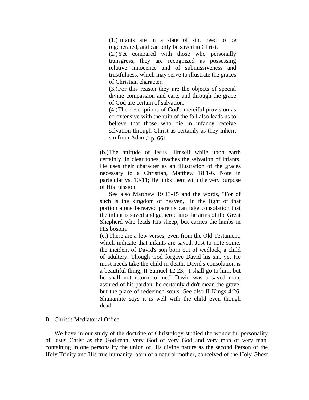(1.) Infants are in a state of sin, need to be regenerated, and can only be saved in Christ.

(2.) Yet compared with those who personally transgress, they are recognized as possessing relative innocence and of submissiveness and trustfulness, which may serve to illustrate the graces of Christian character.

(3.) For this reason they are the objects of special divine compassion and care, and through the grace of God are certain of salvation.

(4.) The descriptions of God's merciful provision as co-extensive with the ruin of the fall also leads us to believe that those who die in infancy receive salvation through Christ as certainly as they inherit sin from Adam," p. 661.

(b.) The attitude of Jesus Himself while upon earth certainly, in clear tones, teaches the salvation of infants. He uses their character as an illustration of the graces necessary to a Christian, Matthew 18:1-6. Note in particular vs. 10-11; He links them with the very purpose of His mission.

 See also Matthew 19:13-15 and the words, "For of such is the kingdom of heaven," In the light of that portion alone bereaved parents can take consolation that the infant is saved and gathered into the arms of the Great Shepherd who leads His sheep, but carries the lambs in His bosom.

(c.) There are a few verses, even from the Old Testament, which indicate that infants are saved. Just to note some: the incident of David's son born out of wedlock, a child of adultery. Though God forgave David his sin, yet He must needs take the child in death, David's consolation is a beautiful thing, II Samuel 12:23, "I shall go to him, but he shall not return to me." David was a saved man, assured of his pardon; he certainly didn't mean the grave, but the place of redeemed souls. See also II Kings 4:26, Shunamite says it is well with the child even though dead.

## B. Christ's Mediatorial Office

 We have in our study of the doctrine of Christology studied the wonderful personality of Jesus Christ as the God-man, very God of very God and very man of very man, containing in one personality the union of His divine nature as the second Person of the Holy Trinity and His true humanity, born of a natural mother, conceived of the Holy Ghost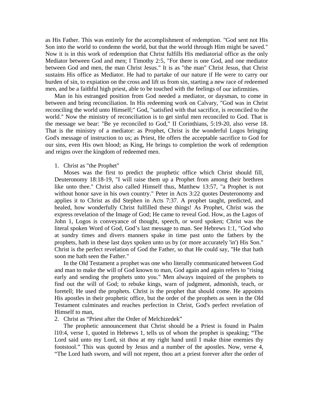as His Father. This was entirely for the accomplishment of redemption. "God sent not His Son into the world to condemn the world, but that the world through Him might be saved." Now it is in this work of redemption that Christ fulfills His mediatorial office as the only Mediator between God and men; I Timothy 2:5, "For there is one God, and one mediator between God and men, the man Christ Jesus." It is as "the man" Christ Jesus, that Christ sustains His office as Mediator. He had to partake of our nature if He were to carry our burden of sin, to expiation on the cross and lift us from sin, starting a new race of redeemed men, and be a faithful high priest, able to be touched with the feelings of our infirmities.

 Man in his estranged position from God needed a mediator, or daysman, to come in between and bring reconciliation. In His redeeming work on Calvary, "God was in Christ reconciling the world unto Himself;" God, "satisfied with that sacrifice, is reconciled to the world." Now the ministry of reconciliation is to get sinful men reconciled to God. That is the message we bear: "Be ye reconciled to God," II Corinthians, 5:19-20, also verse 18. That is the ministry of a mediator: as Prophet, Christ is the wonderful Logos bringing God's message of instruction to us; as Priest, He offers the acceptable sacrifice to God for our sins, even His own blood; as King, He brings to completion the work of redemption and reigns over the kingdom of redeemed men.

#### 1. Christ as "the Prophet"

 Moses was the first to predict the prophetic office which Christ should fill, Deuteronomy 18:18-19, "I will raise them up a Prophet from among their brethren like unto thee." Christ also called Himself thus, Matthew 13:57, "a Prophet is not without honor save in his own country." Peter in Acts 3:22 quotes Deuteronomy and applies it to Christ as did Stephen in Acts 7:37. A prophet taught, predicted, and healed, how wonderfully Christ fulfilled these things! As Prophet, Christ was the express revelation of the Image of God; He came to reveal God. How, as the Lagos of John 1, Logos is conveyance of thought, speech, or word spoken; Christ was the literal spoken Word of God, God's last message to man. See Hebrews 1:1, "God who at sundry times and divers manners spake in time past unto the fathers by the prophets, hath in these last days spoken unto us by (or more accurately 'in') His Son." Christ is the perfect revelation of God the Father, so that He could say, "He that hath soon me hath seen the Father."

 In the Old Testament a prophet was one who literally communicated between God and man to make the will of God known to man, God again and again refers to "rising early and sending the prophets unto you." Men always inquired of the prophets to find out the will of God; to rebuke kings, warn of judgment, admonish, teach, or foretell; He used the prophets. Christ is the prophet that should come. He appoints His apostles in their prophetic office, but the order of the prophets as seen in the Old Testament culminates and reaches perfection in Christ, God's perfect revelation of Himself to man,

2. Christ as "Priest after the Order of Melchizedek"

 The prophetic announcement that Christ should be a Priest is found in Psalm l10:4, verse 1, quoted in Hebrews 1, tells us of whom the prophet is speaking; "The Lord said unto my Lord, sit thou at my right hand until I make thine enemies thy footstool." This was quoted by Jesus and a number of the apostles. Now, verse 4, "The Lord hath sworn, and will not repent, thou art a priest forever after the order of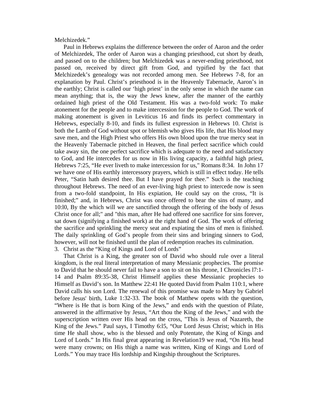Melchizedek."

 Paul in Hebrews explains the difference between the order of Aaron and the order of Melchizedek, The order of Aaron was a changing priesthood, cut short by death, and passed on to the children; but Melchizedek was a never-ending priesthood, not passed on, received by direct gift from God, and typified by the fact that Melchizedek's genealogy was not recorded among men. See Hebrews 7-8, for an explanation by Paul. Christ's priesthood is in the Heavenly Tabernacle, Aaron's in the earthly; Christ is called our 'high priest' in the only sense in which the name can mean anything; that is, the way the Jews knew, after the manner of the earthly ordained high priest of the Old Testament. His was a two-fold work: To make atonement for the people and to make intercession for the people to God. The work of making atonement is given in Leviticus 16 and finds its perfect commentary in Hebrews, especially 8-10, and finds its fullest expression in Hebrews 10. Christ is both the Lamb of God without spot or blemish who gives His life, that His blood may save men, and the High Priest who offers His own blood upon the true mercy seat in the Heavenly Tabernacle pitched in Heaven, the final perfect sacrifice which could take away sin, the one perfect sacrifice which is adequate to the need and satisfactory to God, and He intercedes for us now in His living capacity, a faithful high priest, Hebrews 7:25, "He ever liveth to make intercession for us," Romans 8:34. In John 17 we have one of His earthly intercessory prayers, which is still in effect today. He tells Peter, "Satin hath desired thee. But I have prayed for thee." Such is the teaching throughout Hebrews. The need of an ever-living high priest to intercede now is seen from a two-fold standpoint, In His expiation, He could say on the cross, "It is finished;" and, in Hebrews, Christ was once offered to bear the sins of many, and 10:l0, By the which will we are sanctified through the offering of the body of Jesus Christ once for all;" and "this man, after He had offered one sacrifice for sins forever, sat down (signifying a finished work) at the right hand of God. The work of offering the sacrifice and sprinkling the mercy seat and expiating the sins of men is finished. The daily sprinkling of God's people from their sins and bringing sinners to God, however, will not be finished until the plan of redemption reaches its culmination.

3. Christ as the "King of Kings and Lord of Lords"

 That Christ is a King, the greater son of David who should rule over a literal kingdom, is the real literal interpretation of many Messianic prophecies. The promise to David that he should never fail to have a son to sit on his throne, I Chronicles l7:1- 14 and Psalm 89:35-38, Christ Himself applies these Messianic prophecies to Himself as David's son. In Matthew 22:41 He quoted David from Psalm 110:1, where David calls his son Lord. The renewal of this promise was made to Mary by Gabriel before Jesus' birth, Luke 1:32-33. The book of Matthew opens with the question, "Where is He that is born King of the Jews," and ends with the question of Pilate, answered in the affirmative by Jesus, "Art thou the King of the Jews," and with the superscription written over His head on the cross, "This is Jesus of Nazareth, the King of the Jews." Paul says, I Timothy 6:l5, "Our Lord Jesus Christ; which in His time He shall show, who is the blessed and only Potentate, the King of Kings and Lord of Lords." In His final great appearing in Revelation19 we read, "On His head were many crowns; on His thigh a name was written, King of Kings and Lord of Lords." You may trace His lordship and Kingship throughout the Scriptures.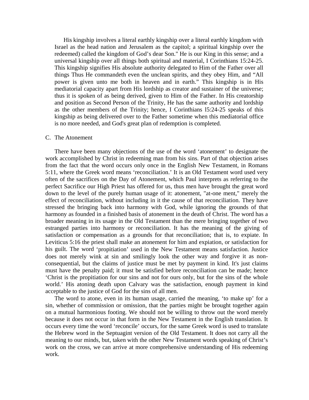His kingship involves a literal earthly kingship over a literal earthly kingdom with Israel as the head nation and Jerusalem as the capitol; a spiritual kingship over the redeemed) called the kingdom of God's dear Son." He is our King in this sense; and a universal kingship over all things both spiritual and material, I Corinthians 15:24-25. This kingship signifies His absolute authority delegated to Him of the Father over all things Thus He commandeth even the unclean spirits, and they obey Him, and "All power is given unto me both in heaven and in earth." This kingship is in His mediatorial capacity apart from His lordship as creator and sustainer of the universe; thus it is spoken of as being derived, given to Him of the Father. In His creatorship and position as Second Person of the Trinity, He has the same authority and lordship as the other members of the Trinity; hence, I Corinthians l5:24-25 speaks of this kingship as being delivered over to the Father sometime when this mediatorial office is no more needed, and God's great plan of redemption is completed.

#### C. The Atonement

 There have been many objections of the use of the word 'atonement' to designate the work accomplished by Christ in redeeming man from his sins. Part of that objection arises from the fact that the word occurs only once in the English New Testament, in Romans 5:11, where the Greek word means 'reconciliation.' It is an Old Testament word used very often of the sacrifices on the Day of Atonement, which Paul interprets as referring to the perfect Sacrifice our High Priest has offered for us, thus men have brought the great word down to the level of the purely human usage of it: atonement, "at-one ment," merely the effect of reconciliation, without including in it the cause of that reconciliation. They have stressed the bringing back into harmony with God, while ignoring the grounds of that harmony as founded in a finished basis of atonement in the death of Christ. The word has a broader meaning in its usage in the Old Testament than the mere bringing together of two estranged parties into harmony or reconciliation. It has the meaning of the giving of satisfaction or compensation as a grounds for that reconciliation; that is, to expiate. In Leviticus 5:16 the priest shall make an atonement for him and expiation, or satisfaction for his guilt. The word 'propitiation' used in the New Testament means satisfaction. Justice does not merely wink at sin and smilingly look the other way and forgive it as nonconsequential, but the claims of justice must be met by payment in kind. It's just claims must have the penalty paid; it must be satisfied before reconciliation can be made; hence 'Christ is the propitiation for our sins and not for ours only, but for the sins of the whole world.' His atoning death upon Calvary was the satisfaction, enough payment in kind acceptable to the justice of God for the sins of all men.

 The word to atone, even in its human usage, carried the meaning, 'to make up' for a sin, whether of commission or omission, that the parties might be brought together again on a mutual harmonious footing. We should not be willing to throw out the word merely because it does not occur in that form in the New Testament in the English translation. It occurs every time the word 'reconcile' occurs, for the same Greek word is used to translate the Hebrew word in the Septuagint version of the Old Testament. It does not carry all the meaning to our minds, but, taken with the other New Testament words speaking of Christ's work on the cross, we can arrive at more comprehensive understanding of His redeeming work.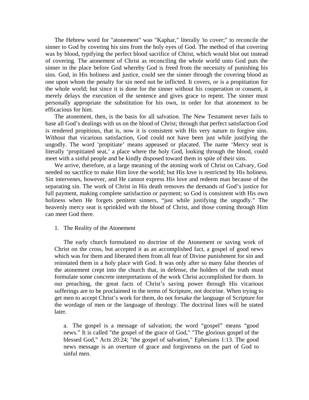The Hebrew word for "atonement" was "Kaphar," literally 'to cover;" to reconcile the sinner to God by covering his sins from the holy eyes of God. The method of that covering was by blood, typifying the perfect blood sacrifice of Christ, which would blot out instead of covering. The atonement of Christ as reconciling the whole world unto God puts the sinner in the place before God whereby God is freed from the necessity of punishing his sins. God, in His holiness and justice, could see the sinner through the covering blood as one upon whom the penalty for sin need not be inflicted. It covers, or is a propitiation for the whole world; but since it is done for the sinner without his cooperation or consent, it merely delays the execution of the sentence and gives grace to repent. The sinner must personally appropriate the substitution for his own, in order for that atonement to be efficacious for him.

 The atonement, then, is the basis for all salvation. The New Testament never fails to base all God's dealings with us on the blood of Christ; through that perfect satisfaction God is rendered propitious, that is, now it is consistent with His very nature to forgive sins. Without that vicarious satisfaction, God could not have been just while justifying the ungodly. The word 'propitiate' means appeased or placated. The name 'Mercy seat is literally 'propitiated seat,' a place where the holy God, looking through the blood, could meet with a sinful people and be kindly disposed toward them in spite of their sins.

 We arrive, therefore, at a large meaning of the atoning work of Christ on Calvary, God needed no sacrifice to make Him love the world; but His love is restricted by His holiness. Sin intervenes, however, and He cannot express His love and redeem man because of the separating sin. The work of Christ in His death removes the demands of God's justice for full payment, making complete satisfaction or payment; so God is consistent with His own holiness when He forgets penitent sinners, "just while justifying the ungodly." The heavenly mercy seat is sprinkled with the blood of Christ, and those coming through Him can meet God there.

### 1. The Reality of the Atonement

 The early church formulated no doctrine of the Atonement or saving work of Christ on the cross, but accepted it as an accomplished fact, a gospel of good news which was for them and liberated them from all fear of Divine punishment for sin and reinstated them in a holy place with God. It was only after so many false theories of the atonement crept into the church that, in defense, the holders of the truth must formulate some concrete interpretations of the work Christ accomplished for thorn. In our preaching, the great facts of Christ's saving power through His vicarious sufferings are to be proclaimed in the terms of Scripture, not doctrine. When trying to get men to accept Christ's work for them, do not forsake the language of Scripture for the wordage of men or the language of theology. The doctrinal lines will be stated later.

a. The gospel is a message of salvation; the word "gospel" means "good news." It is called "the gospel of the grace of God," "The glorious gospel of the blessed God," Acts 20:24; "the gospel of salvation," Ephesians 1:13. The good news message is an overture of grace and forgiveness on the part of God to sinful men.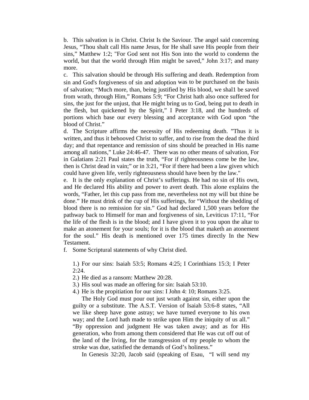b. This salvation is in Christ. Christ Is the Saviour. The angel said concerning Jesus, "Thou shalt call His name Jesus, for He shall save His people from their sins," Matthew 1:2; "For God sent not His Son into the world to condemn the world, but that the world through Him might be saved," John 3:17; and many more.

c. This salvation should be through His suffering and death. Redemption from sin and God's forgiveness of sin and adoption was to be purchased on the basis of salvation; "Much more, than, being justified by His blood, we shal1 be saved from wrath, through Him," Romans 5:9; "For Christ hath also once suffered for sins, the just for the unjust, that He might bring us to God, being put to death in the flesh, but quickened by the Spirit," I Peter 3:18, and the hundreds of portions which base our every blessing and acceptance with God upon "the blood of Christ."

d. The Scripture affirms the necessity of His redeeming death. "Thus it is written, and thus it behooved Christ to suffer, and to rise from the dead the third day; and that repentance and remission of sins should be preached in His name among all nations," Luke 24:46-47. There was no other means of salvation, For in Galatians 2:21 Paul states the truth, "For if righteousness come be the law, then is Christ dead in vain;" or in 3:21, "For if there had been a law given which could have given life, verily righteousness should have been by the law."

e. It is the only explanation of Christ's sufferings. He had no sin of His own, and He declared His ability and power to avert death. This alone explains the words, "Father, let this cup pass from me, nevertheless not my will but thine be done." He must drink of the cup of His sufferings, for "Without the shedding of blood there is no remission for sin." God had declared 1,500 years before the pathway back to Himself for man and forgiveness of sin, Leviticus 17:11, "For the life of the flesh is in the blood; and I have given it to you upon the altar to make an atonement for your souls; for it is the blood that maketh an atonement for the soul." His death is mentioned over 175 times directly In the New Testament.

f. Some Scriptural statements of why Christ died.

1.) For our sins: Isaiah 53:5; Romans 4:25; I Corinthians 15:3; I Peter  $2:24.$ 

2.) He died as a ransom: Matthew 20:28.

3.) His soul was made an offering for sin: Isaiah 53:10.

4.) He is the propitiation for our sins: I John 4: 10; Romans 3:25.

 The Holy God must pour out just wrath against sin, either upon the guilty or a substitute. The A.S.T. Version of Isaiah 53:6-8 states, "All we like sheep have gone astray; we have turned everyone to his own way; and the Lord hath made to strike upon Him the iniquity of us all." "By oppression and judgment He was taken away; and as for His generation, who from among them considered that He was cut off out of the land of the living, for the transgression of my people to whom the stroke was due, satisfied the demands of God's holiness."

In Genesis 32:20, Jacob said (speaking of Esau, "I will send my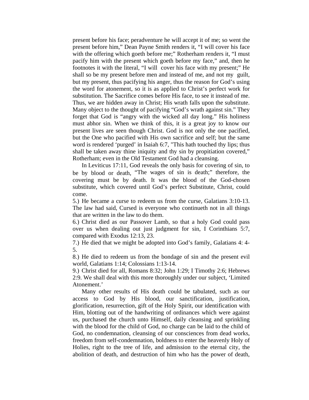present before his face; peradventure he will accept it of me; so went the present before him," Dean Payne Smith renders it, "I will cover his face with the offering which goeth before me;" Rotherham renders it, "I must pacify him with the present which goeth before my face," and, then he footnotes it with the literal, "I will cover his face with my present;" He shall so be my present before men and instead of me, and not my guilt, but my present, thus pacifying his anger, thus the reason for God's using the word for atonement, so it is as applied to Christ's perfect work for substitution. The Sacrifice comes before His face, to see it instead of me. Thus, we are hidden away in Christ; His wrath falls upon the substitute. Many object to the thought of pacifying "God's wrath against sin." They forget that God is "angry with the wicked all day long." His holiness must abhor sin. When we think of this, it is a great joy to know our present lives are seen though Christ. God is not only the one pacified, but the One who pacified with His own sacrifice and self; but the same word is rendered 'purged' in Isaiah 6:7, "This hath touched thy lips; thus shall be taken away thine iniquity and thy sin by propitiation covered," Rotherham; even in the Old Testament God had a cleansing.

 In Leviticus 17:11, God reveals the only basis for covering of sin, to be by blood or death, "The wages of sin is death;" therefore, the covering must be by death. It was the blood of the God-chosen substitute, which covered until God's perfect Substitute, Christ, could come.

5.) He became a curse to redeem us from the curse, Galatians 3:10-13. The law had said, Cursed is everyone who continueth not in all things that are written in the law to do them.

6.) Christ died as our Passover Lamb, so that a holy God could pass over us when dealing out just judgment for sin, I Corinthians 5:7, compared with Exodus 12:13, 23.

7.) He died that we might be adopted into God's family, Galatians 4: 4- 5.

8.) He died to redeem us from the bondage of sin and the present evil world, Galatians 1:14; Colossians 1:13-14.

9.) Christ died for all, Romans 8:32; John 1:29; I Timothy 2:6; Hebrews 2:9. We shall deal with this more thoroughly under our subject, 'Limited Atonement.'

 Many other results of His death could be tabulated, such as our access to God by His blood, our sanctification, justification, glorification, resurrection, gift of the Holy Spirit, our identification with Him, blotting out of the handwriting of ordinances which were against us, purchased the church unto Himself, daily cleansing and sprinkling with the blood for the child of God, no charge can be laid to the child of God, no condemnation, cleansing of our consciences from dead works, freedom from self-condemnation, boldness to enter the heavenly Holy of Holies, right to the tree of life, and admission to the eternal city, the abolition of death, and destruction of him who has the power of death,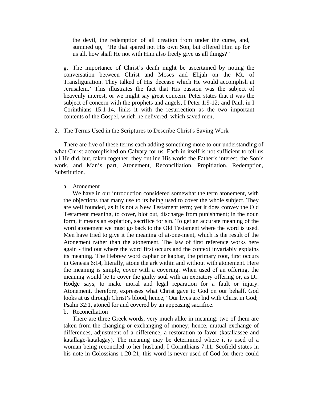the devil, the redemption of all creation from under the curse, and, summed up, "He that spared not His own Son, but offered Him up for us all, how shall He not with Him also freely give us all things?"

g. The importance of Christ's death might be ascertained by noting the conversation between Christ and Moses and Elijah on the Mt. of Transfiguration. They talked of His 'decease which He would accomplish at Jerusalem.' This illustrates the fact that His passion was the subject of heavenly interest, or we might say great concern. Peter states that it was the subject of concern with the prophets and angels, I Peter 1:9-12; and Paul, in I Corinthians 15:1-14, links it with the resurrection as the two important contents of the Gospel, which he delivered, which saved men,

## 2. The Terms Used in the Scriptures to Describe Christ's Saving Work

 There are five of these terms each adding something more to our understanding of what Christ accomplished on Calvary for us. Each in itself is not sufficient to tell us all He did, but, taken together, they outline His work: the Father's interest, the Son's work, and Man's part, Atonement, Reconciliation, Propitiation, Redemption, Substitution.

#### a. Atonement

 We have in our introduction considered somewhat the term atonement, with the objections that many use to its being used to cover the whole subject. They are well founded, as it is not a New Testament term; yet it does convey the Old Testament meaning, to cover, blot out, discharge from punishment; in the noun form, it means an expiation, sacrifice for sin. To get an accurate meaning of the word atonement we must go back to the Old Testament where the word is used. Men have tried to give it the meaning of at-one-ment, which is the result of the Atonement rather than the atonement. The law of first reference works here again - find out where the word first occurs and the context invariably explains its meaning. The Hebrew word caphar or kaphar, the primary root, first occurs in Genesis 6:14, literally, atone the ark within and without with atonement. Here the meaning is simple, cover with a covering. When used of an offering, the meaning would be to cover the guilty soul with an expiatory offering or, as Dr. Hodge says, to make moral and legal reparation for a fault or injury. Atonement, therefore, expresses what Christ gave to God on our behalf. God looks at us through Christ's blood, hence, "Our lives are hid with Christ in God; Psalm 32:1, atoned for and covered by an appeasing sacrifice.

#### b. Reconciliation

 There are three Greek words, very much alike in meaning: two of them are taken from the changing or exchanging of money; hence, mutual exchange of differences, adjustment of a difference, a restoration to favor (katallassee and katallage-katalagay). The meaning may be determined where it is used of a woman being reconciled to her husband, I Corinthians 7:11. Scofield states in his note in Colossians 1:20-21; this word is never used of God for there could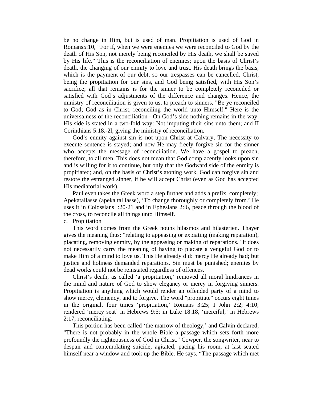be no change in Him, but is used of man. Propitiation is used of God in Romans5:10, "For if, when we were enemies we were reconciled to God by the death of His Son, not merely being reconciled by His death, we shall be saved by His life." This is the reconciliation of enemies; upon the basis of Christ's death, the changing of our enmity to love and trust. His death brings the basis, which is the payment of our debt, so our trespasses can be cancelled. Christ, being the propitiation for our sins, and God being satisfied, with His Son's sacrifice; all that remains is for the sinner to be completely reconciled or satisfied with God's adjustments of the difference and changes. Hence, the ministry of reconciliation is given to us, to preach to sinners, "Be ye reconciled to God; God as in Christ, reconciling the world unto Himself." Here is the universalness of the reconciliation - On God's side nothing remains in the way. His side is stated in a two-fold way: Not imputing their sins unto them; and II Corinthians 5:18.-2l, giving the ministry of reconciliation.

 God's enmity against sin is not upon Christ at Calvary, The necessity to execute sentence is stayed; and now He may freely forgive sin for the sinner who accepts the message of reconciliation. We have a gospel to preach, therefore, to all men. This does not mean that God complacently looks upon sin and is willing for it to continue, but only that the Godward side of the enmity is propitiated; and, on the basis of Christ's atoning work, God can forgive sin and restore the estranged sinner, if he will accept Christ (even as God has accepted His mediatorial work).

 Paul even takes the Greek word a step further and adds a prefix, completely; Apekatallasse (apeka tal lasse), 'To change thoroughly or completely from.' He uses it in Colossians l:20-21 and in Ephesians 2:l6, peace through the blood of the cross, to reconcile all things unto Himself.

c. Propitiation

 This word comes from the Greek nouns hilasmos and hilasterien. Thayer gives the meaning thus: "relating to appeasing or expiating (making reparation), placating, removing enmity, by the appeasing or making of reparations." It does not necessarily carry the meaning of having to placate a vengeful God or to make Him of a mind to love us. This He already did: mercy He already had; but justice and holiness demanded reparations. Sin must be punished; enemies by dead works could not be reinstated regardless of offences.

 Christ's death, as called 'a propitiation,' removed all moral hindrances in the mind and nature of God to show elegancy or mercy in forgiving sinners. Propitiation is anything which would render an offended party of a mind to show mercy, clemency, and to forgive. The word "propitiate" occurs eight times in the original, four times 'propitiation,' Romans 3:25; I John 2:2; 4:10; rendered 'mercy seat' in Hebrews 9:5; in Luke 18:18, 'merciful;' in Hebrews 2:17, reconciliating.

 This portion has been called 'the marrow of theology,' and Calvin declared, "There is not probably in the whole Bible a passage which sets forth more profoundly the righteousness of God in Christ." Cowper, the songwriter, near to despair and contemplating suicide, agitated, pacing his room, at last seated himself near a window and took up the Bible. He says, "The passage which met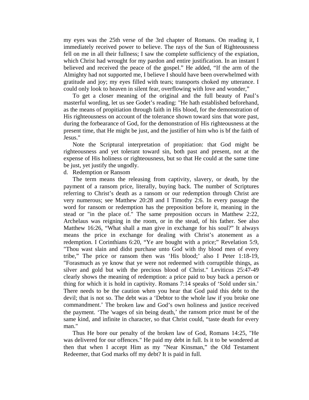my eyes was the 25th verse of the 3rd chapter of Romans. On reading it, I immediately received power to believe. The rays of the Sun of Righteousness fell on me in all their fullness; I saw the complete sufficiency of the expiation, which Christ had wrought for my pardon and entire justification. In an instant I believed and received the peace of the gospel." He added, "If the arm of the Almighty had not supported me, I believe I should have been overwhelmed with gratitude and joy; my eyes filled with tears; transports choked my utterance. I could only look to heaven in silent fear, overflowing with love and wonder,"

 To get a closer meaning of the original and the full beauty of Paul's masterful wording, let us see Godet's reading: "He hath established beforehand, as the means of propitiation through faith in His blood, for the demonstration of His righteousness on account of the tolerance shown toward sins that wore past, during the forbearance of God, for the demonstration of His righteousness at the present time, that He might be just, and the justifier of him who is bf the faith of Jesus."

 Note the Scriptural interpretation of propitiation: that God might be righteousness and yet tolerant toward sin, both past and present, not at the expense of His holiness or righteousness, but so that He could at the same time be just, yet justify the ungodly.

d. Redemption or Ransom

 The term means the releasing from captivity, slavery, or death, by the payment of a ransom price, literally, buying back. The number of Scriptures referring to Christ's death as a ransom or our redemption through Christ are very numerous; see Matthew 20:28 and I Timothy 2:6. In every passage the word for ransom or redemption has the preposition before it, meaning in the stead or "in the place of." The same preposition occurs in Matthew 2:22, Archelaus was reigning in the room, or in the stead, of his father. See also Matthew 16:26, "What shall a man give in exchange for his soul?" It always means the price in exchange for dealing with Christ's atonement as a redemption. I Corinthians 6:20, "Ye are bought with a price;" Revelation 5:9, "Thou wast slain and didst purchase unto God with thy blood men of every tribe," The price or ransom then was 'His blood;' also I Peter 1:18-19, "Forasmuch as ye know that ye were not redeemed with corruptible things, as silver and gold but with the precious blood of Christ." Leviticus 25:47-49 clearly shows the meaning of redemption: a price paid to buy back a person or thing for which it is hold in captivity. Romans 7:14 speaks of 'Sold under sin.' There needs to be the caution when you hear that God paid this debt to the devil; that is not so. The debt was a 'Debtor to the whole law if you broke one commandment.' The broken law and God's own holiness and justice received the payment. 'The 'wages of sin being death,' the ransom price must be of the same kind, and infinite in character, so that Christ could, "taste death for every man."

 Thus He bore our penalty of the broken law of God, Romans 14:25, "He was delivered for our offences." He paid my debt in full. Is it to be wondered at then that when I accept Him as my "Near Kinsman," the Old Testament Redeemer, that God marks off my debt? It is paid in full.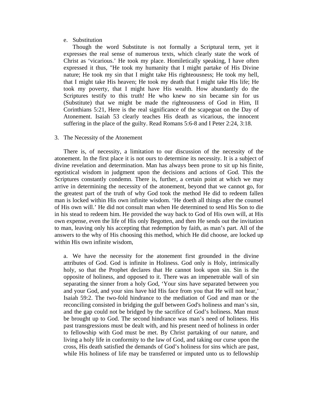### e. Substitution

 Though the word Substitute is not formally a Scriptural term, yet it expresses the real sense of numerous texts, which clearly state the work of Christ as 'vicarious.' He took my place. Homiletically speaking, I have often expressed it thus, "He took my humanity that I might partake of His Divine nature; He took my sin that I might take His righteousness; He took my hell, that I might take His heaven; He took my death that I might take His life; He took my poverty, that I might have His wealth. How abundantly do the Scriptures testify to this truth! He who knew no sin became sin for us (Substitute) that we might be made the righteousness of God in Him, II Corinthians 5:21, Here is the real significance of the scapegoat on the Day of Atonement. Isaiah 53 clearly teaches His death as vicarious, the innocent suffering in the place of the guilty. Read Romans 5:6-8 and I Peter 2:24, 3:18.

# 3. The Necessity of the Atonement

 There is, of necessity, a limitation to our discussion of the necessity of the atonement. In the first place it is not ours to determine its necessity. It is a subject of divine revelation and determination. Man has always been prone to sit up his finite, egotistical wisdom in judgment upon the decisions and actions of God. This the Scriptures constantly condemn. There is, further, a certain point at which we may arrive in determining the necessity of the atonement, beyond that we cannot go, for the greatest part of the truth of why God took the method He did to redeem fallen man is locked within His own infinite wisdom. 'He doeth all things after the counsel of His own will.' He did not consult man when He determined to send His Son to die in his stead to redeem him. He provided the way back to God of His own will, at His own expense, even the life of His only Begotten, and then He sends out the invitation to man, leaving only his accepting that redemption by faith, as man's part. All of the answers to the why of His choosing this method, which He did choose, are locked up within His own infinite wisdom,

a. We have the necessity for the atonement first grounded in the divine attributes of God. God is infinite in Holiness. God only is Holy, intrinsically holy, so that the Prophet declares that He cannot look upon sin. Sin is the opposite of holiness, and opposed to it. There was an impenetrable wall of sin separating the sinner from a holy God, 'Your sins have separated between you and your God, and your sins have hid His face from you that He will not hear,' Isaiah 59:2. The two-fold hindrance to the mediation of God and man or the reconciling consisted in bridging the gulf between God's holiness and man's sin, and the gap could not be bridged by the sacrifice of God's holiness. Man must be brought up to God. The second hindrance was man's need of holiness. His past transgressions must be dealt with, and his present need of holiness in order to fellowship with God must be met. By Christ partaking of our nature, and living a holy life in conformity to the law of God, and taking our curse upon the cross, His death satisfied the demands of God's holiness for sins which are past, while His holiness of life may be transferred or imputed unto us to fellowship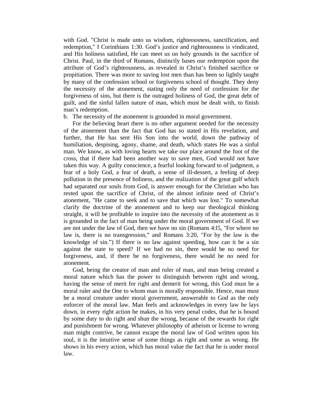with God. "Christ is made unto us wisdom, righteousness, sanctification, and redemption," I Corinthians 1:30. God's justice and righteousness is vindicated, and His holiness satisfied, He can meet us on holy grounds in the sacrifice of Christ. Paul, in the third of Romans, distinctly bases our redemption upon the attribute of God's righteousness, as revealed in Christ's finished sacrifice or propitiation. There was more to saving lost men than has been so lightly taught by many of the confession school or forgiveness school of thought. They deny the necessity of the atonement, stating only the need of confession for the forgiveness of sins, but there is the outraged holiness of God, the great debt of guilt, and the sinful fallen nature of man, which must be dealt with, to finish man's redemption.

# b. The necessity of the atonement is grounded in moral government.

 For the believing heart there is no other argument needed for the necessity of the atonement than the fact that God has so stated in His revelation, and further, that He has sent His Son into the world, down the pathway of humiliation, despising, agony, shame, and death, which states He was a sinful man. We know, as with loving hearts we take our place around the foot of the cross, that if there had been another way to save men, God would not have taken this way. A guilty conscience, a fearful looking forward to of judgment, a fear of a holy God, a fear of death, a sense of ill-dessert, a feeling of deep pollution in the presence of holiness, and the realization of the great gulf which had separated our souls from God, is answer enough for the Christian who has rested upon the sacrifice of Christ, of the almost infinite need of Christ's atonement, "He came to seek and to save that which was lost." To somewhat clarify the doctrine of the atonement and to keep our theological thinking straight, it will be profitable to inquire into the necessity of the atonement as it is grounded in the fact of man being under the moral government of God. If we are not under the law of God, then we have no sin (Romans 4:l5, "For where no law is, there is no transgression," and Romans 3:20, "For by the law is the knowledge of sin.") If there is no law against speeding, how can it be a sin against the state to speed? If we had no sin, there would be no need for forgiveness, and, if there be no forgiveness, there would be no need for atonement.

 God, being the creator of man and ruler of man, and man being created a moral nature which has the power to distinguish between right and wrong, having the sense of merit for right and demerit for wrong, this God must be a moral ruler and the One to whom man is morally responsible. Hence, man must be a moral creature under moral government, answerable to God as the only enforcer of the moral law. Man feels and acknowledges in every law he lays down, in every right action he makes, in his very penal codes, that he is bound by some duty to do right and shun the wrong, because of the rewards for right and punishment for wrong. Whatever philosophy of atheism or license to wrong man might contrive, he cannot escape the moral law of God written upon his soul, it is the intuitive sense of some things as right and some as wrong. He shows in his every action, which has moral value the fact that he is under moral law.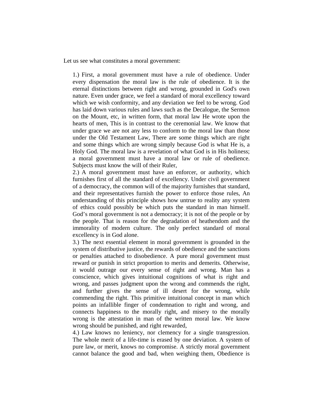Let us see what constitutes a moral government:

1.) First, a moral government must have a rule of obedience. Under every dispensation the moral law is the rule of obedience. It is the eternal distinctions between right and wrong, grounded in God's own nature. Even under grace, we feel a standard of moral excellency toward which we wish conformity, and any deviation we feel to be wrong. God has laid down various rules and laws such as the Decalogue, the Sermon on the Mount, etc, in written form, that moral law He wrote upon the hearts of men, This is in contrast to the ceremonial law. We know that under grace we are not any less to conform to the moral law than those under the Old Testament Law, There are some things which are right and some things which are wrong simply because God is what He is, a Holy God. The moral law is a revelation of what God is in His holiness; a moral government must have a moral law or rule of obedience. Subjects must know the will of their Ruler,

2.) A moral government must have an enforcer, or authority, which furnishes first of all the standard of excellency. Under civil government of a democracy, the common will of the majority furnishes that standard, and their representatives furnish the power to enforce those rules, An understanding of this principle shows how untrue to reality any system of ethics could possibly be which puts the standard in man himself. God's moral government is not a democracy; it is not of the people or by the people. That is reason for the degradation of heathendom and the immorality of modern culture. The only perfect standard of moral excellency is in God alone.

3.) The next essential element in moral government is grounded in the system of distributive justice, the rewards of obedience and the sanctions or penalties attached to disobedience. A pure moral government must reward or punish in strict proportion to merits and demerits. Otherwise, it would outrage our every sense of right and wrong. Man has a conscience, which gives intuitional cognitions of what is right and wrong, and passes judgment upon the wrong and commends the right, and further gives the sense of ill desert for the wrong, while commending the right. This primitive intuitional concept in man which points an infallible finger of condemnation to right and wrong, and connects happiness to the morally right, and misery to the morally wrong is the attestation in man of the written moral law. We know wrong should be punished, and right rewarded,

4.) Law knows no leniency, nor clemency for a single transgression. The whole merit of a life-time is erased by one deviation. A system of pure law, or merit, knows no compromise. A strictly moral government cannot balance the good and bad, when weighing them, Obedience is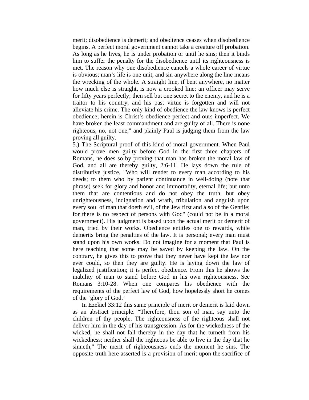merit; disobedience is demerit; and obedience ceases when disobedience begins. A perfect moral government cannot take a creature off probation. As long as he lives, he is under probation or until he sins; then it binds him to suffer the penalty for the disobedience until its righteousness is met. The reason why one disobedience cancels a whole career of virtue is obvious; man's life is one unit, and sin anywhere along the line means the wrecking of the whole. A straight line, if bent anywhere, no matter how much else is straight, is now a crooked line; an officer may serve for fifty years perfectly; then sell but one secret to the enemy, and he is a traitor to his country, and his past virtue is forgotten and will not alleviate his crime. The only kind of obedience the law knows is perfect obedience; herein is Christ's obedience perfect and ours imperfect. We have broken the least commandment and are guilty of all. There is none righteous, no, not one," and plainly Paul is judging them from the law proving all guilty.

5.) The Scriptural proof of this kind of moral government. When Paul would prove men guilty before God in the first three chapters of Romans, he does so by proving that man has broken the moral law of God, and all are thereby guilty, 2:6-11. He lays down the rule of distributive justice, "Who will render to every man according to his deeds; to them who by patient continuance in well-doing (note that phrase) seek for glory and honor and immortality, eternal life; but unto them that are contentious and do not obey the truth, but obey unrighteousness, indignation and wrath, tribulation and anguish upon every soul of man that doeth evil, of the Jew first and also of the Gentile; for there is no respect of persons with God" (could not be in a moral government). His judgment is based upon the actual merit or demerit of man, tried by their works. Obedience entitles one to rewards, while demerits bring the penalties of the law. It is personal; every man must stand upon his own works. Do not imagine for a moment that Paul is here teaching that some may be saved by keeping the law. On the contrary, he gives this to prove that they never have kept the law nor ever could, so then they are guilty. He is laying down the law of legalized justification; it is perfect obedience. From this he shows the inability of man to stand before God in his own righteousness. See Romans 3:10-28. When one compares his obedience with the requirements of the perfect law of God, how hopelessly short he comes of the 'glory of God.'

 In Ezekiel 33:12 this same principle of merit or demerit is laid down as an abstract principle. "Therefore, thou son of man, say unto the children of thy people. The righteousness of the righteous shall not deliver him in the day of his transgression. As for the wickedness of the wicked, he shall not fall thereby in the day that he turneth from his wickedness; neither shall the righteous be able to live in the day that he sinneth," The merit of righteousness ends the moment he sins. The opposite truth here asserted is a provision of merit upon the sacrifice of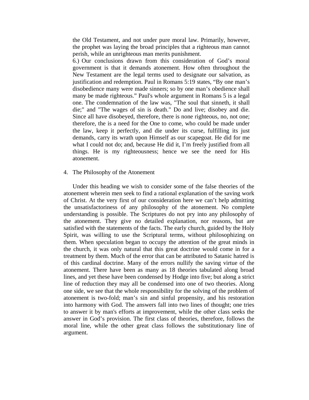the Old Testament, and not under pure moral law. Primarily, however, the prophet was laying the broad principles that a righteous man cannot perish, while an unrighteous man merits punishment.

6.) Our conclusions drawn from this consideration of God's moral government is that it demands atonement. How often throughout the New Testament are the legal terms used to designate our salvation, as justification and redemption. Paul in Romans 5:19 states, "By one man's disobedience many were made sinners; so by one man's obedience shall many be made righteous." Paul's whole argument in Romans 5 is a legal one. The condemnation of the law was, "The soul that sinneth, it shall die;" and "The wages of sin is death." Do and live; disobey and die. Since all have disobeyed, therefore, there is none righteous, no, not one; therefore, the is a need for the One to come, who could be made under the law, keep it perfectly, and die under its curse, fulfilling its just demands, carry its wrath upon Himself as our scapegoat. He did for me what I could not do; and, because He did it, I'm freely justified from all things. He is my righteousness; hence we see the need for His atonement.

### 4. The Philosophy of the Atonement

 Under this heading we wish to consider some of the false theories of the atonement wherein men seek to find a rational explanation of the saving work of Christ. At the very first of our consideration here we can't help admitting the unsatisfactoriness of any philosophy of the atonement. No complete understanding is possible. The Scriptures do not pry into any philosophy of the atonement. They give no detailed explanation, nor reasons, but are satisfied with the statements of the facts. The early church, guided by the Holy Spirit, was willing to use the Scriptural terms, without philosophizing on them. When speculation began to occupy the attention of the great minds in the church, it was only natural that this great doctrine would come in for a treatment by them. Much of the error that can be attributed to Satanic hatred is of this cardinal doctrine. Many of the errors nullify the saving virtue of the atonement. There have been as many as 18 theories tabulated along broad lines, and yet these have been condensed by Hodge into five; but along a strict line of reduction they may all be condensed into one of two theories. Along one side, we see that the whole responsibility for the solving of the problem of atonement is two-fold; man's sin and sinful propensity, and his restoration into harmony with God. The answers fall into two lines of thought; one tries to answer it by man's efforts at improvement, while the other class seeks the answer in God's provision. The first class of theories, therefore, follows the moral line, while the other great class follows the substitutionary line of argument.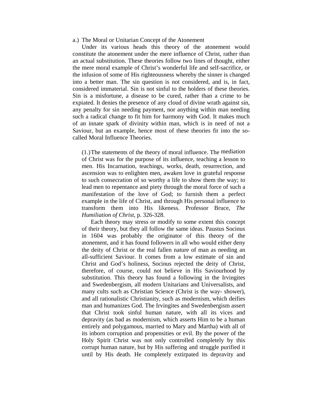#### a.) The Moral or Unitarian Concept of the Atonement

 Under its various heads this theory of the atonement would constitute the atonement under the mere influence of Christ, rather than an actual substitution. These theories follow two lines of thought, either the mere moral example of Christ's wonderful life and self-sacrifice, or the infusion of some of His righteousness whereby the sinner is changed into a better man. The sin question is not considered, and is, in fact, considered immaterial. Sin is not sinful to the holders of these theories. Sin is a misfortune, a disease to be cured, rather than a crime to be expiated. It denies the presence of any cloud of divine wrath against sin, any penalty for sin needing payment, nor anything within man needing such a radical change to fit him for harmony with God. It makes much of an innate spark of divinity within man, which is in need of not a Saviour, but an example, hence most of these theories fit into the socalled Moral Influence Theories.

(1.) The statements of the theory of moral influence. The mediation of Christ was for the purpose of its influence, teaching a lesson to men. His Incarnation, teachings, works, death, resurrection, and ascension was to enlighten men, awaken love in grateful response to such consecration of so worthy a life to show them the way; to lead men to repentance and piety through the moral force of such a manifestation of the love of God; to furnish them a perfect example in the life of Christ, and through His personal influence to transform them into His likeness. Professor Bruce, *The Humiliation of Christ*, p. 326-328.

 Each theory may stress or modify to some extent this concept of their theory, but they all follow the same ideas. Paustus Socinus in 1604 was probably the originator of this theory of the atonement, and it has found followers in all who would either deny the deity of Christ or the real fallen nature of man as needing an all-sufficient Saviour. It comes from a low estimate of sin and Christ and God's holiness, Socinus rejected the deity of Christ, therefore, of course, could not believe in His Saviourhood by substitution. This theory has found a following in the Irvingites and Swedenbergism, all modern Unitarians and Universalists, and many cults such as Christian Science (Christ is the way- shower), and all rationalistic Christianity, such as modernism, which deifies man and humanizes God. The Irvingites and Swedenbergism assert that Christ took sinful human nature, with all its vices and depravity (as bad as modernism, which asserts Him to be a human entirely and polygamous, married to Mary and Martha) with all of its inborn corruption and propensities or evil. By the power of the Holy Spirit Christ was not only controlled completely by this corrupt human nature, but by His suffering and struggle purified it until by His death. He completely extirpated its depravity and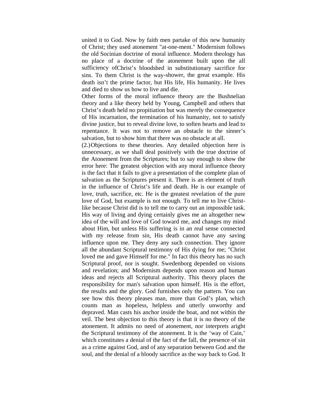united it to God. Now by faith men partake of this new humanity of Christ; they used atonement "at-one-ment." Modernism follows the old Socinian doctrine of moral influence. Modern theology has no place of a doctrine of the atonement built upon the all sufficiency ofChrist's bloodshed in substitutionary sacrifice for sins. To them Christ is the way-shower, the great example. His death isn't the prime factor, but His life, His humanity. He lives and died to show us how to live and die.

Other forms of the moral influence theory are the Bushnelian theory and a like theory held by Young, Campbell and others that Christ's death held no propitiation but was merely the consequence of His incarnation, the termination of his humanity, not to satisfy divine justice, but to reveal divine love, to soften hearts and lead to repentance. It was not to remove an obstacle to the sinner's salvation, but to show him that there was no obstacle at all.

(2.) Objections to these theories. Any detailed objection here is unnecessary, as we shall deal positively with the true doctrine of the Atonement from the Scriptures; but to say enough to show the error here: The greatest objection with any moral influence theory is the fact that it fails to give a presentation of the complete plan of salvation as the Scriptures present it. There is an element of truth in the influence of Christ's life and death. He is our example of love, truth, sacrifice, etc. He is the greatest revelation of the pure love of God, but example is not enough. To tell me to live Christlike because Christ did is to tell me to carry out an impossible task. His way of living and dying certainly gives me an altogether new idea of the will and love of God toward me, and changes my mind about Him, but unless His suffering is in an real sense connected with my release from sin, His death cannot have any saving influence upon me. They deny any such connection. They ignore all the abundant Scriptural testimony of His dying for me; "Christ loved me and gave Himself for me." In fact this theory has no such Scriptural proof, nor is sought. Swedenborg depended on visions and revelation; and Modernism depends upon reason and human ideas and rejects all Scriptural authority. This theory places the responsibility for man's salvation upon himself. His is the effort, the results and the glory. God furnishes only the pattern. You can see how this theory pleases man, more than God's plan, which counts man as hopeless, helpless and utterly unworthy and depraved. Man casts his anchor inside the boat, and not within the veil. The best objection to this theory is that it is no theory of the atonement. It admits no need of atonement, nor interprets aright the Scriptural testimony of the atonement. It is the 'way of Cain,' which constitutes a denial of the fact of the fall, the presence of sin as a crime against God, and of any separation between God and the soul, and the denial of a bloody sacrifice as the way back to God. It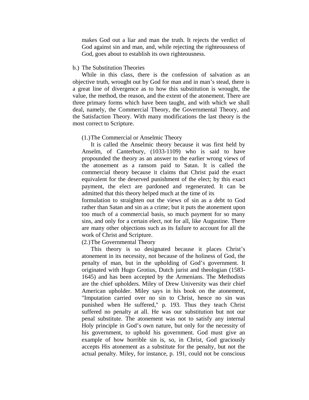makes God out a liar and man the truth. It rejects the verdict of God against sin and man, and, while rejecting the righteousness of God, goes about to establish its own righteousness.

#### b.) The Substitution Theories

 While in this class, there is the confession of salvation as an objective truth, wrought out by God for man and in man's stead, there is a great line of divergence as to how this substitution is wrought, the value, the method, the reason, and the extent of the atonement. There are three primary forms which have been taught, and with which we shall deal, namely, the Commercial Theory, the Governmental Theory, and the Satisfaction Theory. With many modifications the last theory is the most correct to Scripture.

#### (1.) The Commercial or Anselmic Theory

 It is called the Anselmic theory because it was first held by Anselm, of Canterbury, (1033-1109) who is said to have propounded the theory as an answer to the earlier wrong views of the atonement as a ransom paid to Satan. It is called the commercial theory because it claims that Christ paid the exact equivalent for the deserved punishment of the elect; by this exact payment, the elect are pardoned and regenerated. It can be admitted that this theory helped much at the time of its

formulation to straighten out the views of sin as a debt to God rather than Satan and sin as a crime; but it puts the atonement upon too much of a commercial basis, so much payment for so many sins, and only for a certain elect, not for all, like Augustine. There are many other objections such as its failure to account for all the work of Christ and Scripture.

### (2.) The Governmental Theory

 This theory is so designated because it places Christ's atonement in its necessity, not because of the holiness of God, the penalty of man, but in the upholding of God's government. It originated with Hugo Grotius, Dutch jurist and theologian (1583- 1645) and has been accepted by the Armenians. The Methodists are the chief upholders. Miley of Drew University was their chief American upholder. Miley says in his book on the atonement, "Imputation carried over no sin to Christ, hence no sin was punished when He suffered," p. 193. Thus they teach Christ suffered no penalty at all. He was our substitution but not our penal substitute. The atonement was not to satisfy any internal Holy principle in God's own nature, but only for the necessity of his government, to uphold his government. God must give an example of how horrible sin is, so, in Christ, God graciously accepts His atonement as a substitute for the penalty, but not the actual penalty. Miley, for instance, p. 191, could not be conscious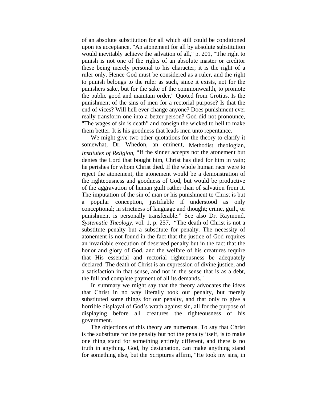of an absolute substitution for all which still could be conditioned upon its acceptance, "An atonement for all by absolute substitution would inevitably achieve the salvation of all," p. 201, "The right to punish is not one of the rights of an absolute master or creditor these being merely personal to his character; it is the right of a ruler only. Hence God must be considered as a ruler, and the right to punish belongs to the ruler as such, since it exists, not for the punishers sake, but for the sake of the commonwealth, to promote the public good and maintain order," Quoted from Grotius. Is the punishment of the sins of men for a rectorial purpose? Is that the end of vices? Will hell ever change anyone? Does punishment ever really transform one into a better person? God did not pronounce, "The wages of sin is death" and consign the wicked to hell to make them better. It is his goodness that leads men unto repentance.

 We might give two other quotations for the theory to clarify it somewhat; Dr. Whedon, an eminent, Methodist theologian, *Institutes of Religion*, "If the sinner accepts not the atonement but denies the Lord that bought him, Christ has died for him in vain; he perishes for whom Christ died. If the whole human race were to reject the atonement, the atonement would be a demonstration of the righteousness and goodness of God, but would be productive of the aggravation of human guilt rather than of salvation from it. The imputation of the sin of man or his punishment to Christ is but a popular conception, justifiable if understood as only conceptional; in strictness of language and thought; crime, guilt, or punishment is personally transferable." See also Dr. Raymond, *Systematic Theology,* vol. 1, p. 257, "The death of Christ is not a substitute penalty but a substitute for penalty. The necessity of atonement is not found in the fact that the justice of God requires an invariable execution of deserved penalty but in the fact that the honor and glory of God, and the welfare of his creatures require that His essential and rectorial righteousness be adequately declared. The death of Christ is an expression of divine justice, and a satisfaction in that sense, and not in the sense that is as a debt, the full and complete payment of all its demands."

 In summary we might say that the theory advocates the ideas that Christ in no way literally took our penalty, but merely substituted some things for our penalty, and that only to give a horrible displayal of God's wrath against sin, all for the purpose of displaying before all creatures the righteousness of his government.

 The objections of this theory are numerous. To say that Christ is the substitute for the penalty but not the penalty itself, is to make one thing stand for something entirely different, and there is no truth in anything. God, by designation, can make anything stand for something else, but the Scriptures affirm, "He took my sins, in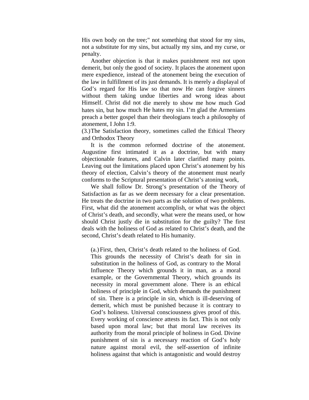His own body on the tree;" not something that stood for my sins, not a substitute for my sins, but actually my sins, and my curse, or penalty.

 Another objection is that it makes punishment rest not upon demerit, but only the good of society. It places the atonement upon mere expedience, instead of the atonement being the execution of the law in fulfillment of its just demands. It is merely a displayal of God's regard for His law so that now He can forgive sinners without them taking undue liberties and wrong ideas about Himself. Christ did not die merely to show me how much God hates sin, but how much He hates my sin. I'm glad the Armenians preach a better gospel than their theologians teach a philosophy of atonement, I John 1:9.

(3.) The Satisfaction theory, sometimes called the Ethical Theory and Orthodox Theory

 It is the common reformed doctrine of the atonement. Augustine first intimated it as a doctrine, but with many objectionable features, and Calvin later clarified many points. Leaving out the limitations placed upon Christ's atonement by his theory of election, Calvin's theory of the atonement must nearly conforms to the Scriptural presentation of Christ's atoning work,

 We shall follow Dr. Strong's presentation of the Theory of Satisfaction as far as we deem necessary for a clear presentation. He treats the doctrine in two parts as the solution of two problems. First, what did the atonement accomplish, or what was the object of Christ's death, and secondly, what were the means used, or how should Christ justly die in substitution for the guilty? The first deals with the holiness of God as related to Christ's death, and the second, Christ's death related to His humanity.

(a.) First, then, Christ's death related to the holiness of God. This grounds the necessity of Christ's death for sin in substitution in the holiness of God, as contrary to the Moral Influence Theory which grounds it in man, as a moral example, or the Governmental Theory, which grounds its necessity in moral government alone. There is an ethical holiness of principle in God, which demands the punishment of sin. There is a principle in sin, which is ill-deserving of demerit, which must be punished because it is contrary to God's holiness. Universal consciousness gives proof of this. Every working of conscience attests its fact. This is not only based upon moral law; but that moral law receives its authority from the moral principle of holiness in God. Divine punishment of sin is a necessary reaction of God's holy nature against moral evil, the self-assertion of infinite holiness against that which is antagonistic and would destroy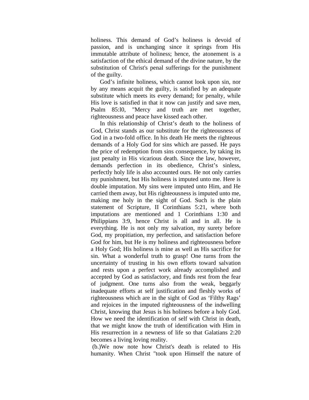holiness. This demand of God's holiness is devoid of passion, and is unchanging since it springs from His immutable attribute of holiness; hence, the atonement is a satisfaction of the ethical demand of the divine nature, by the substitution of Christ's penal sufferings for the punishment of the guilty.

 God's infinite holiness, which cannot look upon sin, nor by any means acquit the guilty, is satisfied by an adequate substitute which meets its every demand; for penalty, while His love is satisfied in that it now can justify and save men, Psalm 85:l0, "Mercy and truth are met together, righteousness and peace have kissed each other.

 In this relationship of Christ's death to the holiness of God, Christ stands as our substitute for the righteousness of God in a two-fold office. In his death He meets the righteous demands of a Holy God for sins which are passed. He pays the price of redemption from sins consequence, by taking its just penalty in His vicarious death. Since the law, however, demands perfection in its obedience, Christ's sinless, perfectly holy life is also accounted ours. He not only carries my punishment, but His holiness is imputed unto me. Here is double imputation. My sins were imputed unto Him, and He carried them away, but His righteousness is imputed unto me, making me holy in the sight of God. Such is the plain statement of Scripture, II Corinthians 5:21, where both imputations are mentioned and 1 Corinthians 1:30 and Philippians 3:9, hence Christ is all and in all. He is everything. He is not only my salvation, my surety before God, my propitiation, my perfection, and satisfaction before God for him, but He is my holiness and righteousness before a Holy God; His holiness is mine as well as His sacrifice for sin. What a wonderful truth to grasp! One turns from the uncertainty of trusting in his own efforts toward salvation and rests upon a perfect work already accomplished and accepted by God as satisfactory, and finds rest from the fear of judgment. One turns also from the weak, beggarly inadequate efforts at self justification and fleshly works of righteousness which are in the sight of God as 'Filthy Rags' and rejoices in the imputed righteousness of the indwelling Christ, knowing that Jesus is his holiness before a holy God. How we need the identification of self with Christ in death, that we might know the truth of identification with Him in His resurrection in a newness of life so that Galatians 2:20 becomes a living loving reality.

 (b.)We now note how Christ's death is related to His humanity. When Christ "took upon Himself the nature of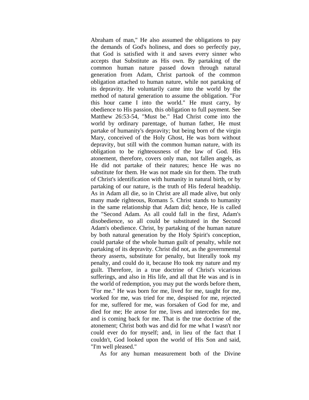Abraham of man," He also assumed the obligations to pay the demands of God's holiness, and does so perfectly pay, that God is satisfied with it and saves every sinner who accepts that Substitute as His own. By partaking of the common human nature passed down through natural generation from Adam, Christ partook of the common obligation attached to human nature, while not partaking of its depravity. He voluntarily came into the world by the method of natural generation to assume the obligation. "For this hour came I into the world." He must carry, by obedience to His passion, this obligation to full payment. See Matthew 26:53-54, "Must be." Had Christ come into the world by ordinary parentage, of human father, He must partake of humanity's depravity; but being born of the virgin Mary, conceived of the Holy Ghost, He was born without depravity, but still with the common human nature, with its obligation to be righteousness of the law of God. His atonement, therefore, covers only man, not fallen angels, as He did not partake of their natures; hence He was no substitute for them. He was not made sin for them. The truth of Christ's identification with humanity in natural birth, or by partaking of our nature, is the truth of His federal headship. As in Adam all die, so in Christ are all made alive, but only many made righteous, Romans 5. Christ stands to humanity in the same relationship that Adam did; hence, He is called the "Second Adam. As all could fall in the first, Adam's disobedience, so all could be substituted in the Second Adam's obedience. Christ, by partaking of the human nature by both natural generation by the Holy Spirit's conception, could partake of the whole human guilt of penalty, while not partaking of its depravity. Christ did not, as the governmental theory asserts, substitute for penalty, but literally took my penalty, and could do it, because Ho took my nature and my guilt. Therefore, in a true doctrine of Christ's vicarious sufferings, and also in His life, and all that He was and is in the world of redemption, you may put the words before them, "For me." He was born for me, lived for me, taught for me, worked for me, was tried for me, despised for me, rejected for me, suffered for me, was forsaken of God for me, and died for me; He arose for me, lives and intercedes for me, and is coming back for me. That is the true doctrine of the atonement; Christ both was and did for me what I wasn't nor could ever do for myself; and, in lieu of the fact that I couldn't, God looked upon the world of His Son and said, "I'm well pleased."

As for any human measurement both of the Divine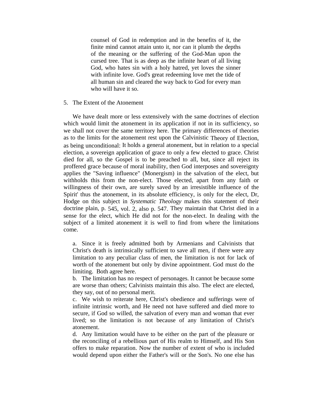counsel of God in redemption and in the benefits of it, the finite mind cannot attain unto it, nor can it plumb the depths of the meaning or the suffering of the God-Man upon the cursed tree. That is as deep as the infinite heart of all living God, who hates sin with a holy hatred, yet loves the sinner with infinite love. God's great redeeming love met the tide of all human sin and cleared the way back to God for every man who will have it so.

### 5. The Extent of the Atonement

 We have dealt more or less extensively with the same doctrines of election which would limit the atonement in its application if not in its sufficiency, so we shall not cover the same territory here. The primary differences of theories as to the limits for the atonement rest upon the Calvinistic Theory of Election, as being unconditional: It holds a general atonement, but in relation to a special election, a sovereign application of grace to only a few elected to grace. Christ died for all, so the Gospel is to be preached to all, but, since all reject its proffered grace because of moral inability, then God interposes and sovereignty applies the "Saving influence" (Monergism) in the salvation of the elect, but withholds this from the non-elect. Those elected, apart from any faith or willingness of their own, are surely saved by an irresistible influence of the Spirit' thus the atonement, in its absolute efficiency, is only for the elect, Dr, Hodge on this subject in *Systematic Theology* makes this statement of their doctrine plain, p. 545, vol. 2, also p. 547. They maintain that Christ died in a sense for the elect, which He did not for the non-elect. In dealing with the subject of a limited atonement it is well to find from where the limitations come.

a. Since it is freely admitted both by Armenians and Calvinists that Christ's death is intrinsically sufficient to save all men, if there were any limitation to any peculiar class of men, the limitation is not for lack of worth of the atonement but only by divine appointment. God must do the limiting. Both agree here.

b. The limitation has no respect of personages. It cannot be because some are worse than others; Calvinists maintain this also. The elect are elected, they say, out of no personal merit.

c. We wish to reiterate here, Christ's obedience and sufferings were of infinite intrinsic worth, and He need not have suffered and died more to secure, if God so willed, the salvation of every man and woman that ever lived; so the limitation is not because of any limitation of Christ's atonement.

d. Any limitation would have to be either on the part of the pleasure or the reconciling of a rebellious part of His realm to Himself, and His Son offers to make reparation. Now the number of extent of who is included would depend upon either the Father's will or the Son's. No one else has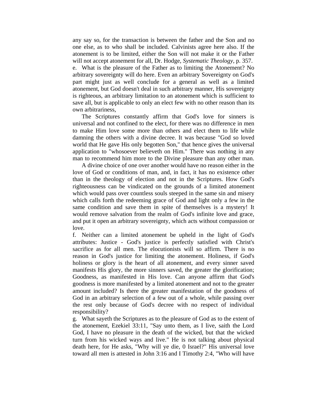any say so, for the transaction is between the father and the Son and no one else, as to who shall be included. Calvinists agree here also. If the atonement is to be limited, either the Son will not make it or the Father will not accept atonement for all, Dr. Hodge, *Systematic Theology*, p. 357. e. What is the pleasure of the Father as to limiting the Atonement? No arbitrary sovereignty will do here. Even an arbitrary Sovereignty on God's part might just as well conclude for a general as well as a limited atonement, but God doesn't deal in such arbitrary manner, His sovereignty is righteous, an arbitrary limitation to an atonement which is sufficient to save all, but is applicable to only an elect few with no other reason than its own arbitrariness,

 The Scriptures constantly affirm that God's love for sinners is universal and not confined to the elect, for there was no difference in men to make Him love some more than others and elect them to life while damning the others with a divine decree. It was because "God so loved world that He gave His only begotten Son," that hence gives the universal application to "whosoever believeth on Him." There was nothing in any man to recommend him more to the Divine pleasure than any other man.

 A divine choice of one over another would have no reason either in the love of God or conditions of man, and, in fact, it has no existence other than in the theology of election and not in the Scriptures. How God's righteousness can be vindicated on the grounds of a limited atonement which would pass over countless souls steeped in the same sin and misery which calls forth the redeeming grace of God and light only a few in the same condition and save them in spite of themselves is a mystery! It would remove salvation from the realm of God's infinite love and grace, and put it open an arbitrary sovereignty, which acts without compassion or love.

f. Neither can a limited atonement be upheld in the light of God's attributes: Justice - God's justice is perfectly satisfied with Christ's sacrifice as for all men. The elocutionists will so affirm. There is no reason in God's justice for limiting the atonement. Holiness, if God's holiness or glory is the heart of all atonement, and every sinner saved manifests His glory, the more sinners saved, the greater the glorification; Goodness, as manifested in His love. Can anyone affirm that God's goodness is more manifested by a limited atonement and not to the greater amount included? Is there the greater manifestation of the goodness of God in an arbitrary selection of a few out of a whole, while passing over the rest only because of God's decree with no respect of individual responsibility?

g. What sayeth the Scriptures as to the pleasure of God as to the extent of the atonement, Ezekiel 33:11, "Say unto them, as I live, saith the Lord God, I have no pleasure in the death of the wicked, but that the wicked turn from his wicked ways and live." He is not talking about physical death here, for He asks, "Why will ye die, 0 Israel?" His universal love toward all men is attested in John 3:16 and I Timothy 2:4, "Who will have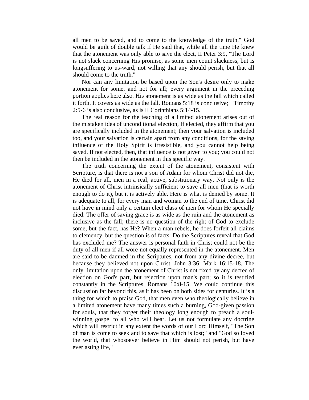all men to be saved, and to come to the knowledge of the truth." God would be guilt of double talk if He said that, while all the time He knew that the atonement was only able to save the elect, II Peter 3:9, "The Lord is not slack concerning His promise, as some men count slackness, but is longsuffering to us-ward, not willing that any should perish, but that all should come to the truth."

 Nor can any limitation be based upon the Son's desire only to make atonement for some, and not for all; every argument in the preceding portion applies here also. His atonement is as wide as the fall which called it forth. It covers as wide as the fall, Romans 5:18 is conclusive; I Timothy 2:5-6 is also conclusive, as is II Corinthians 5:14-15.

 The real reason for the teaching of a limited atonement arises out of the mistaken idea of unconditional election, If elected, they affirm that you are specifically included in the atonement; then your salvation is included too, and your salvation is certain apart from any conditions, for the saving influence of the Holy Spirit is irresistible, and you cannot help being saved. If not elected, then, that influence is not given to you; you could not then be included in the atonement in this specific way.

 The truth concerning the extent of the atonement, consistent with Scripture, is that there is not a son of Adam for whom Christ did not die, He died for all, men in a real, active, substitionary way. Not only is the atonement of Christ intrinsically sufficient to save all men (that is worth enough to do it), but it is actively able. Here is what is denied by some. It is adequate to all, for every man and woman to the end of time. Christ did not have in mind only a certain elect class of men for whom He specially died. The offer of saving grace is as wide as the ruin and the atonement as inclusive as the fall; there is no question of the right of God to exclude some, but the fact, has He? When a man rebels, he does forfeit all claims to clemency, but the question is of facts: Do the Scriptures reveal that God has excluded me? The answer is personal faith in Christ could not be the duty of all men if all wore not equally represented in the atonement. Men are said to be damned in the Scriptures, not from any divine decree, but because they believed not upon Christ, John 3:36; Mark 16:15-18. The only limitation upon the atonement of Christ is not fixed by any decree of election on God's part, but rejection upon man's part; so it is testified constantly in the Scriptures, Romans 10:8-15. We could continue this discussion far beyond this, as it has been on both sides for centuries. It is a thing for which to praise God, that men even who theologically believe in a limited atonement have many times such a burning, God-given passion for souls, that they forget their theology long enough to preach a soulwinning gospel to all who will hear. Let us not formulate any doctrine which will restrict in any extent the words of our Lord Himself, "The Son of man is come to seek and to save that which is lost;" and "God so loved the world, that whosoever believe in Him should not perish, but have everlasting life,"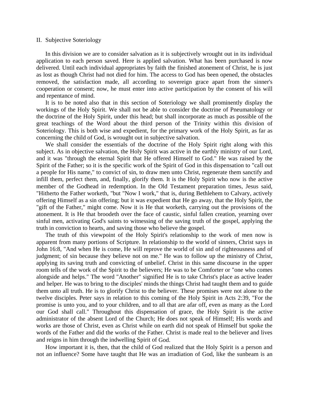#### II. Subjective Soteriology

 In this division we are to consider salvation as it is subjectively wrought out in its individual application to each person saved. Here is applied salvation. What has been purchased is now delivered. Until each individual appropriates by faith the finished atonement of Christ, he is just as lost as though Christ had not died for him. The access to God has been opened, the obstacles removed, the satisfaction made, all according to sovereign grace apart from the sinner's cooperation or consent; now, he must enter into active participation by the consent of his will and repentance of mind.

 It is to be noted also that in this section of Soteriology we shall prominently display the workings of the Holy Spirit. We shall not be able to consider the doctrine of Pneumatology or the doctrine of the Holy Spirit, under this head; but shall incorporate as much as possible of the great teachings of the Word about the third person of the Trinity within this division of Soteriology. This is both wise and expedient, for the primary work of the Holy Spirit, as far as concerning the child of God, is wrought out in subjective salvation.

 We shall consider the essentials of the doctrine of the Holy Spirit right along with this subject. As in objective salvation, the Holy Spirit was active in the earthly ministry of our Lord, and it was "through the eternal Spirit that He offered Himself to God." He was raised by the Spirit of the Father; so it is the specific work of the Spirit of God in this dispensation to "call out a people for His name," to convict of sin, to draw men unto Christ, regenerate them sanctify and infill them, perfect them, and, finally, glorify them. It is the Holy Spirit who now is the active member of the Godhead in redemption. In the Old Testament preparation times, Jesus said, "Hitherto the Father worketh, "but "Now I work," that is, during Bethlehem to Calvary, actively offering Himself as a sin offering; but it was expedient that He go away, that the Holy Spirit, the "gift of the Father," might come. Now it is He that worketh, carrying out the provisions of the atonement. It is He that broodeth over the face of caustic, sinful fallen creation, yearning over sinful men, activating God's saints to witnessing of the saving truth of the gospel, applying the truth in conviction to hearts, and saving those who believe the gospel.

 The truth of this viewpoint of the Holy Spirit's relationship to the work of men now is apparent from many portions of Scripture. In relationship to the world of sinners, Christ says in John 16:8, "And when He is come, He will reprove the world of sin and of righteousness and of judgment; of sin because they believe not on me." He was to follow up the ministry of Christ, applying its saving truth and convicting of unbelief. Christ in this same discourse in the upper room tells of the work of the Spirit to the believers; He was to be Comforter or "one who comes alongside and helps." The word "Another" signified He is to take Christ's place as active leader and helper. He was to bring to the disciples' minds the things Christ had taught them and to guide them unto all truth. He is to glorify Christ to the believer. These promises were not alone to the twelve disciples. Peter says in relation to this coming of the Holy Spirit in Acts 2:39, "For the promise is unto you, and to your children, and to all that are afar off, even as many as the Lord our God shall call." Throughout this dispensation of grace, the Holy Spirit is the active administrator of the absent Lord of the Church; He does not speak of Himself; His words and works are those of Christ, even as Christ while on earth did not speak of Himself but spoke the words of the Father and did the works of the Father. Christ is made real to the believer and lives and reigns in him through the indwelling Spirit of God.

 How important it is, then, that the child of God realized that the Holy Spirit is a person and not an influence? Some have taught that He was an irradiation of God, like the sunbeam is an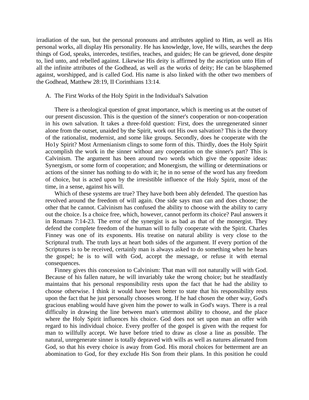irradiation of the sun, but the personal pronouns and attributes applied to Him, as well as His personal works, all display His personality. He has knowledge, love, He wills, searches the deep things of God, speaks, intercedes, testifies, teaches, and guides; He can be grieved, done despite to, lied unto, and rebelled against. Likewise His deity is affirmed by the ascription unto Him of all the infinite attributes of the Godhead, as well as the works of deity; He can be blasphemed against, worshipped, and is called God. His name is also linked with the other two members of the Godhead, Matthew 28:19, II Corinthians 13:14.

#### A. The First Works of the Holy Spirit in the Individual's Salvation

 There is a theological question of great importance, which is meeting us at the outset of our present discussion. This is the question of the sinner's cooperation or non-cooperation in his own salvation. It takes a three-fold question: First, does the unregenerated sinner alone from the outset, unaided by the Spirit, work out His own salvation? This is the theory of the rationalist, modernist, and some like groups. Secondly, does he cooperate with the Ho1y Spirit? Most Armenianism clings to some form of this. Thirdly, does the Holy Spirit accomplish the work in the sinner without any cooperation on the sinner's part? This is Calvinism. The argument has been around two words which give the opposite ideas: Synergism, or some form of cooperation; and Monergism, the willing or determinations or actions of the sinner has nothing to do with it; he in no sense of the word has any freedom of choice, but is acted upon by the irresistible influence of the Holy Spirit, most of the time, in a sense, against his will.

 Which of these systems are true? They have both been ably defended. The question has revolved around the freedom of will again. One side says man can and does choose; the other that he cannot. Calvinism has confused the ability to choose with the ability to carry out the choice. Is a choice free, which, however, cannot perform its choice? Paul answers it in Romans 7:14-23. The error of the synergist is as bad as that of the monergist. They defend the complete freedom of the human will to fully cooperate with the Spirit. Charles Finney was one of its exponents. His treatise on natural ability is very close to the Scriptural truth. The truth lays at heart both sides of the argument. If every portion of the Scriptures is to be received, certainly man is always asked to do something when he hears the gospel; he is to will with God, accept the message, or refuse it with eternal consequences.

 Finney gives this concession to Calvinism: That man will not naturally will with God. Because of his fallen nature, he will invariably take the wrong choice; but he steadfastly maintains that his personal responsibility rests upon the fact that he had the ability to choose otherwise. I think it would have been better to state that his responsibility rests upon the fact that he just personally chooses wrong. If he had chosen the other way, God's gracious enabling would have given him the power to walk in God's ways. There is a real difficulty in drawing the line between man's uttermost ability to choose, and the place where the Holy Spirit influences his choice. God does not set upon man an offer with regard to his individual choice. Every proffer of the gospel is given with the request for man to willfully accept. We have before tried to draw as close a line as possible. The natural, unregenerate sinner is totally depraved with wills as well as natures alienated from God, so that his every choice is away from God. His moral choices for betterment are an abomination to God, for they exclude His Son from their plans. In this position he could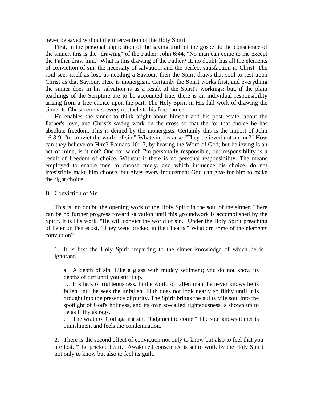never be saved without the intervention of the Holy Spirit.

 First, in the personal application of the saving truth of the gospel to the conscience of the sinner, this is the "drawing" of the Father, John 6:44, "No man can come to me except the Father draw him." What is this drawing of the Father? It, no doubt, has all the elements of conviction of sin, the necessity of salvation, and the perfect satisfaction in Christ. The soul sees itself as lost, as needing a Saviour; then the Spirit draws that soul to rest upon Christ as that Saviour. Here is monergism. Certainly the Spirit works first, and everything the sinner does in his salvation is as a result of the Spirit's workings; but, if the plain teachings of the Scripture are to be accounted true, there is an individual responsibility arising from a free choice upon the part. The Holy Spirit in His full work of drawing the sinner to Christ removes every obstacle to his free choice.

 He enables the sinner to think aright about himself and his post estate, about the Father's love, and Christ's saving work on the cross so that the for that choice he has absolute freedom. This is denied by the monergists. Certainly this is the import of John 16:8-9, "to convict the world of sin." What sin, because "They believed not on me?" How can they believe on Him? Romans 10:17, by hearing the Word of God; but believing is an act of mine, is it not? One for which I'm personally responsible, but responsibility is a result of freedom of choice. Without it there is no personal responsibility. The means employed to enable men to choose freely, and which influence his choice, do not irresistibly make him choose, but gives every inducement God can give for him to make the right choice.

#### B. Conviction of Sin

 This is, no doubt, the opening work of the Holy Spirit in the soul of the sinner. There can be no further progress toward salvation until this groundwork is accomplished by the Spirit. It is His work. "He will convict the world of sin." Under the Holy Spirit preaching of Peter on Pentecost, "They were pricked in their hearts." What are some of the elements conviction?

1. It is first the Holy Spirit imparting to the sinner knowledge of which he is ignorant.

a. A depth of sin. Like a glass with muddy sediment; you do not know its depths of dirt until you stir it up.

b. His lack of righteousness. In the world of fallen man, he never knows he is fallen until he sees the unfallen. Filth does not look nearly so filthy until it is brought into the presence of purity. The Spirit brings the guilty vile soul into the spotlight of God's holiness, and its own so-called righteousness is shown up to be as filthy as rags.

c. The wrath of God against sin, "Judgment to come." The soul knows it merits punishment and feels the condemnation.

2. There is the second effect of conviction not only to know but also to feel that you are lost, "The pricked heart." Awakened conscience is set to work by the Holy Spirit not only to know but also to feel its guilt.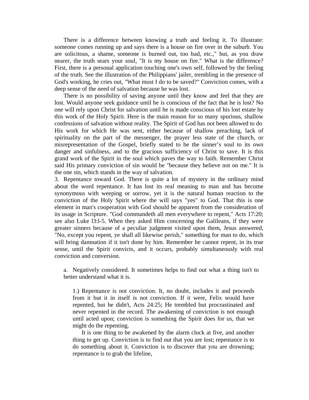There is a difference between knowing a truth and feeling it. To illustrate: someone comes running up and says there is a house on fire over in the suburb. You are solicitous, a shame, someone is burned out, too bad, etc.," but, as you draw nearer, the truth sears your soul, "It is my house on fire." What is the difference? First, there is a personal application touching one's own self, followed by the feeling of the truth. See the illustration of the Philippians' jailer, trembling in the presence of God's working, he cries out, "What must I do to be saved?" Conviction comes, with a deep sense of the need of salvation because he was lost.

 There is no possibility of saving anyone until they know and feel that they are lost. Would anyone seek guidance until he is conscious of the fact that he is lost? No one will rely upon Christ for salvation until he is made conscious of his lost estate by this work of the Holy Spirit. Here is the main reason for so many spurious, shallow confessions of salvation without reality. The Spirit of God has not been allowed to do His work for which He was sent, either because of shallow preaching, lack of spirituality on the part of the messenger, the prayer less state of the church, or misrepresentation of the Gospel, briefly stated to be the sinner's soul to its own danger and sinfulness, and to the gracious sufficiency of Christ to save. It is this grand work of the Spirit in the soul which paves the way to faith. Remember Christ said His primary conviction of sin would be "because they believe not on me." It is the one sin, which stands in the way of salvation.

3. Repentance toward God. There is quite a lot of mystery in the ordinary mind about the word repentance. It has lost its real meaning to man and has become synonymous with weeping or sorrow, yet it is the natural human reaction to the conviction of the Holy Spirit where the will says "yes" to God. That this is one element in man's cooperation with God should be apparent from the consideration of its usage in Scripture. "God commandeth all men everywhere to repent," Acts 17:20; see also Luke l3:l-5. When they asked Him concerning the Galileans, if they were greater sinners because of a peculiar judgment visited upon them, Jesus answered, "No, except you repent, ye shall all likewise perish," something for man to do, which will bring damnation if it isn't done by him. Remember he cannot repent, in its true sense, until the Spirit convicts, and it occurs, probably simultaneously with real conviction and conversion.

a. Negatively considered. It sometimes helps to find out what a thing isn't to better understand what it is.

1.) Repentance is not conviction. It, no doubt, includes it and proceeds from it but it in itself is not conviction. If it were, Felix would have repented, but he didn't, Acts 24:25; He trembled but procrastinated and never repented in the record. The awakening of conviction is not enough until acted upon; conviction is something the Spirit does for us, that we might do the repenting.

 It is one thing to be awakened by the alarm clock at five, and another thing to get up. Conviction is to find out that you are lost; repentance is to do something about it. Conviction is to discover that you are drowning; repentance is to grab the lifeline,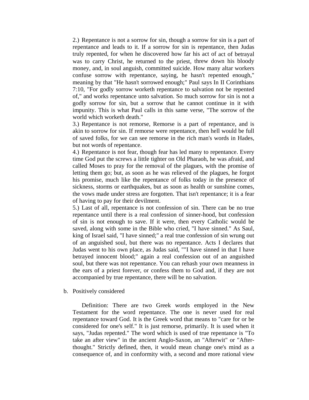2.) Repentance is not a sorrow for sin, though a sorrow for sin is a part of repentance and leads to it. If a sorrow for sin is repentance, then Judas truly repented, for when he discovered how far his act of act of betrayal was to carry Christ, he returned to the priest, threw down his bloody money, and, in soul anguish, committed suicide. How many altar workers confuse sorrow with repentance, saying, he hasn't repented enough," meaning by that "He hasn't sorrowed enough;" Paul says In II Corinthians 7:10, "For godly sorrow worketh repentance to salvation not be repented of," and works repentance unto salvation. So much sorrow for sin is not a godly sorrow for sin, but a sorrow that he cannot continue in it with impunity. This is what Paul calls in this same verse, "The sorrow of the world which worketh death."

3.) Repentance is not remorse, Remorse is a part of repentance, and is akin to sorrow for sin. If remorse were repentance, then hell would be full of saved folks, for we can see remorse in the rich man's words in Hades, but not words of repentance.

4.) Repentance is not fear, though fear has led many to repentance. Every time God put the screws a little tighter on Old Pharaoh, he was afraid, and called Moses to pray for the removal of the plagues, with the promise of letting them go; but, as soon as he was relieved of the plagues, he forgot his promise, much like the repentance of folks today in the presence of sickness, storms or earthquakes, but as soon as health or sunshine comes, the vows made under stress are forgotten. That isn't repentance; it is a fear of having to pay for their devilment.

5.) Last of all, repentance is not confession of sin. There can be no true repentance until there is a real confession of sinner-hood, but confession of sin is not enough to save. If it were, then every Catholic would be saved, along with some in the Bible who cried, "I have sinned." As Saul, king of Israel said, "I have sinned;" a real true confession of sin wrung out of an anguished soul, but there was no repentance. Acts I declares that Judas went to his own place, as Judas said, ""I have sinned in that I have betrayed innocent blood;" again a real confession out of an anguished soul, but there was not repentance. You can rehash your own meanness in the ears of a priest forever, or confess them to God and, if they are not accompanied by true repentance, there will be no salvation.

### b. Positively considered

 Definition: There are two Greek words employed in the New Testament for the word repentance. The one is never used for real repentance toward God. It is the Greek word that means to "care for or be considered for one's self." It is just remorse, primarily. It is used when it says, "Judas repented." The word which is used of true repentance is "To take an after view" in the ancient Anglo-Saxon, an "Afterwit" or "Afterthought." Strictly defined, then, it would mean change one's mind as a consequence of, and in conformity with, a second and more rational view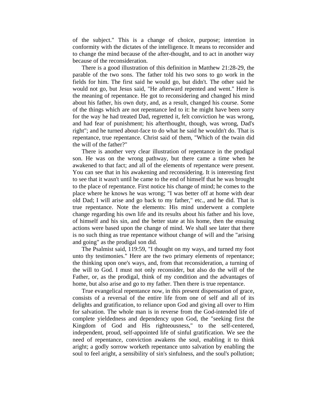of the subject." This is a change of choice, purpose; intention in conformity with the dictates of the intelligence. It means to reconsider and to change the mind because of the after-thought, and to act in another way because of the reconsideration.

 There is a good illustration of this definition in Matthew 21:28-29, the parable of the two sons. The father told his two sons to go work in the fields for him. The first said he would go, but didn't. The other said he would not go, but Jesus said, "He afterward repented and went." Here is the meaning of repentance. He got to reconsidering and changed his mind about his father, his own duty, and, as a result, changed his course. Some of the things which are not repentance led to it: he might have been sorry for the way he had treated Dad, regretted it, felt conviction he was wrong, and had fear of punishment; his afterthought, though, was wrong, Dad's right"; and he turned about-face to do what he said he wouldn't do. That is repentance, true repentance. Christ said of them, "Which of the twain did the will of the father?"

 There is another very clear illustration of repentance in the prodigal son. He was on the wrong pathway, but there came a time when he awakened to that fact; and all of the elements of repentance were present. You can see that in his awakening and reconsidering. It is interesting first to see that it wasn't until he came to the end of himself that he was brought to the place of repentance. First notice his change of mind; he comes to the place where he knows he was wrong; "I was better off at home with dear old Dad; I will arise and go back to my father," etc., and he did. That is true repentance. Note the elements: His mind underwent a complete change regarding his own life and its results about his father and his love, of himself and his sin, and the better state at his home, then the ensuing actions were based upon the change of mind. We shall see later that there is no such thing as true repentance without change of will and the "arising and going" as the prodigal son did.

 The Psalmist said, 119:59, "I thought on my ways, and turned my foot unto thy testimonies." Here are the two primary elements of repentance; the thinking upon one's ways, and, from that reconsideration, a turning of the will to God. I must not only reconsider, but also do the will of the Father, or, as the prodigal, think of my condition and the advantages of home, but also arise and go to my father. Then there is true repentance.

 True evangelical repentance now, in this present dispensation of grace, consists of a reversal of the entire life from one of self and all of its delights and gratification, to reliance upon God and giving all over to Him for salvation. The whole man is in reverse from the God-intended life of complete yieldedness and dependency upon God, the "seeking first the Kingdom of God and His righteousness," to the self-centered, independent, proud, self-appointed life of sinful gratification. We see the need of repentance, conviction awakens the soul, enabling it to think aright; a godly sorrow worketh repentance unto salvation by enabling the soul to feel aright, a sensibility of sin's sinfulness, and the soul's pollution;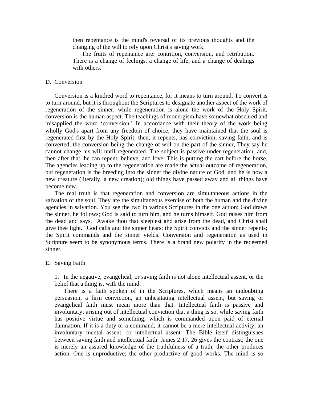then repentance is the mind's reversal of its previous thoughts and the changing of the will to rely upon Christ's saving work.

 The fruits of repentance are: contrition, conversion, and retribution. There is a change of feelings, a change of life, and a change of dealings with others.

# D. Conversion

 Conversion is a kindred word to repentance, for it means to turn around. To convert is to turn around, but it is throughout the Scriptures to designate another aspect of the work of regeneration of the sinner; while regeneration is alone the work of the Holy Spirit, conversion is the human aspect. The teachings of monergism have somewhat obscured and misapplied the word 'conversion.' In accordance with their theory of the work being wholly God's apart from any freedom of choice, they have maintained that the soul is regenerated first by the Holy Spirit; then, it repents, has conviction, saving faith, and is converted, the conversion being the change of will on the part of the sinner, They say he cannot change his will until regenerated. The subject is passive under regeneration, and, then after that, he can repent, believe, and love. This is putting the cart before the horse. The agencies leading up to the regeneration are made the actual outcome of regeneration, but regeneration is the breeding into the sinner the divine nature of God, and he is now a new creature (literally, a new creation); old things have passed away and all things have become new.

 The real truth is that regeneration and conversion are simultaneous actions in the salvation of the soul. They are the simultaneous exercise of both the human and the divine agencies in salvation. You see the two in various Scriptures in the one action: God draws the sinner, he follows; God is said to turn him, and he turns himself. God raises him from the dead and says, "Awake thou that sleepiest and arise from the dead, and Christ shall give thee light." God calls and the sinner hears; the Spirit convicts and the sinner repents; the Spirit commands and the sinner yields. Conversion and regeneration as used in Scripture seem to be synonymous terms. There is a brand new polarity in the redeemed sinner.

#### E. Saving Faith

1. In the negative, evangelical, or saving faith is not alone intellectual assent, or the belief that a thing is, with the mind.

 There is a faith spoken of in the Scriptures, which means an undoubting persuasion, a firm conviction, an unhesitating intellectual assent, but saving or evangelical faith must mean more than that. Intellectual faith is passive and involuntary; arising out of intellectual conviction that a thing is so, while saving faith has positive virtue and something, which is commanded upon paid of eternal damnation. If it is a duty or a command, it cannot be a mere intellectual activity, an involuntary mental assent, or intellectual assent. The Bible itself distinguishes between saving faith and intellectual faith. James 2:17, 26 gives the contrast; the one is merely an assured knowledge of the truthfulness of a truth, the other produces action. One is unproductive; the other productive of good works. The mind is so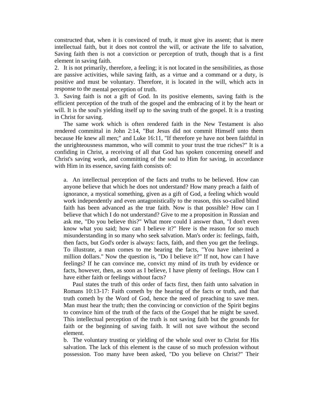constructed that, when it is convinced of truth, it must give its assent; that is mere intellectual faith, but it does not control the will, or activate the life to salvation, Saving faith then is not a conviction or perception of truth, though that is a first element in saving faith.

2. It is not primarily, therefore, a feeling; it is not located in the sensibilities, as those are passive activities, while saving faith, as a virtue and a command or a duty, is positive and must be voluntary. Therefore, it is located in the will, which acts in response to the mental perception of truth.

3. Saving faith is not a gift of God. In its positive elements, saving faith is the efficient perception of the truth of the gospel and the embracing of it by the heart or will. It is the soul's yielding itself up to the saving truth of the gospel. It is a trusting in Christ for saving.

 The same work which is often rendered faith in the New Testament is also rendered committal in John 2:14, "But Jesus did not commit Himself unto them because He knew all men;" and Luke 16:11, "If therefore ye have not been faithful in the unrighteousness mammon, who will commit to your trust the true riches?" It is a confiding in Christ, a receiving of all that God has spoken concerning oneself and Christ's saving work, and committing of the soul to Him for saving, in accordance with Him in its essence, saving faith consists of:

a. An intellectual perception of the facts and truths to be believed. How can anyone believe that which he does not understand? How many preach a faith of ignorance, a mystical something, given as a gift of God, a feeling which would work independently and even antagonistically to the reason, this so-called blind faith has been advanced as the true faith. Now is that possible? How can I believe that which I do not understand? Give to me a proposition in Russian and ask me, "Do you believe this?" What more could I answer than, "I don't even know what you said; how can I believe it?" Here is the reason for so much misunderstanding in so many who seek salvation. Man's order is: feelings, faith, then facts, but God's order is always: facts, faith, and then you get the feelings. To illustrate, a man comes to me bearing the facts, "You have inherited a million dollars." Now the question is, "Do I believe it?" If not, how can I have feelings? If he can convince me, convict my mind of its truth by evidence or facts, however, then, as soon as I believe, I have plenty of feelings. How can I have either faith or feelings without facts?

 Paul states the truth of this order of facts first, then faith unto salvation in Romans 10:13-17: Faith cometh by the hearing of the facts or truth, and that truth cometh by the Word of God, hence the need of preaching to save men. Man must hear the truth; then the convincing or conviction of the Spirit begins to convince him of the truth of the facts of the Gospel that he might be saved. This intellectual perception of the truth is not saving faith but the grounds for faith or the beginning of saving faith. It will not save without the second element.

b. The voluntary trusting or yielding of the whole soul over to Christ for His salvation. The lack of this element is the cause of so much profession without possession. Too many have been asked, "Do you believe on Christ?" Their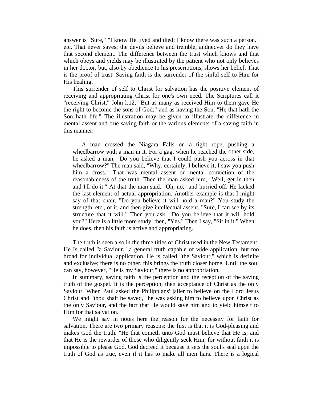answer is "Sure," "I know He lived and died; I know there was such a person." etc. That never saves; the devils believe and tremble, andnecver do they have that second element. The difference between the trust which knows and that which obeys and yields may be illustrated by the patient who not only believes in her doctor, but, also by obedience to his prescriptions, shows her belief. That is the proof of trust. Saving faith is the surrender of the sinful self to Him for His healing.

 This surrender of self to Christ for salvation has the positive element of receiving and appropriating Christ for one's own need. The Scriptures call it "receiving Christ," John l:12, "But as many as received Him to them gave He the right to become the sons of God;" and as having the Son, "He that hath the Son hath life." The illustration may be given to illustrate the difference in mental assent and true saving faith or the various elements of a saving faith in this manner:

 A man crossed the Niagara Falls on a tight rope, pushing a wheelbarrow with a man in it. For a gag, when he reached the other side, he asked a man, "Do you believe that I could push you across in that wheelbarrow?" The man said, "Why, certainly, I believe it; I saw you push him a cross." That was mental assent or mental conviction of the reasonableness of the truth. Then the man asked him, "Well, get in then and I'll do it." At that the man said, "Oh, no," and hurried off. He lacked the last element of actual appropriation. Another example is that I might say of that chair, "Do you believe it will hold a man?" You study the strength, etc., of it, and then give intellectual assent. "Sure, I can see by its structure that it will." Then you ask, "Do you believe that it will hold you?" Here is a little more study, then, "Yes." Then I say, "Sit in it." When he does, then his faith is active and appropriating.

 The truth is seen also in the three titles of Christ used in the New Testament: He Is called "a Saviour," a general truth capable of wide application, but too broad for individual application. He is called "the Saviour," which is definite and exclusive; there is no other, this brings the truth closer home. Until the soul can say, however, "He is my Saviour," there is no appropriation.

 In summary, saving faith is the perception and the reception of the saving truth of the gospel. It is the perception, then acceptance of Christ as the only Saviour. When Paul asked the Philippians' jailer to believe on the Lord Jesus Christ and "thou shalt be saved," he was asking him to believe upon Christ as the only Saviour, and the fact that He would save him and to yield himself to Him for that salvation.

 We might say in notes here the reason for the necessity for faith for salvation. There are two primary reasons: the first is that it is God-pleasing and makes God the truth. "He that cometh unto God must believe that He is, and that He is the rewarder of those who diligently seek Him, for without faith it is impossible to please God. God decreed it because it sets the soul's seal upon the truth of God as true, even if it has to make all men liars. There is a logical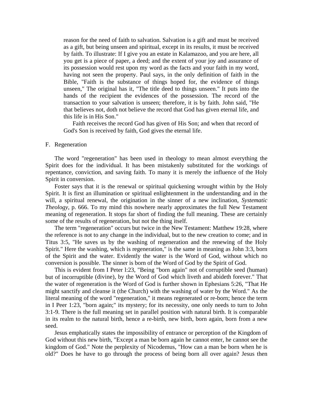reason for the need of faith to salvation. Salvation is a gift and must be received as a gift, but being unseen and spiritual, except in its results, it must be received by faith. To illustrate: If I give you an estate in Kalamazoo, and you are here, all you get is a piece of paper, a deed; and the extent of your joy and assurance of its possession would rest upon my word as the facts and your faith in my word, having not seen the property. Paul says, in the only definition of faith in the Bible, "Faith is the substance of things hoped for, the evidence of things unseen," The original has it, "The title deed to things unseen." It puts into the hands of the recipient the evidences of the possession. The record of the transaction to your salvation is unseen; therefore, it is by faith. John said, "He that believes not, doth not believe the record that God has given eternal life, and this life is in His Son."

 Faith receives the record God has given of His Son; and when that record of God's Son is received by faith, God gives the eternal life.

### F. Regeneration

 The word "regeneration" has been used in theology to mean almost everything the Spirit does for the individual. It has been mistakenly substituted for the workings of repentance, conviction, and saving faith. To many it is merely the influence of the Holy Spirit in conversion.

 Foster says that it is the renewal or spiritual quickening wrought within by the Holy Spirit. It is first an illumination or spiritual enlightenment in the understanding and in the will, a spiritual renewal, the origination in the sinner of a new inclination, *Systematic Theology*, p. 666. To my mind this nowhere nearly approximates the full New Testament meaning of regeneration. It stops far short of finding the full meaning. These are certainly some of the results of regeneration, but not the thing itself.

 The term "regeneration" occurs but twice in the New Testament: Matthew 19:28, where the reference is not to any change in the individual, but to the new creation to come; and in Titus 3:5, "He saves us by the washing of regeneration and the renewing of the Holy Spirit." Here the washing, which is regeneration," is the same in meaning as John 3:3, born of the Spirit and the water. Evidently the water is the Word of God, without which no conversion is possible. The sinner is born of the Word of God by the Spirit of God.

 This is evident from I Peter l:23, "Being "born again" not of corruptible seed (human) but of incorruptible (divine), by the Word of God which liveth and abideth forever." That the water of regeneration is the Word of God is further shown in Ephesians 5:26, "That He might sanctify and cleanse it (the Church) with the washing of water by the Word." As the literal meaning of the word "regeneration," it means regenerated or re-born; hence the term in I Peer 1:23, "born again;" its mystery; for its necessity, one only needs to turn to John 3:1-9. There is the full meaning set in parallel position with natural birth. It is comparable in its realm to the natural birth, hence a re-birth, new birth, born again, born from a new seed.

 Jesus emphatically states the impossibility of entrance or perception of the Kingdom of God without this new birth, "Except a man be born again he cannot enter, he cannot see the kingdom of God." Note the perplexity of Nicodemus, "How can a man be born when he is old?" Does he have to go through the process of being born all over again? Jesus then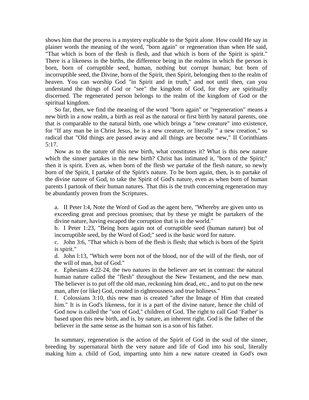shows him that the process is a mystery explicable to the Spirit alone. How could He say in plainer words the meaning of the word, "born again" or regeneration than when He said, "That which is born of the flesh is flesh, and that which is born of the Spirit is spirit." There is a likeness in the births, the difference being in the realms in which the person is born, born of corruptible seed, human, nothing but corrupt human; but born of incorruptible seed, the Divine, born of the Spirit, then Spirit, belonging then to the realm of heaven. You can worship God "in Spirit and in truth," and not until then, can you understand the things of God or "see" the kingdom of God, for they are spiritually discerned. The regenerated person belongs to the realm of the kingdom of God or the spiritual kingdom.

 So far, then, we find the meaning of the word "born again" or "regeneration" means a new birth in a now realm, a birth as real as the natural or first birth by natural parents, one that is comparable to the natural birth, one which brings a "new creature" into existence, for "If any man be in Christ Jesus, he is a new creature, or literally " a new creation," so radical that "Old things are passed away and all things are become new," II Corinthians 5:17.

 Now as to the nature of this new birth, what constitutes it? What is this new nature which the sinner partakes in the new birth? Christ has intimated it, "born of the Spirit;" then it is spirit. Even as, when born of the flesh we partake of the flesh nature, so newly born of the Spirit, I partake of the Spirit's nature. To be born again, then, is to partake of the divine nature of God, to take the Spirit of God's nature, even as when born of human parents I partook of their human natures. That this is the truth concerning regeneration may be abundantly proven from the Scriptures.

a. II Peter l:4, Note the Word of God as the agent here, "Whereby are given unto us exceeding great and precious promises; that by these ye might be partakers of the divine nature, having escaped the corruption that is in the world."

b. I Peter 1:23, "Being born again not of corruptible seed (human nature) but of incorruptible seed, by the Word of God;" seed is the basic word for nature.

c. John 3:6, "That which is born of the flesh is flesh; that which is born of the Spirit is spirit."

d. John l:13, "Which were born not of the blood, nor of the will of the flesh, nor of the will of man, but of God."

e. Ephesians 4:22-24, the two natures in the believer are set in contrast: the natural human nature called the "flesh" throughout the New Testament, and the new man. The believer is to put off the old man, reckoning him dead, etc., and to put on the new man, after (or like) God, created in righteousness and true holiness."

f. Colossians 3:10, this new man is created "after the Image of Him that created him." It is in God's likeness, for it is a part of the divine nature, hence the child of God now is called the "son of God," children of God. The right to call God 'Father' is based upon this new birth, and is, by nature, an inherent right. God is the father of the believer in the same sense as the human son is a son of his father.

 In summary, regeneration is the action of the Spirit of God in the soul of the sinner, breeding by supernatural birth the very nature and life of God into his soul, literally making him a. child of God, imparting unto him a new nature created in God's own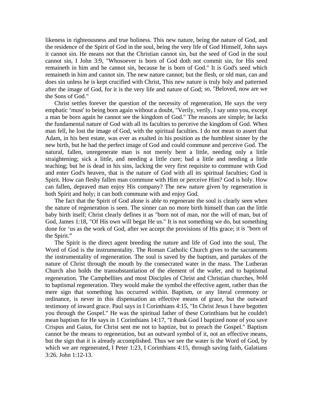likeness in righteousness and true holiness. This new nature, being the nature of God, and the residence of the Spirit of God in the soul, being the very life of God Himself, John says it cannot sin. He means not that the Christian cannot sin, but the seed of God in the soul cannot sin, I John 3:9, "Whosoever is born of God doth not commit sin, for His seed remaineth in him and he cannot sin, because he is born of God." It is God's seed which remaineth in him and cannot sin. The new nature cannot; but the flesh, or old man, can and does sin unless he is kept crucified with Christ, This new nature is truly holy and patterned after the image of God, for it is the very life and nature of God; so, "Beloved, now are we the Sons of God."

 Christ settles forever the question of the necessity of regeneration, He says the very emphatic 'must' to being born again without a doubt, "Verily, verily, I say unto you, except a man be born again he cannot see the kingdom of God." The reasons are simple; he lacks the fundamental nature of God with all its faculties to perceive the kingdom of God. When man fell, he lost the image of God, with the spiritual faculties. I do not mean to assert that Adam, in his best estate, was ever as exalted in his position as the humblest sinner by the new birth, but he had the perfect image of God and could commune and perceive God. The natural, fallen, unregenerate man is not merely bent a little, needing only a little straightening; sick a little, and needing a little cure; bad a little and needing a little teaching; but he is dead in his sins, lacking the very first requisite to commune with God and enter God's heaven, that is the nature of God with all its spiritual faculties; God is Spirit. How can fleshy fallen man commune with Him or perceive Him? God is holy. How can fallen, depraved man enjoy His company? The new nature given by regeneration is both Spirit and holy; it can both commune with and enjoy God.

 The fact that the Spirit of God alone is able to regenerate the soul is clearly seen when the nature of regeneration is seen. The sinner can no more birth himself than can the little baby birth itself; Christ clearly defines it as "born not of man, nor the will of man, but of God, James 1:18, "Of His own will begat He us." It is not something we do, but something done for 'us as the work of God, after we accept the provisions of His grace; it is "born of the Spirit."

 The Spirit is the direct agent breeding the nature and life of God into the soul, The Word of God is the instrumentality. The Roman Catholic Church gives to the sacraments the instrumentality of regeneration. The soul is saved by the baptism, and partakes of the nature of Christ through the mouth by the consecrated water in the mass. The Lutheran Church also holds the transubstantiation of the element of the wafer, and to baptismal regeneration. The Campbellites and most Disciples of Christ and Christian churches, hold to baptismal regeneration. They would make the symbol the effective agent, rather than the mere sign that something has occurred within. Baptism, or any literal ceremony or ordinance, is never in this dispensation an effective means of grace, but the outward testimony of inward grace. Paul says in I Corinthians 4:15, "In Christ Jesus I have begotten you through the Gospel." He was the spiritual father of these Corinthians but he couldn't mean baptism for He says in 1 Corinthians 14:17, "I thank God I baptized none of you save Crispus and Gaius, for Christ sent me not to baptize, but to preach the Gospel." Baptism cannot be the means to regeneration, but an outward symbol of it, not an effective means, but the sign that it is already accomplished. Thus we see the water is the Word of God, by which we are regenerated, I Peter 1:23, I Corinthians 4:15, through saving faith, Galatians 3:26. John 1:12-13.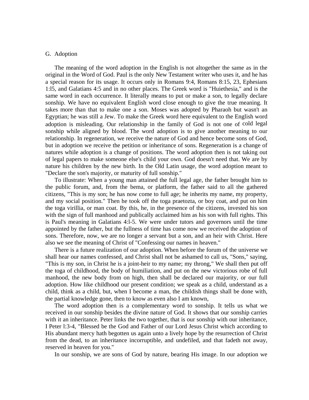# G. Adoption

 The meaning of the word adoption in the English is not altogether the same as in the original in the Word of God. Paul is the only New Testament writer who uses it, and he has a special reason for its usage. It occurs only in Romans 9:4, Romans 8:15, 23, Ephesians 1:l5, and Galatians 4:5 and in no other places. The Greek word is "Huiethesia," and is the same word in each occurrence. It literally means to put or make a son, to legally declare sonship. We have no equivalent English word close enough to give the true meaning. It takes more than that to make one a son. Moses was adopted by Pharaoh but wasn't an Egyptian; he was still a Jew. To make the Greek word here equivalent to the English word adoption is misleading. Our relationship in the family of God is not one of cold legal sonship while aligned by blood. The word adoption is to give another meaning to our relationship. In regeneration, we receive the nature of God and hence become sons of God, but in adoption we receive the petition or inheritance of sons. Regeneration is a change of natures while adoption is a change of positions. The word adoption then is not taking out of legal papers to make someone else's child your own. God doesn't need that. We are by nature his children by the new birth. In the Old Latin usage, the word adoption meant to "Declare the son's majority, or maturity of full sonship."

 To illustrate: When a young man attained the full legal age, the father brought him to the public forum, and, from the bema, or platform, the father said to all the gathered citizens, "This is my son; he has now come to full age; he inherits my name, my property, and my social position." Then he took off the toga praetozta, or boy coat, and put on him the toga virillia, or man coat. By this, he, in the presence of the citizens, invested his son with the sign of full manhood and publically acclaimed him as his son with full rights. This is Paul's meaning in Galatians 4:l-5. We were under tutors and governors until the time appointed by the father, but the fullness of time has come now we received the adoption of sons. Therefore, now, we are no longer a servant but a son, and an heir with Christ. Here also we see the meaning of Christ of "Confessing our names in heaven."

 There is a future realization of our adoption. When before the forum of the universe we shall hear our names confessed, and Christ shall not be ashamed to call us, "Sons," saying, "This is my son, in Christ he is a joint-heir to my name; my throng," We shall then put off the toga of childhood, the body of humiliation, and put on the new victorious robe of full manhood, the new body from on high, then shall be declared our majority, or our full adoption. How like childhood our present condition; we speak as a child, understand as a child, think as a child, but, when I become a man, the childish things shall be done with, the partial knowledge gone, then to know as even also I am known,

 The word adoption then is a complementary word to sonship. It tells us what we received in our sonship besides the divine nature of God. It shows that our sonship carries with it an inheritance. Peter links the two together, that is our sonship with our inheritance, I Peter l:3-4, "Blessed be the God and Father of our Lord Jesus Christ which according to His abundant mercy hath begotten us again unto a lively hope by the resurrection of Christ from the dead, to an inheritance incorruptible, and undefiled, and that fadeth not away, reserved in heaven for you."

In our sonship, we are sons of God by nature, bearing His image. In our adoption we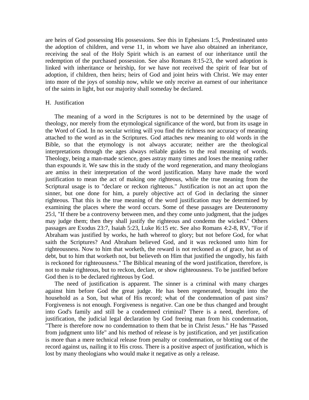are heirs of God possessing His possessions. See this in Ephesians 1:5, Predestinated unto the adoption of children, and verse 11, in whom we have also obtained an inheritance, receiving the seal of the Holy Spirit which is an earnest of our inheritance until the redemption of the purchased possession. See also Romans 8:15-23, the word adoption is linked with inheritance or heirship, for we have not received the spirit of fear but of adoption, if children, then heirs; heirs of God and joint heirs with Christ. We may enter into more of the joys of sonship now, while we only receive an earnest of our inheritance of the saints in light, but our majority shall someday be declared.

### H. Justification

 The meaning of a word in the Scriptures is not to be determined by the usage of theology, nor merely from the etymological significance of the word, but from its usage in the Word of God. In no secular writing will you find the richness nor accuracy of meaning attached to the word as in the Scriptures. God attaches new meaning to old words in the Bible, so that the etymology is not always accurate; neither are the theological interpretations through the ages always reliable guides to the real meaning of words. Theology, being a man-made science, goes astray many times and loses the meaning rather than expounds it. We saw this in the study of the word regeneration, and many theologians are amiss in their interpretation of the word justification. Many have made the word justification to mean the act of making one righteous, while the true meaning from the Scriptural usage is to "declare or reckon righteous." Justification is not an act upon the sinner, but one done for him, a purely objective act of God in declaring the sinner righteous. That this is the true meaning of the word justification may be determined by examining the places where the word occurs. Some of these passages are Deuteronomy 25:l, "If there be a controversy between men, and they come unto judgment, that the judges may judge them; then they shall justify the righteous and condemn the wicked." Others passages are Exodus 23:7, Isaiah 5:23, Luke l6:15 etc. See also Romans 4:2-8, RV, "For if Abraham was justified by works, he hath whereof to glory; but not before God, for what saith the Scriptures? And Abraham believed God, and it was reckoned unto him for righteousness. Now to him that worketh, the reward is not reckoned as of grace, but as of debt, but to him that worketh not, but believeth on Him that justified the ungodly, his faith is reckoned for righteousness." The Biblical meaning of the word justification, therefore, is not to make righteous, but to reckon, declare, or show righteousness. To be justified before God then is to be declared righteous by God.

 The need of justification is apparent. The sinner is a criminal with many charges against him before God the great judge. He has been regenerated, brought into the household as a Son, but what of His record; what of the condemnation of past sins? Forgiveness is not enough. Forgiveness is negative. Can one be thus changed and brought into God's family and still be a condemned criminal? There is a need, therefore, of justification, the judicial legal declaration by God freeing man from his condemnation, "There is therefore now no condemnation to them that be in Christ Jesus." He has "Passed from judgment unto life" and his method of release is by justification, and yet justification is more than a mere technical release from penalty or condemnation, or blotting out of the record against us, nailing it to His cross. There is a positive aspect of justification, which is lost by many theologians who would make it negative as only a release.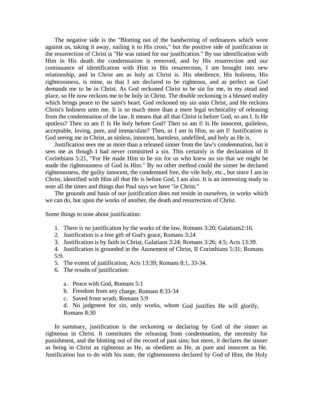The negative side is the "Blotting out of the handwriting of ordinances which wore against us, taking it away, nailing it to His cross," but the positive side of justification in the resurrection of Christ is "He was raised for our justification." By our identification with Him in His death the condemnation is removed, and by His resurrection and our continuance of identification with Him in His resurrection, I am brought into new relationship, and in Christ am as holy as Christ is. His obedience, His holiness, His righteousness, is mine, so that I am declared to be righteous, and as perfect as God demands me to be in Christ. As God reckoned Christ to be sin for me, in my stead and place, so He now reckons me to be holy in Christ. The double reckoning is a blessed reality which brings peace to the saint's heart. God reckoned my sin unto Christ, and He reckons Christ's holiness unto me. It is so much more than a mere legal technicality of releasing from the condemnation of the law. It means that all that Christ is before God, so am I. Is He spotless? Then so am I! Is He holy before God? Then so am I! Is He innocent, guileless, acceptable, loving, pure, and immaculate? Then, as I am in Him, so am I! Justification is God seeing me in Christ, as sinless, innocent, harmless, undefiled, and holy as He is.

 Justification sees me as more than a released sinner from the law's condemnation, but it sees me as though I had never committed a sin. This certainly is the declaration of II Corinthians 5:21, "For He made Him to be sin for us who knew no sin that we might be made the righteousness of God in Him." By no other method could the sinner be declared righteousness, the guilty innocent, the condemned free, the vile holy, etc., but since I am in Christ, identified with Him all that He is before God, I am also. It is an interesting study to note all the times and things that Paul says we have "in Christ."

 The grounds and basis of our justification does not reside in ourselves, in works which we can do, but upon the works of another, the death and resurrection of Christ.

Some things to note about justification:

- 1. There is no justification by the works of the law, Romans 3:20; Galatians2:16.
- 2. Justification is a free gift of God's grace, Romans 3:24
- 3. Justification is by faith in Christ, Galatians 3:24; Romans 3:26; 4:5; Acts 13:39.

4. Justification is grounded in the Atonement of Christ, II Corinthians 5:31; Romans 5:9.

- 5. The extent of justification, Acts 13:39; Romans 8:1, 33-34.
- 6. The results of justification:
	- a. Peace with God, Romans 5:1
	- b. Freedom from any charge, Romans 8:33-34
	- c. Saved from wrath, Romans 5:9

d. No judgment for sin, only works, whom God justifies He will glorify, Romans 8:30

 In summary, justification is the reckoning or declaring by God of the sinner as righteous in Christ. It constitutes the releasing from condemnation, the necessity for punishment, and the blotting out of the record of past sins; but more, it declares the sinner as being in Christ as righteous as He, as obedient as He, as pure and innocent as He. Justification has to do with his state, the righteousness declared by God of Him, the Holy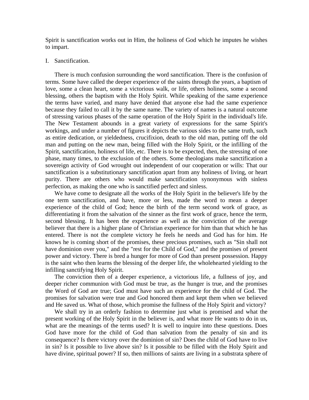Spirit is sanctification works out in Him, the holiness of God which he imputes he wishes to impart.

### I. Sanctification.

 There is much confusion surrounding the word sanctification. There is the confusion of terms. Some have called the deeper experience of the saints through the years, a baptism of love, some a clean heart, some a victorious walk, or life, others holiness, some a second blessing, others the baptism with the Holy Spirit. While speaking of the same experience the terms have varied, and many have denied that anyone else had the same experience because they failed to call it by the same name. The variety of names is a natural outcome of stressing various phases of the same operation of the Holy Spirit in the individual's life. The New Testament abounds in a great variety of expressions for the same Spirit's workings, and under a number of figures it depicts the various sides to the same truth, such as entire dedication, or yieldedness, crucifixion, death to the old man, putting off the old man and putting on the new man, being filled with the Holy Spirit, or the infilling of the Spirit, sanctification, holiness of life, etc. There is to be expected, then, the stressing of one phase, many times, to the exclusion of the others. Some theologians make sanctification a sovereign activity of God wrought out independent of our cooperation or wills: That our sanctification is a substitutionary sanctification apart from any holiness of living, or heart purity. There are others who would make sanctification synonymous with sinless perfection, as making the one who is sanctified perfect and sinless.

 We have come to designate all the works of the Holy Spirit in the believer's life by the one term sanctification, and have, more or less, made the word to mean a deeper experience of the child of God; hence the birth of the term second work of grace, as differentiating it from the salvation of the sinner as the first work of grace, hence the term, second blessing. It has been the experience as well as the conviction of the average believer that there is a higher plane of Christian experience for him than that which he has entered. There is not the complete victory he feels he needs and God has for him. He knows he is coming short of the promises, these precious promises, such as "Sin shall not have dominion over you," and the "rest for the Child of God," and the promises of present power and victory. There is bred a hunger for more of God than present possession. Happy is the saint who then learns the blessing of the deeper life, the wholehearted yielding to the infilling sanctifying Holy Spirit.

 The conviction then of a deeper experience, a victorious life, a fullness of joy, and deeper richer communion with God must be true, as the hunger is true, and the promises the Word of God are true; God must have such an experience for the child of God. The promises for salvation were true and God honored them and kept them when we believed and He saved us. What of those, which promise the fullness of the Holy Spirit and victory?

 We shall try in an orderly fashion to determine just what is promised and what the present working of the Holy Spirit in the believer is, and what more He wants to do in us, what are the meanings of the terms used? It is well to inquire into these questions. Does God have more for the child of God than salvation from the penalty of sin and its consequence? Is there victory over the dominion of sin? Does the child of God have to live in sin? Is it possible to live above sin? Is it possible to be filled with the Holy Spirit and have divine, spiritual power? If so, then millions of saints are living in a substrata sphere of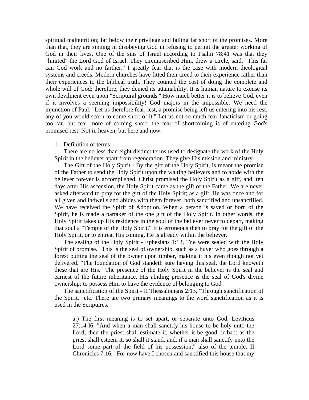spiritual malnutrition; far below their privilege and falling far short of the promises. More than that, they are sinning in disobeying God in refusing to permit the greater working of God in their lives. One of the sins of Israel according to Psalm 78:41 was that they "limited" the Lord God of Israel. They circumscribed Him, drew a circle, said, "This far can God work and no farther." I greatly fear that is the case with modern theological systems and creeds. Modern churches have fitted their creed to their experience rather than their experiences to the biblical truth. They counted the cost of doing the complete and whole will of God; therefore, they denied its attainability. It is human nature to excuse its own devilment even upon "Scriptural grounds." How much better it is to believe God, even if it involves a seeming impossibility! God majors in the impossible. We need the injunction of Paul, "Let us therefore fear, lest, a promise being left us entering into his rest, any of you would scorn to come short of it." Let us not so much fear fanaticism or going too far, but fear more of coming short; the fear of shortcoming is of entering God's promised rest. Not in heaven, but here and now.

### 1. Definition of terms

 There are no less than eight distinct terms used to designate the work of the Holy Spirit in the believer apart from regeneration. They give His mission and ministry.

 The Gift of the Holy Spirit - By the gift of the Holy Spirit, is meant the promise of the Father to send the Holy Spirit upon the waiting believers and to abide with the believer forever is accomplished. Christ promised the Holy Spirit as a gift, and, ten days after His ascension, the Holy Spirit came as the gift of the Father. We are never asked afterward to pray for the gift of the Holy Spirit; as a gift, He was once and for all given and indwells and abides with them forever, both sanctified and unsanctified. We have received the Spirit of Adoption. When a person is saved or born of the Spirit, he is made a partaker of the one gift of the Holy Spirit. In other words, the Holy Spirit takes up His residence in the soul of the believer never to depart, making that soul a "Temple of the Holy Spirit." It is erroneous then to pray for the gift of the Holy Spirit, or to entreat His coming. He is already within the believer.

 The sealing of the Holy Spirit - Ephesians 1:13, "Ye were sealed with the Holy Spirit of promise." This is the seal of ownership, such as a buyer who goes through a forest putting the seal of the owner upon timber, making it his even though not yet delivered. "The foundation of God standeth sure having this seal, the Lord knoweth these that are His." The presence of the Holy Spirit in the believer is the seal and earnest of the future inheritance. His abiding presence is the seal of God's divine ownership; to possess Him to have the evidence of belonging to God.

 The sanctification of the Spirit - II Thessalonians 2:13, "Through sanctification of the Spirit," etc. There are two primary meanings to the word sanctification as it is used in the Scriptures.

a.) The first meaning is to set apart, or separate unto God, Leviticus 27:14-l6, "And when a man shall sanctify his house to be holy unto the Lord, then the priest shall estimate it, whether it be good or bad: as the priest shall esteem it, so shall it stand, and, if a man shall sanctify unto the Lord some part of the field of his possession;" also of the temple, II Chronicles 7:16, "For now have I chosen and sanctified this house that my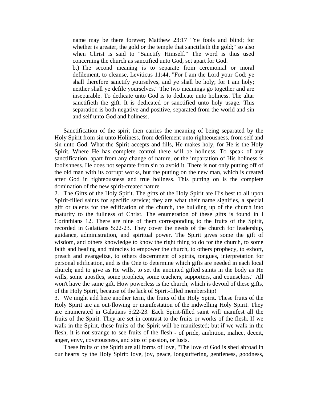name may be there forever; Matthew 23:17 "Ye fools and blind; for whether is greater, the gold or the temple that sanctifieth the gold;" so also when Christ is said to "Sanctify Himself." The word is thus used concerning the church as sanctified unto God, set apart for God. b.) The second meaning is to separate from ceremonial or moral defilement, to cleanse, Leviticus 11:44, "For I am the Lord your God; ye shall therefore sanctify yourselves, and ye shall be holy; for I am holy; neither shall ye defile yourselves." The two meanings go together and are inseparable. To dedicate unto God is to dedicate unto holiness. The altar sanctifieth the gift. It is dedicated or sanctified unto holy usage. This separation is both negative and positive, separated from the world and sin and self unto God and holiness.

 Sanctification of the spirit then carries the meaning of being separated by the Holy Spirit from sin unto Holiness, from defilement unto righteousness, from self and sin unto God. What the Spirit accepts and fills, He makes holy, for He is the Holy Spirit. Where He has complete control there will be holiness. To speak of any sanctification, apart from any change of nature, or the impartation of His holiness is foolishness. He does not separate from sin to avoid it. There is not only putting off of the old man with its corrupt works, but the putting on the new man, which is created after God in righteousness and true holiness. This putting on is the complete domination of the new spirit-created nature.

2. The Gifts of the Holy Spirit. The gifts of the Holy Spirit are His best to all upon Spirit-filled saints for specific service; they are what their name signifies, a special gift or talents for the edification of the church, the building up of the church into maturity to the fullness of Christ. The enumeration of these gifts is found in I Corinthians 12. There are nine of them corresponding to the fruits of the Spirit, recorded in Galatians 5:22-23. They cover the needs of the church for leadership, guidance, administration, and spiritual power. The Spirit gives some the gift of wisdom, and others knowledge to know the right thing to do for the church, to some faith and healing and miracles to empower the church, to others prophecy, to exhort, preach and evangelize, to others discernment of spirits, tongues, interpretation for personal edification, and is the One to determine which gifts are needed in each local church; and to give as He wills, to set the anointed gifted saints in the body as He wills, some apostles, some prophets, some teachers, supporters, and counselors." All won't have the same gift. How powerless is the church, which is devoid of these gifts, of the Holy Spirit, because of the lack of Spirit-filled membership!

3. We might add here another term, the fruits of the Holy Spirit. These fruits of the Holy Spirit are an out-flowing or manifestation of the indwelling Holy Spirit. They are enumerated in Galatians 5:22-23. Each Spirit-filled saint will manifest all the fruits of the Spirit. They are set in contrast to the fruits or works of the flesh. If we walk in the Spirit, these fruits of the Spirit will be manifested; but if we walk in the flesh, it is not strange to see fruits of the flesh - of pride, ambition, malice, deceit, anger, envy, covetousness, and sins of passion, or lusts.

 These fruits of the Spirit are all forms of love, "The love of God is shed abroad in our hearts by the Holy Spirit: love, joy, peace, longsuffering, gentleness, goodness,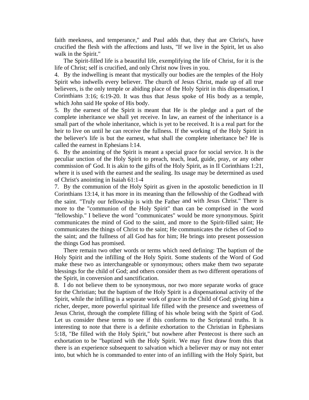faith meekness, and temperance," and Paul adds that, they that are Christ's, have crucified the flesh with the affections and lusts, "If we live in the Spirit, let us also walk in the Spirit."

 The Spirit-filled life is a beautiful life, exemplifying the life of Christ, for it is the life of Christ; self is crucified, and only Christ now lives in you.

4. By the indwelling is meant that mystically our bodies are the temples of the Holy Spirit who indwells every believer. The church of Jesus Christ, made up of all true believers, is the only temple or abiding place of the Holy Spirit in this dispensation, I Corinthians 3:16; 6:19-20. It was thus that Jesus spoke of His body as a temple, which John said He spoke of His body.

5. By the earnest of the Spirit is meant that He is the pledge and a part of the complete inheritance we shall yet receive. In law, an earnest of the inheritance is a small part of the whole inheritance, which is yet to be received. It is a real part for the heir to live on until he can receive the fullness. If the working of the Holy Spirit in the believer's life is but the earnest, what shall the complete inheritance be? He is called the earnest in Ephesians l:14.

6. By the anointing of the Spirit is meant a special grace for social service. It is the peculiar unction of the Holy Spirit to preach, teach, lead, guide, pray, or any other commission of' God. It is akin to the gifts of the Holy Spirit, as in II Corinthians 1:21, where it is used with the earnest and the sealing. Its usage may be determined as used of Christ's anointing in Isaiah 61:1-4

7. By the communion of the Holy Spirit as given in the apostolic benediction in II Corinthians 13:14, it has more in its meaning than the fellowship of the Godhead with the saint. "Truly our fellowship is with the Father and with Jesus Christ." There is more to the "communion of the Holy Spirit" than can be comprised in the word "fellowship." I believe the word "communicates" would be more synonymous. Spirit communicates the mind of God to the saint, and more to the Spirit-filled saint; He communicates the things of Christ to the saint; He communicates the riches of God to the saint; and the fullness of all God has for him; He brings into present possession the things God has promised.

 There remain two other words or terms which need defining: The baptism of the Holy Spirit and the infilling of the Holy Spirit. Some students of the Word of God make these two as interchangeable or synonymous; others make them two separate blessings for the child of God; and others consider them as two different operations of the Spirit, in conversion and sanctification.

8. I do not believe them to be synonymous, nor two more separate works of grace for the Christian; but the baptism of the Holy Spirit is a dispensational activity of the Spirit, while the infilling is a separate work of grace in the Child of God; giving him a richer, deeper, more powerful spiritual life filled with the presence and sweetness of Jesus Christ, through the complete filling of his whole being with the Spirit of God. Let us consider these terms to see if this conforms to the Scriptural truths. It is interesting to note that there is a definite exhortation to the Christian in Ephesians 5:18, "Be filled with the Holy Spirit," but nowhere after Pentecost is there such an exhortation to be "baptized with the Holy Spirit. We may first draw from this that there is an experience subsequent to salvation which a believer may or may not enter into, but which he is commanded to enter into of an infilling with the Holy Spirit, but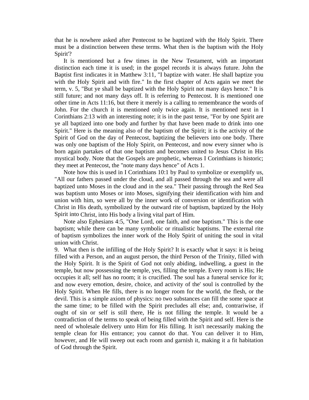that he is nowhere asked after Pentecost to be baptized with the Holy Spirit. There must be a distinction between these terms. What then is the baptism with the Holy Spirit'?

 It is mentioned but a few times in the New Testament, with an important distinction each time it is used; in the gospel records it is always future. John the Baptist first indicates it in Matthew 3:11, "I baptize with water. He shall baptize you with the Holy Spirit and with fire." In the first chapter of Acts again we meet the term, v. 5, "But ye shall be baptized with the Holy Spirit not many days hence." It is still future; and not many days off. It is referring to Pentecost. It is mentioned one other time in Acts 11:16, but there it merely is a calling to remembrance the words of John. For the church it is mentioned only twice again. It is mentioned next in I Corinthians 2:13 with an interesting note; it is in the past tense, "For by one Spirit are ye all baptized into one body and further by that have been made to drink into one Spirit." Here is the meaning also of the baptism of the Spirit; it is the activity of the Spirit of God on the day of Pentecost, baptizing the believers into one body. There was only one baptism of the Holy Spirit, on Pentecost, and now every sinner who is born again partakes of that one baptism and becomes united to Jesus Christ in His mystical body. Note that the Gospels are prophetic, whereas I Corinthians is historic; they meet at Pentecost, the "note many days hence" of Acts 1.

 Note how this is used in I Corinthians 10:1 by Paul to symbolize or exemplify us, "All our fathers passed under the cloud, and all passed through the sea and were all baptized unto Moses in the cloud and in the sea." Their passing through the Red Sea was baptism unto Moses or into Moses, signifying their identification with him and union with him, so were all by the inner work of conversion or identification with Christ in His death, symbolized by the outward rite of baptism, baptized by the Holy Spirit into Christ, into His body a living vital part of Him.

 Note also Ephesians 4:5, "One Lord, one faith, and one baptism." This is the one baptism; while there can be many symbolic or ritualistic baptisms. The external rite of baptism symbolizes the inner work of the Holy Spirit of uniting the soul in vital union with Christ.

9. What then is the infilling of the Holy Spirit? It is exactly what it says: it is being filled with a Person, and an august person, the third Person of the Trinity, filled with the Holy Spirit. It is the Spirit of God not only abiding, indwelling, a guest in the temple, but now possessing the temple, yes, filling the temple. Every room is His; He occupies it all; self has no room; it is crucified. The soul has a funeral service for it; and now every emotion, desire, choice, and activity of the' soul is controlled by the Holy Spirit. When He fills, there is no longer room for the world, the flesh, or the devil. This is a simple axiom of physics: no two substances can fill the some space at the same time; to be filled with the Spirit precludes all else; and, contrariwise, if ought of sin or self is still there, He is not filling the temple. It would be a contradiction of the terms to speak of being filled with the Spirit and self. Here is the need of wholesale delivery unto Him for His filling. It isn't necessarily making the temple clean for His entrance; you cannot do that. You can deliver it to Him, however, and He will sweep out each room and garnish it, making it a fit habitation of God through the Spirit.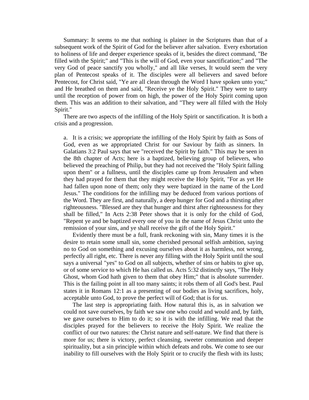Summary: It seems to me that nothing is plainer in the Scriptures than that of a subsequent work of the Spirit of God for the believer after salvation. Every exhortation to holiness of life and deeper experience speaks of it, besides the direct command, "Be filled with the Spirit;" and "This is the will of God, even your sanctification;" and "The very God of peace sanctify you wholly," and all like verses, It would seem the very plan of Pentecost speaks of it. The disciples were all believers and saved before Pentecost, for Christ said, "Ye are all clean through the Word I have spoken unto you;" and He breathed on them and said, "Receive ye the Holy Spirit." They were to tarry until the reception of power from on high, the power of the Holy Spirit coming upon them. This was an addition to their salvation, and "They were all filled with the Holy Spirit."

 There are two aspects of the infilling of the Holy Spirit or sanctification. It is both a crisis and a progression.

a. It is a crisis; we appropriate the infilling of the Holy Spirit by faith as Sons of God, even as we appropriated Christ for our Saviour by faith as sinners. In Galatians 3:2 Paul says that we "received the Spirit by faith." This may be seen in the 8th chapter of Acts; here is a baptized, believing group of believers, who believed the preaching of Philip, but they had not received the "Holy Spirit falling upon them" or a fullness, until the disciples came up from Jerusalem and when they had prayed for them that they might receive the Holy Spirit, "For as yet He had fallen upon none of them; only they were baptized in the name of the Lord Jesus." The conditions for the infilling may be deduced from various portions of the Word. They are first, and naturally, a deep hunger for God and a thirsting after righteousness. "Blessed are they that hunger and thirst after righteousness for they shall be filled," In Acts 2:38 Peter shows that it is only for the child of God, "Repent ye and be baptized every one of you in the name of Jesus Christ unto the remission of your sins, and ye shall receive the gift of the Holy Spirit."

 Evidently there must be a full, frank reckoning with sin, Many times it is the desire to retain some small sin, some cherished personal selfish ambition, saying no to God on something and excusing ourselves about it as harmless, not wrong, perfectly all right, etc. There is never any filling with the Holy Spirit until the soul says a universal "yes" to God on all subjects, whether of sins or habits to give up, or of some service to which He has called us. Acts 5:32 distinctly says, "The Holy Ghost, whom God hath given to them that obey Him;" that is absolute surrender. This is the failing point in all too many saints; it robs them of all God's best. Paul states it in Romans 12:1 as a presenting of our bodies as living sacrifices, holy, acceptable unto God, to prove the perfect will of God; that is for us.

 The last step is appropriating faith. How natural this is, as in salvation we could not save ourselves, by faith we saw one who could and would and, by faith, we gave ourselves to Him to do it; so it is with the infilling. We read that the disciples prayed for the believers to receive the Holy Spirit. We realize the conflict of our two natures: the Christ nature and self-nature. We find that there is more for us; there is victory, perfect cleansing, sweeter communion and deeper spirituality, but a sin principle within which defeats and robs. We come to see our inability to fill ourselves with the Holy Spirit or to crucify the flesh with its lusts;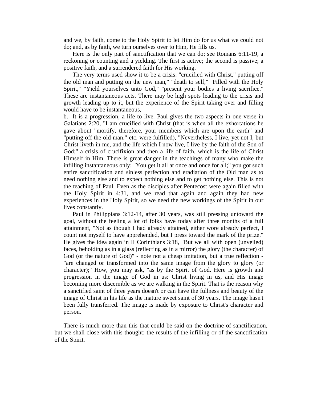and we, by faith, come to the Holy Spirit to let Him do for us what we could not do; and, as by faith, we turn ourselves over to Him, He fills us.

 Here is the only part of sanctification that we can do; see Romans 6:11-19, a reckoning or counting and a yielding. The first is active; the second is passive; a positive faith, and a surrendered faith for His working.

 The very terms used show it to be a crisis: "crucified with Christ," putting off the old man and putting on the new man," "death to self," "Filled with the Holy Spirit," "Yield yourselves unto God," "present your bodies a living sacrifice." These are instantaneous acts. There may be high spots leading to the crisis and growth leading up to it, but the experience of the Spirit taking over and filling would have to be instantaneous,

b. It is a progression, a life to live. Paul gives the two aspects in one verse in Galatians 2:20, "I am crucified with Christ (that is when all the exhortations he gave about "mortify, therefore, your members which are upon the earth" and "putting off the old man." etc. were fulfilled), "Nevertheless, I live, yet not I, but Christ liveth in me, and the life which I now live, I live by the faith of the Son of God;" a crisis of crucifixion and then a life of faith, which is the life of Christ Himself in Him. There is great danger in the teachings of many who make the infilling instantaneous only; "You get it all at once and once for all;" you got such entire sanctification and sinless perfection and eradiation of the Old man as to need nothing else and to expect nothing else and to get nothing else. This is not the teaching of Paul. Even as the disciples after Pentecost were again filled with the Holy Spirit in 4:31, and we read that again and again they had new experiences in the Holy Spirit, so we need the new workings of the Spirit in our lives constantly.

 Paul in Philippians 3:12-14, after 30 years, was still pressing untoward the goal, without the feeling a lot of folks have today after three months of a full attainment, "Not as though I had already attained, either wore already perfect, I count not myself to have apprehended, but I press toward the mark of the prize." He gives the idea again in II Corinthians 3:18, "But we all with open (unveiled) faces, beholding as in a glass (reflecting as in a mirror) the glory (the character) of God (or the nature of God)" - note not a cheap imitation, but a true reflection - "are changed or transformed into the same image from the glory to glory (or character);" How, you may ask, "as by the Spirit of God. Here is growth and progression in the image of God in us: Christ living in us, and His image becoming more discernible as we are walking in the Spirit. That is the reason why a sanctified saint of three years doesn't or can have the fullness and beauty of the image of Christ in his life as the mature sweet saint of 30 years. The image hasn't been fully transferred. The image is made by exposure to Christ's character and person.

 There is much more than this that could be said on the doctrine of sanctification, but we shall close with this thought: the results of the infilling or of the sanctification of the Spirit.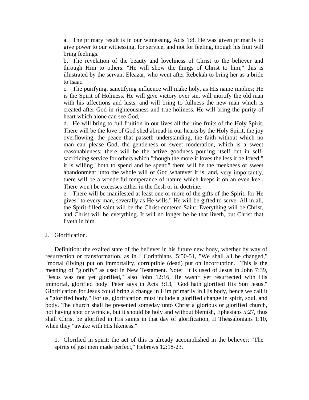a. The primary result is in our witnessing, Acts 1:8. He was given primarily to give power to our witnessing, for service, and not for feeling, though his fruit will bring feelings.

b. The revelation of the beauty and loveliness of Christ to the believer and through Him to others. "He will show the things of Christ to him;" this is illustrated by the servant Eleazar, who went after Rebekah to bring her as a bride to Isaac.

c. The purifying, sanctifying influence will make holy, as His name implies; He is the Spirit of Holiness. He will give victory over sin, will mortify the old man with his affections and lusts, and will bring to fullness the new man which is created after God in righteousness and true holiness. He will bring the purity of heart which alone can see God,

d. He will bring to full fruition in our lives all the nine fruits of the Holy Spirit. There will be the love of God shed abroad in our hearts by the Holy Spirit, the joy overflowing, the peace that passeth understanding, the faith without which no man can please God, the gentleness or sweet moderation, which is a sweet reasonableness; there will be the active goodness pouring itself out in selfsacrificing service for others which "though the more it loves the less it be loved;" it is willing "both to spend and be spent;" there will be the meekness or sweet abandonment unto the whole will of God whatever it is; and, very importantly, there will be a wonderful temperance of nature which keeps it on an even keel. There won't be excesses either in the flesh or in doctrine.

e. There will be manifested at least one or more of the gifts of the Spirit, for He gives "to every man, severally as He wills." He will be gifted to serve. All in all, the Spirit-filled saint will be the Christ-centered Saint. Everything will be Christ, and Christ will be everything. It will no longer be he that liveth, but Christ that liveth in him.

J. Glorification.

 Definition: the exalted state of the believer in his future new body, whether by way of resurrection or transformation, as in I Corinthians l5:50-51, "We shall all be changed," "mortal (living) put on immortality, corruptible (dead) put on incorruption." This is the meaning of "glorify" as used in New Testament. Note: it is used of Jesus in John 7:39, "Jesus was not yet glorified," also John 12:16, He wasn't yet resurrected with His immortal, glorified body. Peter says in Acts 3:13, "God hath glorified His Son Jesus." Glorification for Jesus could bring a change in Him primarily in His body, hence we call it a "glorified body." For us, glorification must include a glorified change in spirit, soul, and body. The church shall be presented someday unto Christ a glorious or glorified church, not having spot or wrinkle, but it should be holy and without blemish, Ephesians 5:27, thus shall Christ be glorified in His saints in that day of glorification, II Thessalonians 1:10, when they "awake with His likeness."

1. Glorified in spirit: the act of this is already accomplished in the believer; "The spirits of just men made perfect," Hebrews 12:18-23.